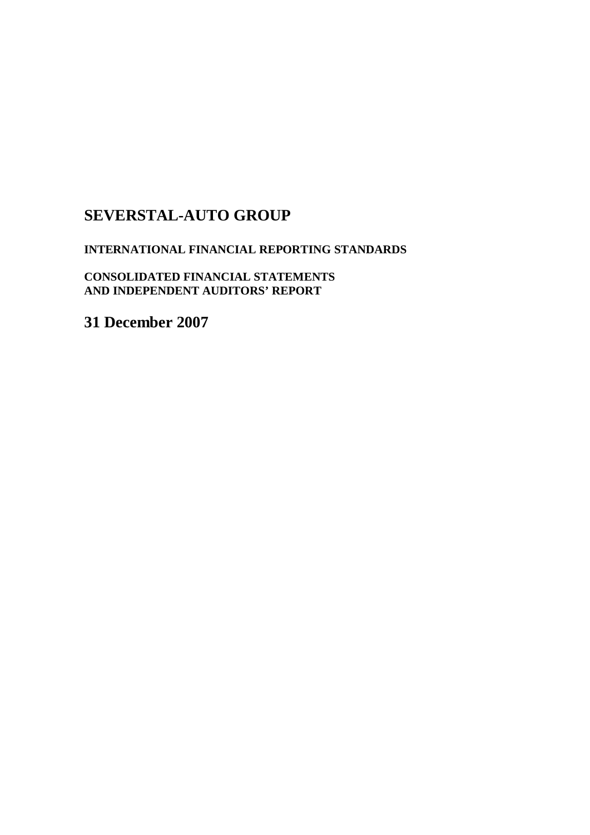### **SEVERSTAL-AUTO GROUP**

#### **INTERNATIONAL FINANCIAL REPORTING STANDARDS**

**CONSOLIDATED FINANCIAL STATEMENTS AND INDEPENDENT AUDITORS' REPORT**

**31 December 2007**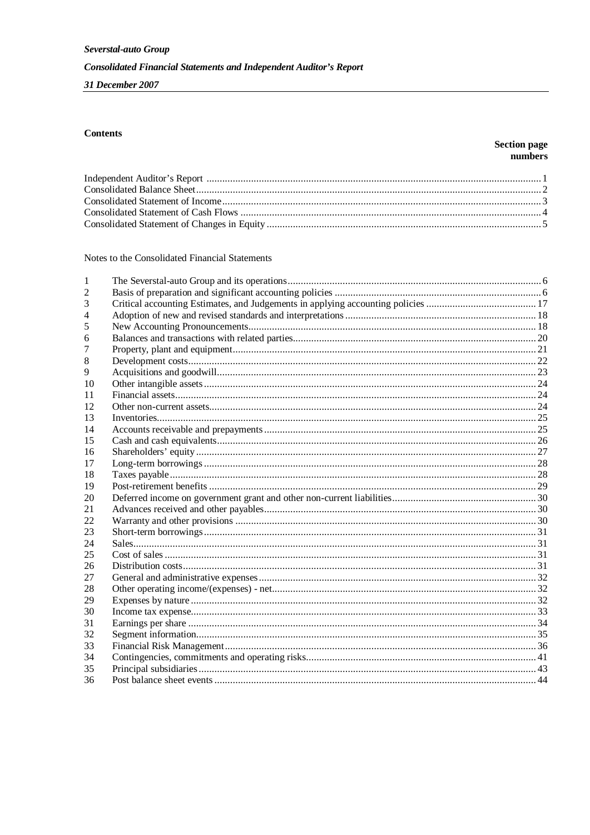31 December 2007

#### **Contents**

#### **Section page** numbers

Notes to the Consolidated Financial Statements

| 1  |  |
|----|--|
|    |  |
| 3  |  |
|    |  |
| 5  |  |
| 6  |  |
|    |  |
| 8  |  |
| 9  |  |
| 10 |  |
| 11 |  |
| 12 |  |
| 13 |  |
| 14 |  |
| 15 |  |
| 16 |  |
| 17 |  |
| 18 |  |
| 19 |  |
| 20 |  |
| 21 |  |
| 22 |  |
| 23 |  |
| 24 |  |
| 25 |  |
| 26 |  |
| 27 |  |
| 28 |  |
| 29 |  |
| 30 |  |
| 31 |  |
| 32 |  |
| 33 |  |
| 34 |  |
| 35 |  |
| 36 |  |
|    |  |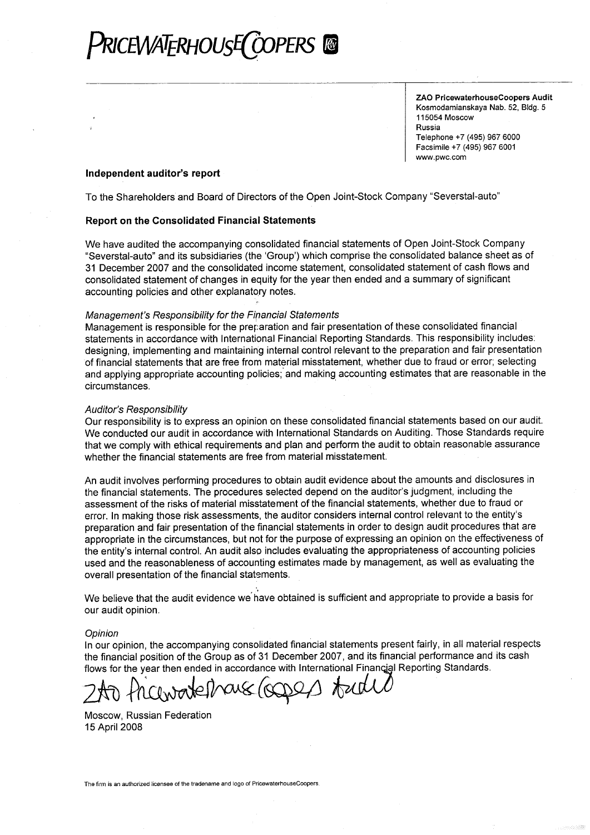## RICEWATERHOUSE(COPERS

ZAO PricewaterhouseCoopers Audit Kosmodamianskaya Nab. 52, Bldg. 5 115054 Moscow Russia Telephone +7 (495) 967 6000 Facsimile +7 (495) 967 6001 www.pwc.com

#### Independent auditor's report

To the Shareholders and Board of Directors of the Open Joint-Stock Company "Severstal-auto"

#### **Report on the Consolidated Financial Statements**

We have audited the accompanying consolidated financial statements of Open Joint-Stock Company "Severstal-auto" and its subsidiaries (the 'Group') which comprise the consolidated balance sheet as of 31 December 2007 and the consolidated income statement, consolidated statement of cash flows and consolidated statement of changes in equity for the year then ended and a summary of significant accounting policies and other explanatory notes.

#### Management's Responsibility for the Financial Statements

Management is responsible for the preparation and fair presentation of these consolidated financial statements in accordance with International Financial Reporting Standards. This responsibility includes: designing, implementing and maintaining internal control relevant to the preparation and fair presentation of financial statements that are free from material misstatement, whether due to fraud or error; selecting and applying appropriate accounting policies; and making accounting estimates that are reasonable in the circumstances.

#### **Auditor's Responsibility**

Our responsibility is to express an opinion on these consolidated financial statements based on our audit. We conducted our audit in accordance with International Standards on Auditing. Those Standards require that we comply with ethical requirements and plan and perform the audit to obtain reasonable assurance whether the financial statements are free from material misstatement.

An audit involves performing procedures to obtain audit evidence about the amounts and disclosures in the financial statements. The procedures selected depend on the auditor's judgment, including the assessment of the risks of material misstatement of the financial statements, whether due to fraud or error. In making those risk assessments, the auditor considers internal control relevant to the entity's preparation and fair presentation of the financial statements in order to design audit procedures that are appropriate in the circumstances, but not for the purpose of expressing an opinion on the effectiveness of the entity's internal control. An audit also includes evaluating the appropriateness of accounting policies used and the reasonableness of accounting estimates made by management, as well as evaluating the overall presentation of the financial statements.

We believe that the audit evidence we have obtained is sufficient and appropriate to provide a basis for our audit opinion.

#### Opinion

In our opinion, the accompanying consolidated financial statements present fairly, in all material respects the financial position of the Group as of 31 December 2007, and its financial performance and its cash flows for the year then ended in accordance with International Financial Reporting Standards.

S/OCDED Andel

Moscow. Russian Federation 15 April 2008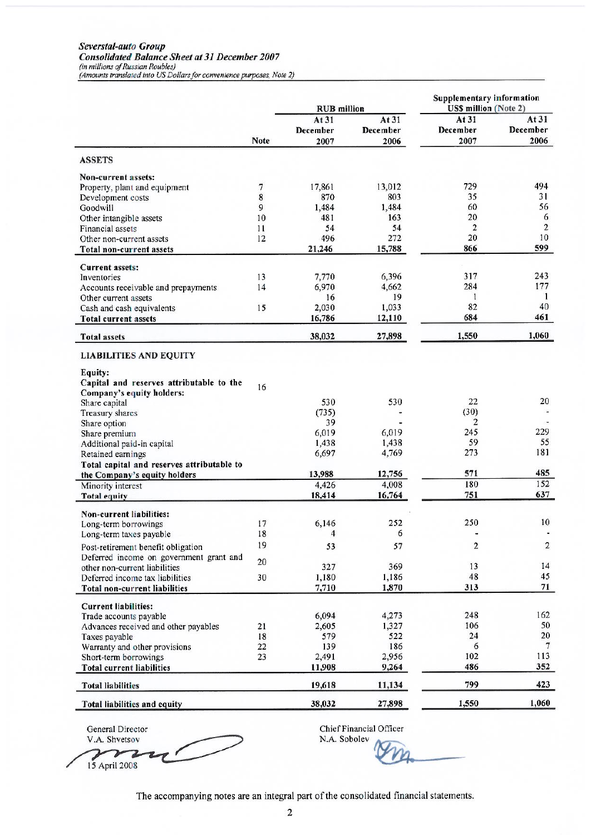# Severstal-auto Group<br>Consolidated Balance Sheet at 31 December 2007<br>(in millions of Russian Roubles)<br>(Amounts translated into US Dollars for convenience purposes, Note 2)

|                                                                            |             | <b>RUB</b> million |              | <b>Supplementary information</b><br><b>US\$ million (Note 2)</b> |                              |
|----------------------------------------------------------------------------|-------------|--------------------|--------------|------------------------------------------------------------------|------------------------------|
|                                                                            |             | At 31              | At $31$      | At $31$                                                          | At 31                        |
|                                                                            |             | December           | December     | December                                                         | December                     |
|                                                                            | <b>Note</b> | 2007               | 2006         | 2007                                                             | 2006                         |
| <b>ASSETS</b>                                                              |             |                    |              |                                                                  |                              |
| Non-current assets:                                                        |             |                    |              |                                                                  |                              |
| Property, plant and equipment                                              | 7           | 17,861             | 13,012       | 729                                                              | 494                          |
| Development costs                                                          | 8           | 870                | 803          | 35                                                               | 31                           |
| Goodwill                                                                   | 9           | 1,484              | 1,484        | 60                                                               | 56                           |
| Other intangible assets                                                    | 10          | 481                | 163<br>54    | 20<br>$\overline{2}$                                             | 6<br>$\overline{\mathbf{c}}$ |
| Financial assets                                                           | 11<br>12    | 54<br>496          | 272          | 20                                                               | 10                           |
| Other non-current assets<br><b>Total non-current assets</b>                |             | 21,246             | 15,788       | 866                                                              | 599                          |
|                                                                            |             |                    |              |                                                                  |                              |
| <b>Current assets:</b>                                                     |             |                    |              |                                                                  |                              |
| Inventories                                                                | 13          | 7,770              | 6,396        | 317                                                              | 243<br>177                   |
| Accounts receivable and prepayments<br>Other current assets                | 14          | 6,970<br>16        | 4,662<br>19  | 284<br>1                                                         | 1                            |
| Cash and cash equivalents                                                  | 15          | 2,030              | 1,033        | 82                                                               | 40                           |
| <b>Total current assets</b>                                                |             | 16,786             | 12,110       | 684                                                              | 461                          |
| <b>Total assets</b>                                                        |             | 38,032             | 27,898       | 1,550                                                            | 1,060                        |
| <b>LIABILITIES AND EQUITY</b>                                              |             |                    |              |                                                                  |                              |
| Equity:                                                                    |             |                    |              |                                                                  |                              |
| Capital and reserves attributable to the                                   |             |                    |              |                                                                  |                              |
| Company's equity holders:                                                  | 16          |                    |              |                                                                  |                              |
| Share capital                                                              |             | 530                | 530          | 22                                                               | 20                           |
| Treasury shares                                                            |             | (735)              |              | (30)                                                             |                              |
| Share option                                                               |             | 39                 |              | 2                                                                |                              |
| Share premium                                                              |             | 6,019              | 6,019        | 245                                                              | 229                          |
| Additional paid-in capital                                                 |             | 1,438              | 1,438        | 59                                                               | 55                           |
| Retained earnings                                                          |             | 6,697              | 4,769        | 273                                                              | 181                          |
| Total capital and reserves attributable to<br>the Company's equity holders |             | 13,988             | 12,756       | 571                                                              | 485                          |
| Minority interest                                                          |             | 4,426              | 4,008        | 180                                                              | 152                          |
| <b>Total equity</b>                                                        |             | 18,414             | 16,764       | 751                                                              | 637                          |
|                                                                            |             |                    |              |                                                                  |                              |
| Non-current liabilities:                                                   |             |                    |              |                                                                  |                              |
| Long-term borrowings                                                       | 17          | 6,146              | 252          | 250                                                              | 10                           |
| Long-term taxes payable                                                    | 18          | 4                  | 6            |                                                                  |                              |
| Post-retirement benefit obligation                                         | 19          | 53                 | 57           | 2                                                                | 2                            |
| Deferred income on government grant and                                    | 20          | 327                | 369          | 13                                                               | 14                           |
| other non-current liabilities<br>Deferred income tax liabilities           | 30          | 1,180              | 1,186        | 48                                                               | 45                           |
| <b>Total non-current liabilities</b>                                       |             | 7,710              | 1,870        | 313                                                              | 71                           |
|                                                                            |             |                    |              |                                                                  |                              |
| <b>Current liabilities:</b>                                                |             |                    |              |                                                                  |                              |
| Trade accounts payable                                                     |             | 6,094              | 4,273        | 248                                                              | 162<br>50                    |
| Advances received and other payables<br>Taxes payable                      | 21<br>18    | 2,605<br>579       | 1,327<br>522 | 106<br>24                                                        | 20                           |
| Warranty and other provisions                                              | 22          | 139                | 186          | 6                                                                | 7                            |
| Short-term borrowings                                                      | 23          | 2,491              | 2,956        | 102                                                              | 113                          |
| <b>Total current liabilities</b>                                           |             | 11,908             | 9,264        | 486                                                              | 352                          |
| <b>Total liabilities</b>                                                   |             | 19,618             | 11,134       | 799                                                              | 423                          |
| Total liabilities and equity                                               |             | 38,032             | 27,898       | 1,550                                                            | 1,060                        |
|                                                                            |             |                    |              |                                                                  |                              |

General Director

V.A. Shvetsov  $\overline{\mathbf{z}}$  $\mathfrak p$ 15 April 2008

Chief Financial Officer<br>N.A. Sobolev

The accompanying notes are an integral part of the consolidated financial statements.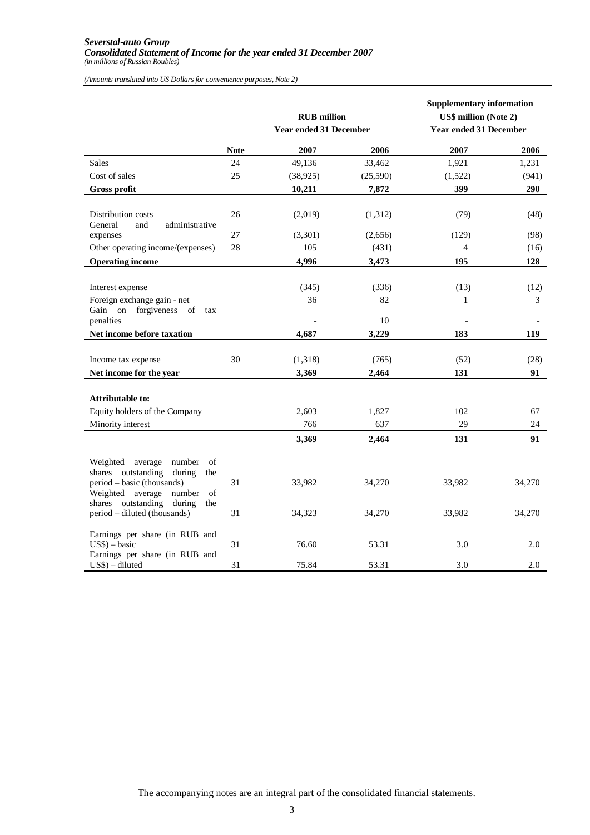#### *Severstal-auto Group Consolidated Statement of Income for the year ended 31 December 2007 (in millions of Russian Roubles)*

*(Amounts translated into US Dollars for convenience purposes, Note 2)*

|                                                                                                                                                                                     |             | <b>RUB</b> million            |                   | <b>Supplementary information</b><br><b>US\$ million (Note 2)</b> |            |
|-------------------------------------------------------------------------------------------------------------------------------------------------------------------------------------|-------------|-------------------------------|-------------------|------------------------------------------------------------------|------------|
|                                                                                                                                                                                     |             | <b>Year ended 31 December</b> |                   | <b>Year ended 31 December</b>                                    |            |
|                                                                                                                                                                                     | <b>Note</b> | 2007                          | 2006              | 2007                                                             | 2006       |
| <b>Sales</b>                                                                                                                                                                        | 24          | 49,136                        | 33,462            | 1,921                                                            | 1,231      |
| Cost of sales                                                                                                                                                                       | 25          | (38, 925)                     | (25,590)          | (1,522)                                                          | (941)      |
| Gross profit                                                                                                                                                                        |             | 10,211                        | 7,872             | 399                                                              | 290        |
| Distribution costs<br>administrative<br>General<br>and                                                                                                                              | 26          | (2,019)                       | (1,312)           | (79)                                                             | (48)       |
| expenses                                                                                                                                                                            | 27          | (3,301)                       | (2,656)           | (129)                                                            | (98)       |
| Other operating income/(expenses)                                                                                                                                                   | 28          | 105                           | (431)             | 4                                                                | (16)       |
| <b>Operating income</b>                                                                                                                                                             |             | 4,996                         | 3,473             | 195                                                              | 128        |
| Interest expense<br>Foreign exchange gain - net<br>Gain on forgiveness of<br>tax<br>penalties                                                                                       |             | (345)<br>36                   | (336)<br>82<br>10 | (13)<br>1                                                        | (12)<br>3  |
| Net income before taxation                                                                                                                                                          |             | 4.687                         | 3,229             | 183                                                              | 119        |
| Income tax expense<br>Net income for the year                                                                                                                                       | 30          | (1,318)<br>3,369              | (765)<br>2,464    | (52)<br>131                                                      | (28)<br>91 |
| <b>Attributable to:</b><br>Equity holders of the Company<br>Minority interest                                                                                                       |             | 2,603<br>766                  | 1,827<br>637      | 102<br>29                                                        | 67<br>24   |
|                                                                                                                                                                                     |             | 3,369                         | 2,464             | 131                                                              | 91         |
| Weighted<br>average<br>number<br>of<br>shares outstanding<br>during<br>the<br>period – basic (thousands)<br>Weighted average<br>number<br>of<br>shares outstanding<br>during<br>the | 31          | 33,982                        | 34,270            | 33,982                                                           | 34,270     |
| period - diluted (thousands)                                                                                                                                                        | 31          | 34,323                        | 34,270            | 33,982                                                           | 34,270     |
| Earnings per share (in RUB and<br>$US$$ ) – basic<br>Earnings per share (in RUB and                                                                                                 | 31          | 76.60                         | 53.31             | 3.0                                                              | 2.0        |
| $US$$ ) – diluted                                                                                                                                                                   | 31          | 75.84                         | 53.31             | 3.0                                                              | $2.0\,$    |

The accompanying notes are an integral part of the consolidated financial statements.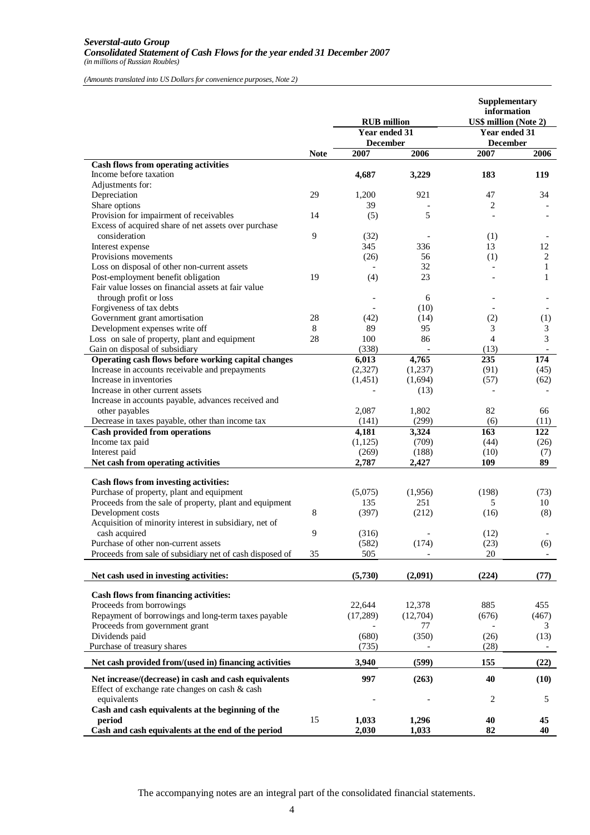*(Amounts translated into US Dollars for convenience purposes, Note 2)*

|                                                               |             | <b>RUB</b> million<br>Year ended 31 |                 | Supplementary<br>information<br>US\$ million (Note 2)<br>Year ended 31 |                                  |
|---------------------------------------------------------------|-------------|-------------------------------------|-----------------|------------------------------------------------------------------------|----------------------------------|
|                                                               |             | <b>December</b>                     |                 | <b>December</b>                                                        |                                  |
|                                                               | <b>Note</b> | 2007                                | 2006            | 2007                                                                   | 2006                             |
| <b>Cash flows from operating activities</b>                   |             |                                     |                 |                                                                        |                                  |
| Income before taxation                                        |             | 4,687                               | 3,229           | 183                                                                    | 119                              |
| Adjustments for:<br>Depreciation                              | 29          | 1,200                               | 921             | 47                                                                     | 34                               |
| Share options                                                 |             | 39                                  |                 | 2                                                                      |                                  |
| Provision for impairment of receivables                       | 14          | (5)                                 | 5               |                                                                        |                                  |
| Excess of acquired share of net assets over purchase          |             |                                     |                 |                                                                        |                                  |
| consideration                                                 | 9           | (32)                                |                 | (1)                                                                    |                                  |
| Interest expense                                              |             | 345                                 | 336             | 13                                                                     | 12                               |
| Provisions movements                                          |             | (26)                                | 56              | (1)                                                                    | 2                                |
| Loss on disposal of other non-current assets                  |             |                                     | 32              |                                                                        | $\mathbf{1}$                     |
| Post-employment benefit obligation                            | 19          | (4)                                 | 23              |                                                                        | 1                                |
| Fair value losses on financial assets at fair value           |             |                                     |                 |                                                                        |                                  |
| through profit or loss                                        |             |                                     | 6               |                                                                        |                                  |
| Forgiveness of tax debts                                      |             |                                     | (10)            |                                                                        |                                  |
| Government grant amortisation                                 | 28          | (42)                                | (14)            | (2)                                                                    | (1)                              |
| Development expenses write off                                | 8           | 89                                  | 95              | 3                                                                      | 3                                |
| Loss on sale of property, plant and equipment                 | 28          | 100                                 | 86              | $\overline{4}$                                                         | $\mathfrak{Z}$                   |
| Gain on disposal of subsidiary                                |             | (338)                               | $\overline{a}$  | (13)                                                                   | $\overline{\phantom{a}}$         |
| Operating cash flows before working capital changes           |             | 6,013                               | 4,765           | 235                                                                    | 174                              |
| Increase in accounts receivable and prepayments               |             | (2,327)                             | (1,237)         | (91)                                                                   | (45)                             |
| Increase in inventories<br>Increase in other current assets   |             | (1, 451)                            | (1,694)<br>(13) | (57)                                                                   | (62)                             |
| Increase in accounts payable, advances received and           |             |                                     |                 |                                                                        |                                  |
| other payables                                                |             | 2,087                               | 1,802           | 82                                                                     | 66                               |
| Decrease in taxes payable, other than income tax              |             | (141)                               | (299)           | (6)                                                                    | (11)                             |
| <b>Cash provided from operations</b>                          |             | 4,181                               | 3,324           | 163                                                                    | 122                              |
| Income tax paid                                               |             | (1, 125)                            | (709)           | (44)                                                                   | (26)                             |
| Interest paid                                                 |             | (269)                               | (188)           | (10)                                                                   | (7)                              |
| Net cash from operating activities                            |             | 2,787                               | 2,427           | 109                                                                    | 89                               |
|                                                               |             |                                     |                 |                                                                        |                                  |
| Cash flows from investing activities:                         |             |                                     |                 |                                                                        |                                  |
| Purchase of property, plant and equipment                     |             | (5,075)                             | (1,956)         | (198)                                                                  | (73)                             |
| Proceeds from the sale of property, plant and equipment       |             | 135                                 | 251             | 5                                                                      | 10                               |
| Development costs                                             | 8           | (397)                               | (212)           | (16)                                                                   | (8)                              |
| Acquisition of minority interest in subsidiary, net of        | 9           |                                     |                 |                                                                        |                                  |
| cash acquired<br>Purchase of other non-current assets         |             | (316)                               |                 | (12)                                                                   |                                  |
| Proceeds from sale of subsidiary net of cash disposed of      | 35          | (582)<br>505                        | (174)           | (23)<br>20                                                             | (6)<br>$\overline{\phantom{0}}$  |
|                                                               |             |                                     |                 |                                                                        |                                  |
| Net cash used in investing activities:                        |             | (5,730)                             | (2,091)         | (224)                                                                  | (77)                             |
|                                                               |             |                                     |                 |                                                                        |                                  |
| Cash flows from financing activities:                         |             |                                     |                 |                                                                        |                                  |
| Proceeds from borrowings                                      |             | 22,644                              | 12,378          | 885                                                                    | 455                              |
| Repayment of borrowings and long-term taxes payable           |             | (17,289)                            | (12,704)        | (676)                                                                  | (467)                            |
| Proceeds from government grant                                |             |                                     | 77              |                                                                        | 3                                |
| Dividends paid<br>Purchase of treasury shares                 |             | (680)<br>(735)                      | (350)           | (26)                                                                   | (13)<br>$\overline{\phantom{a}}$ |
|                                                               |             |                                     |                 | (28)                                                                   |                                  |
| Net cash provided from/(used in) financing activities         |             | 3,940                               | (599)           | 155                                                                    | (22)                             |
| Net increase/(decrease) in cash and cash equivalents          |             | 997                                 | (263)           | 40                                                                     | (10)                             |
| Effect of exchange rate changes on cash & cash<br>equivalents |             |                                     |                 | 2                                                                      | 5                                |
| Cash and cash equivalents at the beginning of the             |             |                                     |                 |                                                                        |                                  |
| period                                                        | 15          | 1,033                               | 1,296           | 40                                                                     | 45                               |
| Cash and cash equivalents at the end of the period            |             | 2,030                               | 1,033           | 82                                                                     | 40                               |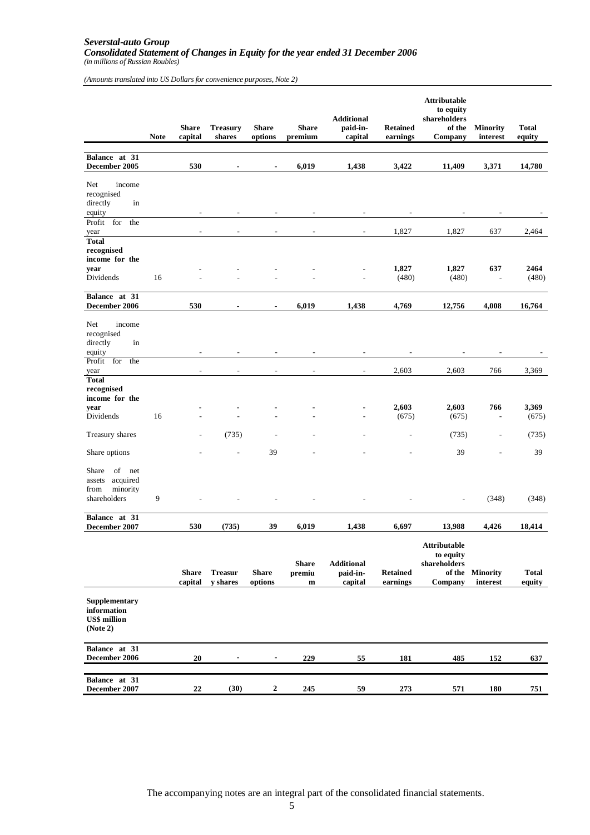#### *Severstal-auto Group Consolidated Statement of Changes in Equity for the year ended 31 December 2006 (in millions of Russian Roubles)*

*(Amounts translated into US Dollars for convenience purposes, Note 2)*

|                                                                           | <b>Note</b> | <b>Share</b><br>capital | <b>Treasury</b><br>shares         | <b>Share</b><br>options | <b>Share</b><br>premium               | <b>Additional</b><br>paid-in-<br>capital | <b>Retained</b><br>earnings | <b>Attributable</b><br>to equity<br>shareholders<br>of the<br>Company | <b>Minority</b><br>interest     | <b>Total</b><br>equity |
|---------------------------------------------------------------------------|-------------|-------------------------|-----------------------------------|-------------------------|---------------------------------------|------------------------------------------|-----------------------------|-----------------------------------------------------------------------|---------------------------------|------------------------|
| Balance at 31<br>December 2005                                            |             | 530                     |                                   |                         | 6,019                                 | 1,438                                    | 3,422                       | 11,409                                                                | 3,371                           | 14,780                 |
| income<br>Net<br>recognised<br>directly<br>in<br>equity                   |             |                         |                                   |                         |                                       |                                          |                             |                                                                       |                                 |                        |
| Profit for<br>the<br>year<br><b>Total</b>                                 |             |                         |                                   |                         |                                       | $\overline{\phantom{a}}$                 | 1,827                       | 1,827                                                                 | 637                             | 2,464                  |
| recognised<br>income for the<br>year<br>Dividends                         | 16          |                         |                                   |                         |                                       |                                          | 1,827<br>(480)              | 1,827<br>(480)                                                        | 637<br>÷,                       | 2464<br>(480)          |
| Balance at 31<br>December 2006                                            |             | 530                     |                                   | $\blacksquare$          | 6,019                                 | 1,438                                    | 4,769                       | 12,756                                                                | 4,008                           | 16,764                 |
| Net<br>income<br>recognised<br>directly<br>in<br>equity                   |             |                         |                                   |                         |                                       |                                          |                             |                                                                       |                                 |                        |
| Profit for<br>the<br>year                                                 |             |                         |                                   |                         |                                       |                                          | 2,603                       | 2,603                                                                 | 766                             | 3,369                  |
| <b>Total</b><br>recognised<br>income for the<br>year<br>Dividends         | 16          |                         |                                   |                         |                                       |                                          | 2,603<br>(675)              | 2,603<br>(675)                                                        | 766<br>$\overline{\phantom{a}}$ | 3,369<br>(675)         |
| Treasury shares                                                           |             |                         | (735)                             |                         |                                       |                                          | $\overline{a}$              | (735)                                                                 | $\overline{\phantom{a}}$        | (735)                  |
| Share options                                                             |             |                         |                                   | 39                      |                                       |                                          | ÷                           | 39                                                                    | $\overline{a}$                  | 39                     |
| of net<br>Share<br>acquired<br>assets<br>minority<br>from<br>shareholders | 9           |                         |                                   |                         |                                       |                                          |                             | $\overline{a}$                                                        | (348)                           | (348)                  |
| Balance at 31<br>December 2007                                            |             | 530                     | (735)                             | 39                      | 6,019                                 | 1,438                                    | 6,697                       | 13,988                                                                | 4,426                           | 18,414                 |
|                                                                           |             | <b>Share</b><br>capital | <b>Treasur</b><br><b>v</b> shares | <b>Share</b><br>options | <b>Share</b><br>premiu<br>$\mathbf m$ | <b>Additional</b><br>paid-in-<br>capital | <b>Retained</b><br>earnings | <b>Attributable</b><br>to equity<br>shareholders<br>of the<br>Company | Minority<br>interest            | <b>Total</b><br>equity |
| Supplementary<br>information<br><b>US\$</b> million<br>(Note 2)           |             |                         |                                   |                         |                                       |                                          |                             |                                                                       |                                 |                        |
| Balance at 31<br>December 2006                                            |             | $20\,$                  |                                   |                         | 229                                   | 55                                       | 181                         | 485                                                                   | 152                             | 637                    |
| Balance at 31<br>December 2007                                            |             | 22                      | (30)                              | $\boldsymbol{2}$        | 245                                   | 59                                       | 273                         | 571                                                                   | 180                             | 751                    |

The accompanying notes are an integral part of the consolidated financial statements.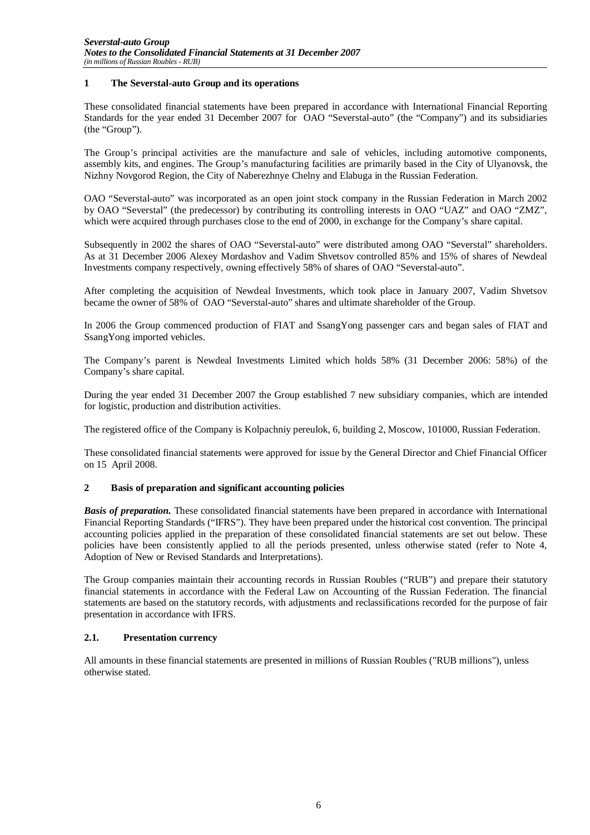#### **1 The Severstal-auto Group and its operations**

These consolidated financial statements have been prepared in accordance with International Financial Reporting Standards for the year ended 31 December 2007 for OAO "Severstal-auto" (the "Company") and its subsidiaries (the "Group").

The Group's principal activities are the manufacture and sale of vehicles, including automotive components, assembly kits, and engines. The Group's manufacturing facilities are primarily based in the City of Ulyanovsk, the Nizhny Novgorod Region, the City of Naberezhnye Chelny and Elabuga in the Russian Federation.

OAO "Severstal-auto" was incorporated as an open joint stock company in the Russian Federation in March 2002 by OAO "Severstal" (the predecessor) by contributing its controlling interests in OAO "UAZ" and OAO "ZMZ", which were acquired through purchases close to the end of 2000, in exchange for the Company's share capital.

Subsequently in 2002 the shares of OAO "Severstal-auto" were distributed among OAO "Severstal" shareholders. As at 31 December 2006 Alexey Mordashov and Vadim Shvetsov controlled 85% and 15% of shares of Newdeal Investments company respectively, owning effectively 58% of shares of OAO "Severstal-auto".

After completing the acquisition of Newdeal Investments, which took place in January 2007, Vadim Shvetsov became the owner of 58% of OAO "Severstal-auto" shares and ultimate shareholder of the Group.

In 2006 the Group commenced production of FIAT and SsangYong passenger cars and began sales of FIAT and SsangYong imported vehicles.

The Company's parent is Newdeal Investments Limited which holds 58% (31 December 2006: 58%) of the Company's share capital.

During the year ended 31 December 2007 the Group established 7 new subsidiary companies, which are intended for logistic, production and distribution activities.

The registered office of the Company is Kolpachniy pereulok, 6, building 2, Moscow, 101000, Russian Federation.

These consolidated financial statements were approved for issue by the General Director and Chief Financial Officer on 15 April 2008.

#### **2 Basis of preparation and significant accounting policies**

*Basis of preparation.* These consolidated financial statements have been prepared in accordance with International Financial Reporting Standards ("IFRS"). They have been prepared under the historical cost convention. The principal accounting policies applied in the preparation of these consolidated financial statements are set out below. These policies have been consistently applied to all the periods presented, unless otherwise stated (refer to Note 4, Adoption of New or Revised Standards and Interpretations).

The Group companies maintain their accounting records in Russian Roubles ("RUB") and prepare their statutory financial statements in accordance with the Federal Law on Accounting of the Russian Federation. The financial statements are based on the statutory records, with adjustments and reclassifications recorded for the purpose of fair presentation in accordance with IFRS.

#### **2.1. Presentation currency**

All amounts in these financial statements are presented in millions of Russian Roubles ("RUB millions"), unless otherwise stated.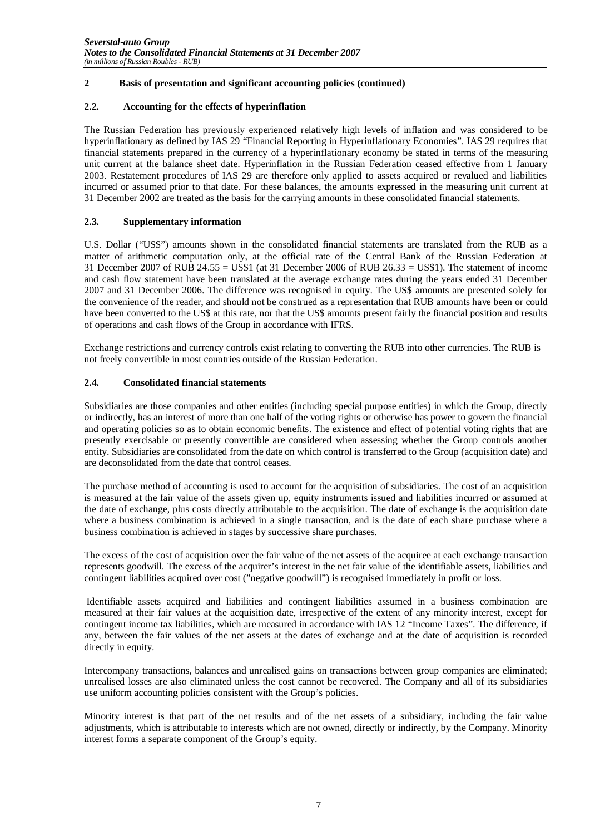#### **2.2. Accounting for the effects of hyperinflation**

The Russian Federation has previously experienced relatively high levels of inflation and was considered to be hyperinflationary as defined by IAS 29 "Financial Reporting in Hyperinflationary Economies". IAS 29 requires that financial statements prepared in the currency of a hyperinflationary economy be stated in terms of the measuring unit current at the balance sheet date. Hyperinflation in the Russian Federation ceased effective from 1 January 2003. Restatement procedures of IAS 29 are therefore only applied to assets acquired or revalued and liabilities incurred or assumed prior to that date. For these balances, the amounts expressed in the measuring unit current at 31 December 2002 are treated as the basis for the carrying amounts in these consolidated financial statements.

#### **2.3. Supplementary information**

U.S. Dollar ("US\$") amounts shown in the consolidated financial statements are translated from the RUB as a matter of arithmetic computation only, at the official rate of the Central Bank of the Russian Federation at 31 December 2007 of RUB 24.55 = US\$1 (at 31 December 2006 of RUB 26.33 = US\$1). The statement of income and cash flow statement have been translated at the average exchange rates during the years ended 31 December 2007 and 31 December 2006. The difference was recognised in equity. The US\$ amounts are presented solely for the convenience of the reader, and should not be construed as a representation that RUB amounts have been or could have been converted to the US\$ at this rate, nor that the US\$ amounts present fairly the financial position and results of operations and cash flows of the Group in accordance with IFRS.

Exchange restrictions and currency controls exist relating to converting the RUB into other currencies. The RUB is not freely convertible in most countries outside of the Russian Federation.

#### **2.4. Consolidated financial statements**

Subsidiaries are those companies and other entities (including special purpose entities) in which the Group, directly or indirectly, has an interest of more than one half of the voting rights or otherwise has power to govern the financial and operating policies so as to obtain economic benefits. The existence and effect of potential voting rights that are presently exercisable or presently convertible are considered when assessing whether the Group controls another entity. Subsidiaries are consolidated from the date on which control is transferred to the Group (acquisition date) and are deconsolidated from the date that control ceases.

The purchase method of accounting is used to account for the acquisition of subsidiaries. The cost of an acquisition is measured at the fair value of the assets given up, equity instruments issued and liabilities incurred or assumed at the date of exchange, plus costs directly attributable to the acquisition. The date of exchange is the acquisition date where a business combination is achieved in a single transaction, and is the date of each share purchase where a business combination is achieved in stages by successive share purchases.

The excess of the cost of acquisition over the fair value of the net assets of the acquiree at each exchange transaction represents goodwill. The excess of the acquirer's interest in the net fair value of the identifiable assets, liabilities and contingent liabilities acquired over cost ("negative goodwill") is recognised immediately in profit or loss.

 Identifiable assets acquired and liabilities and contingent liabilities assumed in a business combination are measured at their fair values at the acquisition date, irrespective of the extent of any minority interest, except for contingent income tax liabilities, which are measured in accordance with IAS 12 "Income Taxes". The difference, if any, between the fair values of the net assets at the dates of exchange and at the date of acquisition is recorded directly in equity.

Intercompany transactions, balances and unrealised gains on transactions between group companies are eliminated; unrealised losses are also eliminated unless the cost cannot be recovered. The Company and all of its subsidiaries use uniform accounting policies consistent with the Group's policies.

Minority interest is that part of the net results and of the net assets of a subsidiary, including the fair value adjustments, which is attributable to interests which are not owned, directly or indirectly, by the Company. Minority interest forms a separate component of the Group's equity.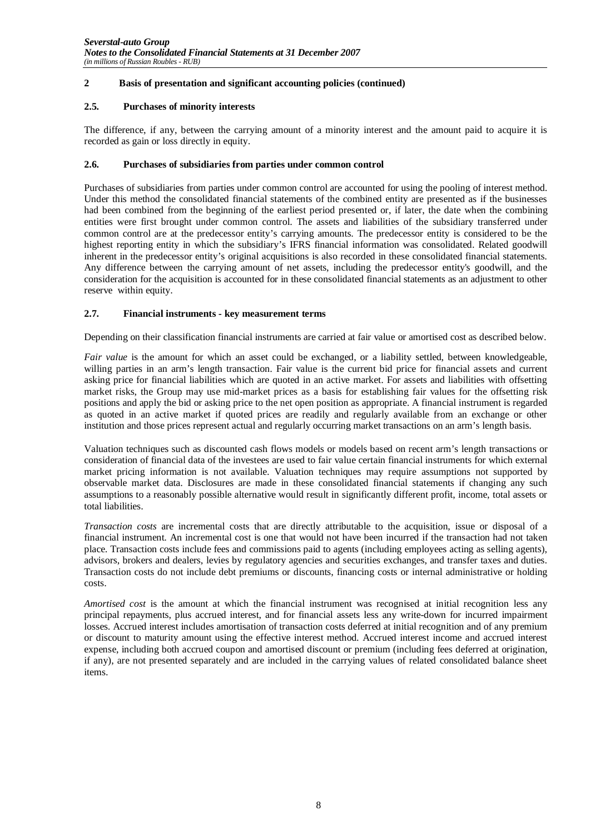#### **2.5. Purchases of minority interests**

The difference, if any, between the carrying amount of a minority interest and the amount paid to acquire it is recorded as gain or loss directly in equity.

#### **2.6. Purchases of subsidiaries from parties under common control**

Purchases of subsidiaries from parties under common control are accounted for using the pooling of interest method. Under this method the consolidated financial statements of the combined entity are presented as if the businesses had been combined from the beginning of the earliest period presented or, if later, the date when the combining entities were first brought under common control. The assets and liabilities of the subsidiary transferred under common control are at the predecessor entity's carrying amounts. The predecessor entity is considered to be the highest reporting entity in which the subsidiary's IFRS financial information was consolidated. Related goodwill inherent in the predecessor entity's original acquisitions is also recorded in these consolidated financial statements. Any difference between the carrying amount of net assets, including the predecessor entity's goodwill, and the consideration for the acquisition is accounted for in these consolidated financial statements as an adjustment to other reserve within equity.

#### **2.7. Financial instruments - key measurement terms**

Depending on their classification financial instruments are carried at fair value or amortised cost as described below.

*Fair value* is the amount for which an asset could be exchanged, or a liability settled, between knowledgeable, willing parties in an arm's length transaction. Fair value is the current bid price for financial assets and current asking price for financial liabilities which are quoted in an active market. For assets and liabilities with offsetting market risks, the Group may use mid-market prices as a basis for establishing fair values for the offsetting risk positions and apply the bid or asking price to the net open position as appropriate. A financial instrument is regarded as quoted in an active market if quoted prices are readily and regularly available from an exchange or other institution and those prices represent actual and regularly occurring market transactions on an arm's length basis.

Valuation techniques such as discounted cash flows models or models based on recent arm's length transactions or consideration of financial data of the investees are used to fair value certain financial instruments for which external market pricing information is not available. Valuation techniques may require assumptions not supported by observable market data. Disclosures are made in these consolidated financial statements if changing any such assumptions to a reasonably possible alternative would result in significantly different profit, income, total assets or total liabilities.

*Transaction costs* are incremental costs that are directly attributable to the acquisition, issue or disposal of a financial instrument. An incremental cost is one that would not have been incurred if the transaction had not taken place. Transaction costs include fees and commissions paid to agents (including employees acting as selling agents), advisors, brokers and dealers, levies by regulatory agencies and securities exchanges, and transfer taxes and duties. Transaction costs do not include debt premiums or discounts, financing costs or internal administrative or holding costs.

*Amortised cost* is the amount at which the financial instrument was recognised at initial recognition less any principal repayments, plus accrued interest, and for financial assets less any write-down for incurred impairment losses. Accrued interest includes amortisation of transaction costs deferred at initial recognition and of any premium or discount to maturity amount using the effective interest method. Accrued interest income and accrued interest expense, including both accrued coupon and amortised discount or premium (including fees deferred at origination, if any), are not presented separately and are included in the carrying values of related consolidated balance sheet items.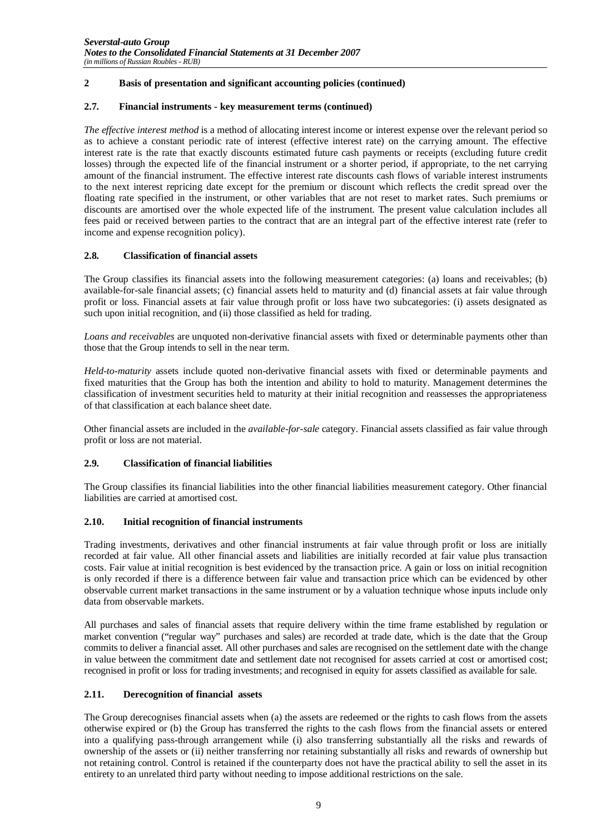#### **2.7. Financial instruments - key measurement terms (continued)**

*The effective interest method* is a method of allocating interest income or interest expense over the relevant period so as to achieve a constant periodic rate of interest (effective interest rate) on the carrying amount. The effective interest rate is the rate that exactly discounts estimated future cash payments or receipts (excluding future credit losses) through the expected life of the financial instrument or a shorter period, if appropriate, to the net carrying amount of the financial instrument. The effective interest rate discounts cash flows of variable interest instruments to the next interest repricing date except for the premium or discount which reflects the credit spread over the floating rate specified in the instrument, or other variables that are not reset to market rates. Such premiums or discounts are amortised over the whole expected life of the instrument. The present value calculation includes all fees paid or received between parties to the contract that are an integral part of the effective interest rate (refer to income and expense recognition policy).

#### **2.8. Classification of financial assets**

The Group classifies its financial assets into the following measurement categories: (a) loans and receivables; (b) available-for-sale financial assets; (c) financial assets held to maturity and (d) financial assets at fair value through profit or loss. Financial assets at fair value through profit or loss have two subcategories: (i) assets designated as such upon initial recognition, and (ii) those classified as held for trading*.*

*Loans and receivables* are unquoted non-derivative financial assets with fixed or determinable payments other than those that the Group intends to sell in the near term.

*Held-to-maturity* assets include quoted non-derivative financial assets with fixed or determinable payments and fixed maturities that the Group has both the intention and ability to hold to maturity. Management determines the classification of investment securities held to maturity at their initial recognition and reassesses the appropriateness of that classification at each balance sheet date.

Other financial assets are included in the *available-for-sale* category. Financial assets classified as fair value through profit or loss are not material.

#### **2.9. Classification of financial liabilities**

The Group classifies its financial liabilities into the other financial liabilities measurement category. Other financial liabilities are carried at amortised cost.

#### **2.10. Initial recognition of financial instruments**

Trading investments, derivatives and other financial instruments at fair value through profit or loss are initially recorded at fair value. All other financial assets and liabilities are initially recorded at fair value plus transaction costs. Fair value at initial recognition is best evidenced by the transaction price. A gain or loss on initial recognition is only recorded if there is a difference between fair value and transaction price which can be evidenced by other observable current market transactions in the same instrument or by a valuation technique whose inputs include only data from observable markets.

All purchases and sales of financial assets that require delivery within the time frame established by regulation or market convention ("regular way" purchases and sales) are recorded at trade date, which is the date that the Group commits to deliver a financial asset. All other purchases and sales are recognised on the settlement date with the change in value between the commitment date and settlement date not recognised for assets carried at cost or amortised cost; recognised in profit or loss for trading investments; and recognised in equity for assets classified as available for sale.

#### **2.11. Derecognition of financial assets**

The Group derecognises financial assets when (a) the assets are redeemed or the rights to cash flows from the assets otherwise expired or (b) the Group has transferred the rights to the cash flows from the financial assets or entered into a qualifying pass-through arrangement while (i) also transferring substantially all the risks and rewards of ownership of the assets or (ii) neither transferring nor retaining substantially all risks and rewards of ownership but not retaining control. Control is retained if the counterparty does not have the practical ability to sell the asset in its entirety to an unrelated third party without needing to impose additional restrictions on the sale.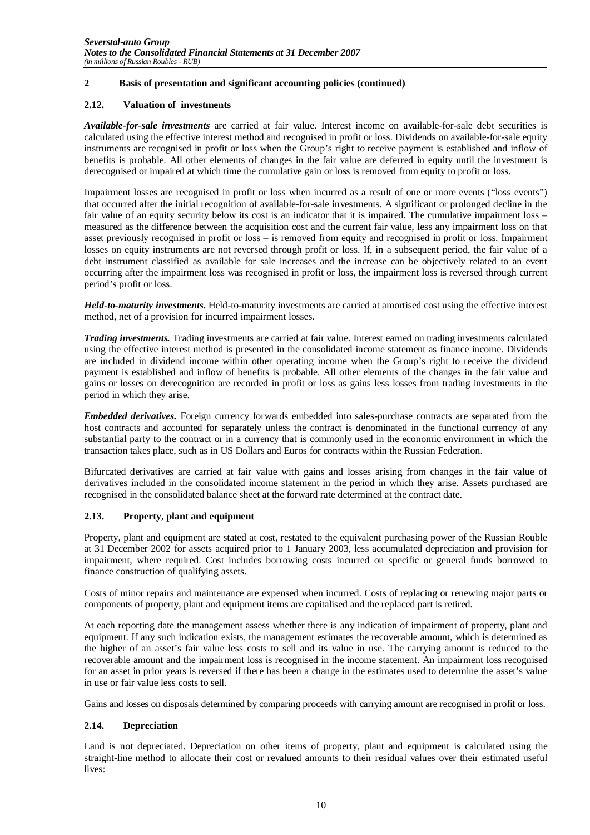#### **2.12. Valuation of investments**

*Available-for-sale investments* are carried at fair value. Interest income on available-for-sale debt securities is calculated using the effective interest method and recognised in profit or loss. Dividends on available-for-sale equity instruments are recognised in profit or loss when the Group's right to receive payment is established and inflow of benefits is probable. All other elements of changes in the fair value are deferred in equity until the investment is derecognised or impaired at which time the cumulative gain or loss is removed from equity to profit or loss.

Impairment losses are recognised in profit or loss when incurred as a result of one or more events ("loss events") that occurred after the initial recognition of available-for-sale investments. A significant or prolonged decline in the fair value of an equity security below its cost is an indicator that it is impaired. The cumulative impairment loss – measured as the difference between the acquisition cost and the current fair value, less any impairment loss on that asset previously recognised in profit or loss – is removed from equity and recognised in profit or loss. Impairment losses on equity instruments are not reversed through profit or loss. If, in a subsequent period, the fair value of a debt instrument classified as available for sale increases and the increase can be objectively related to an event occurring after the impairment loss was recognised in profit or loss, the impairment loss is reversed through current period's profit or loss.

*Held-to-maturity investments.* Held-to-maturity investments are carried at amortised cost using the effective interest method, net of a provision for incurred impairment losses.

*Trading investments.* Trading investments are carried at fair value. Interest earned on trading investments calculated using the effective interest method is presented in the consolidated income statement as finance income. Dividends are included in dividend income within other operating income when the Group's right to receive the dividend payment is established and inflow of benefits is probable. All other elements of the changes in the fair value and gains or losses on derecognition are recorded in profit or loss as gains less losses from trading investments in the period in which they arise.

*Embedded derivatives.* Foreign currency forwards embedded into sales-purchase contracts are separated from the host contracts and accounted for separately unless the contract is denominated in the functional currency of any substantial party to the contract or in a currency that is commonly used in the economic environment in which the transaction takes place, such as in US Dollars and Euros for contracts within the Russian Federation.

Bifurcated derivatives are carried at fair value with gains and losses arising from changes in the fair value of derivatives included in the consolidated income statement in the period in which they arise. Assets purchased are recognised in the consolidated balance sheet at the forward rate determined at the contract date.

#### **2.13. Property, plant and equipment**

Property, plant and equipment are stated at cost, restated to the equivalent purchasing power of the Russian Rouble at 31 December 2002 for assets acquired prior to 1 January 2003, less accumulated depreciation and provision for impairment, where required. Cost includes borrowing costs incurred on specific or general funds borrowed to finance construction of qualifying assets.

Costs of minor repairs and maintenance are expensed when incurred. Costs of replacing or renewing major parts or components of property, plant and equipment items are capitalised and the replaced part is retired.

At each reporting date the management assess whether there is any indication of impairment of property, plant and equipment. If any such indication exists, the management estimates the recoverable amount, which is determined as the higher of an asset's fair value less costs to sell and its value in use. The carrying amount is reduced to the recoverable amount and the impairment loss is recognised in the income statement. An impairment loss recognised for an asset in prior years is reversed if there has been a change in the estimates used to determine the asset's value in use or fair value less costs to sell.

Gains and losses on disposals determined by comparing proceeds with carrying amount are recognised in profit or loss.

#### **2.14. Depreciation**

Land is not depreciated. Depreciation on other items of property, plant and equipment is calculated using the straight-line method to allocate their cost or revalued amounts to their residual values over their estimated useful lives: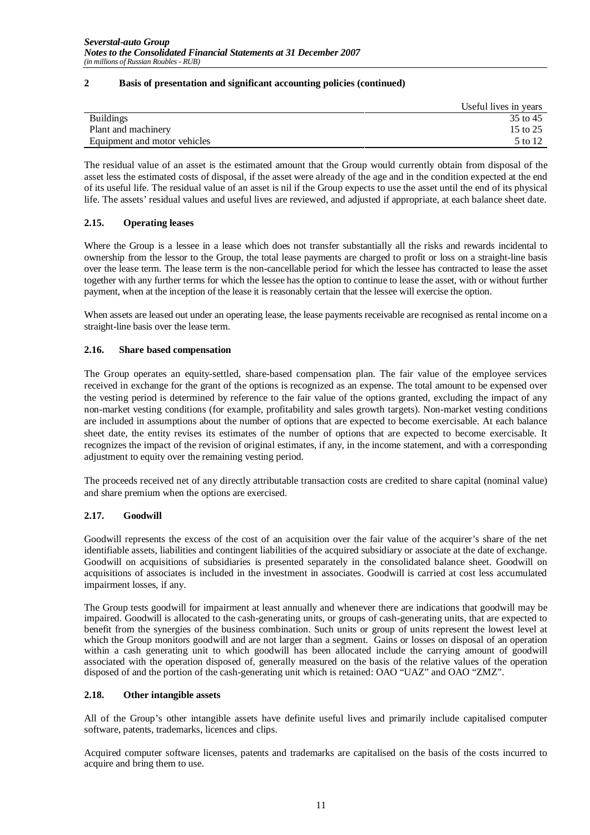|                              | Useful lives in years |
|------------------------------|-----------------------|
| <b>Buildings</b>             | 35 to 45              |
| Plant and machinery          | 15 to 25              |
| Equipment and motor vehicles | 5 to 12               |

The residual value of an asset is the estimated amount that the Group would currently obtain from disposal of the asset less the estimated costs of disposal, if the asset were already of the age and in the condition expected at the end of its useful life. The residual value of an asset is nil if the Group expects to use the asset until the end of its physical life. The assets' residual values and useful lives are reviewed, and adjusted if appropriate, at each balance sheet date.

#### **2.15. Operating leases**

Where the Group is a lessee in a lease which does not transfer substantially all the risks and rewards incidental to ownership from the lessor to the Group, the total lease payments are charged to profit or loss on a straight-line basis over the lease term. The lease term is the non-cancellable period for which the lessee has contracted to lease the asset together with any further terms for which the lessee has the option to continue to lease the asset, with or without further payment, when at the inception of the lease it is reasonably certain that the lessee will exercise the option.

When assets are leased out under an operating lease, the lease payments receivable are recognised as rental income on a straight-line basis over the lease term.

#### **2.16. Share based compensation**

The Group operates an equity-settled, share-based compensation plan. The fair value of the employee services received in exchange for the grant of the options is recognized as an expense. The total amount to be expensed over the vesting period is determined by reference to the fair value of the options granted, excluding the impact of any non-market vesting conditions (for example, profitability and sales growth targets). Non-market vesting conditions are included in assumptions about the number of options that are expected to become exercisable. At each balance sheet date, the entity revises its estimates of the number of options that are expected to become exercisable. It recognizes the impact of the revision of original estimates, if any, in the income statement, and with a corresponding adjustment to equity over the remaining vesting period.

The proceeds received net of any directly attributable transaction costs are credited to share capital (nominal value) and share premium when the options are exercised.

#### **2.17. Goodwill**

Goodwill represents the excess of the cost of an acquisition over the fair value of the acquirer's share of the net identifiable assets, liabilities and contingent liabilities of the acquired subsidiary or associate at the date of exchange. Goodwill on acquisitions of subsidiaries is presented separately in the consolidated balance sheet. Goodwill on acquisitions of associates is included in the investment in associates. Goodwill is carried at cost less accumulated impairment losses, if any.

The Group tests goodwill for impairment at least annually and whenever there are indications that goodwill may be impaired. Goodwill is allocated to the cash-generating units, or groups of cash-generating units, that are expected to benefit from the synergies of the business combination. Such units or group of units represent the lowest level at which the Group monitors goodwill and are not larger than a segment. Gains or losses on disposal of an operation within a cash generating unit to which goodwill has been allocated include the carrying amount of goodwill associated with the operation disposed of, generally measured on the basis of the relative values of the operation disposed of and the portion of the cash-generating unit which is retained: OAO "UAZ" and OAO "ZMZ".

#### **2.18. Other intangible assets**

All of the Group's other intangible assets have definite useful lives and primarily include capitalised computer software, patents, trademarks, licences and clips.

Acquired computer software licenses, patents and trademarks are capitalised on the basis of the costs incurred to acquire and bring them to use.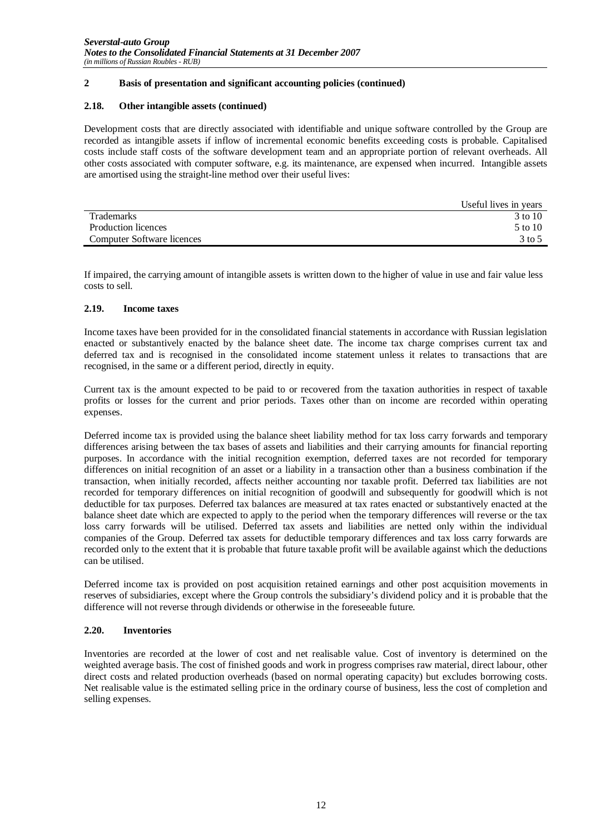#### **2.18. Other intangible assets (continued)**

Development costs that are directly associated with identifiable and unique software controlled by the Group are recorded as intangible assets if inflow of incremental economic benefits exceeding costs is probable. Capitalised costs include staff costs of the software development team and an appropriate portion of relevant overheads. All other costs associated with computer software, e.g. its maintenance, are expensed when incurred. Intangible assets are amortised using the straight-line method over their useful lives:

|                            | Useful lives in years |
|----------------------------|-----------------------|
| <b>Trademarks</b>          | 3 to 10               |
| Production licences        | 5 to 10               |
| Computer Software licences | $3$ to 5              |

If impaired, the carrying amount of intangible assets is written down to the higher of value in use and fair value less costs to sell.

#### **2.19. Income taxes**

Income taxes have been provided for in the consolidated financial statements in accordance with Russian legislation enacted or substantively enacted by the balance sheet date. The income tax charge comprises current tax and deferred tax and is recognised in the consolidated income statement unless it relates to transactions that are recognised, in the same or a different period, directly in equity.

Current tax is the amount expected to be paid to or recovered from the taxation authorities in respect of taxable profits or losses for the current and prior periods. Taxes other than on income are recorded within operating expenses.

Deferred income tax is provided using the balance sheet liability method for tax loss carry forwards and temporary differences arising between the tax bases of assets and liabilities and their carrying amounts for financial reporting purposes. In accordance with the initial recognition exemption, deferred taxes are not recorded for temporary differences on initial recognition of an asset or a liability in a transaction other than a business combination if the transaction, when initially recorded, affects neither accounting nor taxable profit. Deferred tax liabilities are not recorded for temporary differences on initial recognition of goodwill and subsequently for goodwill which is not deductible for tax purposes. Deferred tax balances are measured at tax rates enacted or substantively enacted at the balance sheet date which are expected to apply to the period when the temporary differences will reverse or the tax loss carry forwards will be utilised. Deferred tax assets and liabilities are netted only within the individual companies of the Group. Deferred tax assets for deductible temporary differences and tax loss carry forwards are recorded only to the extent that it is probable that future taxable profit will be available against which the deductions can be utilised.

Deferred income tax is provided on post acquisition retained earnings and other post acquisition movements in reserves of subsidiaries, except where the Group controls the subsidiary's dividend policy and it is probable that the difference will not reverse through dividends or otherwise in the foreseeable future.

#### **2.20. Inventories**

Inventories are recorded at the lower of cost and net realisable value. Cost of inventory is determined on the weighted average basis. The cost of finished goods and work in progress comprises raw material, direct labour, other direct costs and related production overheads (based on normal operating capacity) but excludes borrowing costs. Net realisable value is the estimated selling price in the ordinary course of business, less the cost of completion and selling expenses.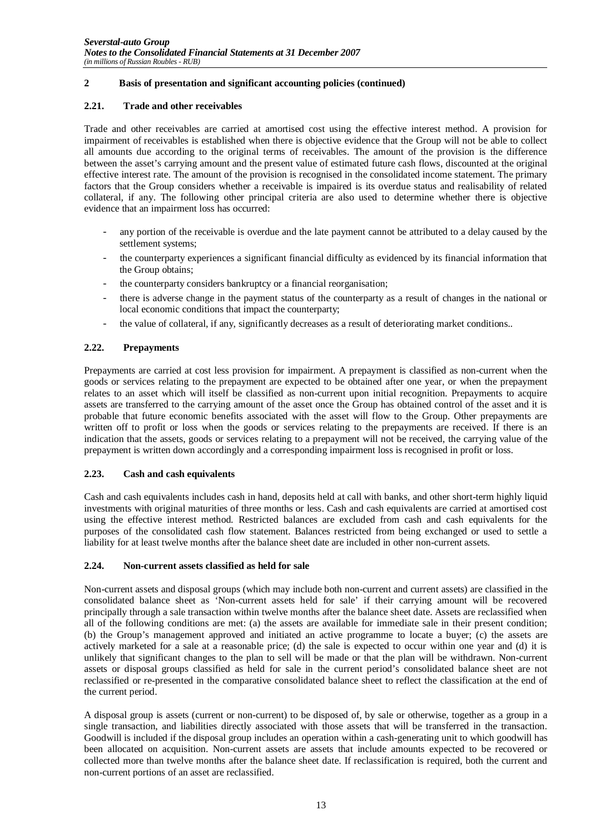#### **2.21. Trade and other receivables**

Trade and other receivables are carried at amortised cost using the effective interest method. A provision for impairment of receivables is established when there is objective evidence that the Group will not be able to collect all amounts due according to the original terms of receivables. The amount of the provision is the difference between the asset's carrying amount and the present value of estimated future cash flows, discounted at the original effective interest rate. The amount of the provision is recognised in the consolidated income statement. The primary factors that the Group considers whether a receivable is impaired is its overdue status and realisability of related collateral, if any. The following other principal criteria are also used to determine whether there is objective evidence that an impairment loss has occurred:

- any portion of the receivable is overdue and the late payment cannot be attributed to a delay caused by the settlement systems;
- the counterparty experiences a significant financial difficulty as evidenced by its financial information that the Group obtains;
- the counterparty considers bankruptcy or a financial reorganisation;
- there is adverse change in the payment status of the counterparty as a result of changes in the national or local economic conditions that impact the counterparty;
- the value of collateral, if any, significantly decreases as a result of deteriorating market conditions..

#### **2.22. Prepayments**

Prepayments are carried at cost less provision for impairment. A prepayment is classified as non-current when the goods or services relating to the prepayment are expected to be obtained after one year, or when the prepayment relates to an asset which will itself be classified as non-current upon initial recognition. Prepayments to acquire assets are transferred to the carrying amount of the asset once the Group has obtained control of the asset and it is probable that future economic benefits associated with the asset will flow to the Group. Other prepayments are written off to profit or loss when the goods or services relating to the prepayments are received. If there is an indication that the assets, goods or services relating to a prepayment will not be received, the carrying value of the prepayment is written down accordingly and a corresponding impairment loss is recognised in profit or loss.

#### **2.23. Cash and cash equivalents**

Cash and cash equivalents includes cash in hand, deposits held at call with banks, and other short-term highly liquid investments with original maturities of three months or less. Cash and cash equivalents are carried at amortised cost using the effective interest method. Restricted balances are excluded from cash and cash equivalents for the purposes of the consolidated cash flow statement. Balances restricted from being exchanged or used to settle a liability for at least twelve months after the balance sheet date are included in other non-current assets.

#### **2.24. Non-current assets classified as held for sale**

Non-current assets and disposal groups (which may include both non-current and current assets) are classified in the consolidated balance sheet as 'Non-current assets held for sale' if their carrying amount will be recovered principally through a sale transaction within twelve months after the balance sheet date. Assets are reclassified when all of the following conditions are met: (a) the assets are available for immediate sale in their present condition; (b) the Group's management approved and initiated an active programme to locate a buyer; (c) the assets are actively marketed for a sale at a reasonable price; (d) the sale is expected to occur within one year and (d) it is unlikely that significant changes to the plan to sell will be made or that the plan will be withdrawn. Non-current assets or disposal groups classified as held for sale in the current period's consolidated balance sheet are not reclassified or re-presented in the comparative consolidated balance sheet to reflect the classification at the end of the current period.

A disposal group is assets (current or non-current) to be disposed of, by sale or otherwise, together as a group in a single transaction, and liabilities directly associated with those assets that will be transferred in the transaction. Goodwill is included if the disposal group includes an operation within a cash-generating unit to which goodwill has been allocated on acquisition. Non-current assets are assets that include amounts expected to be recovered or collected more than twelve months after the balance sheet date. If reclassification is required, both the current and non-current portions of an asset are reclassified.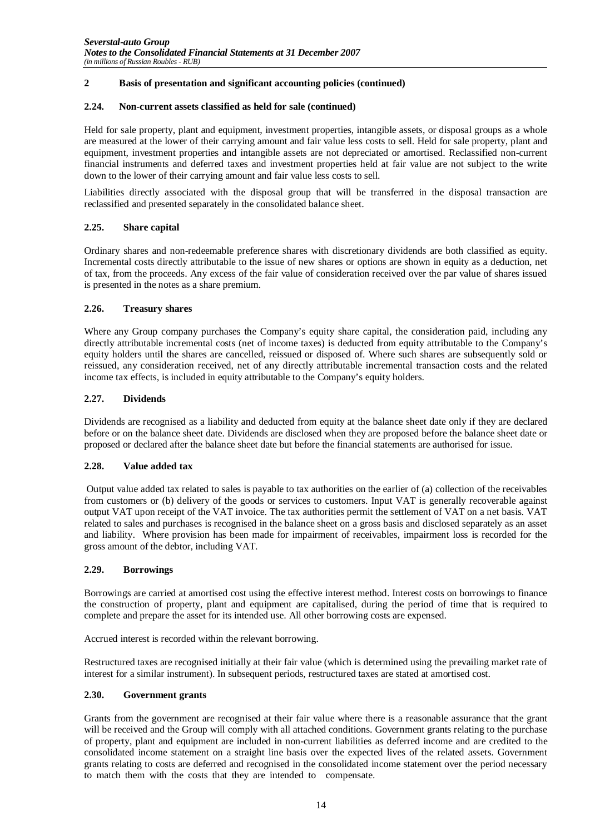#### **2.24. Non-current assets classified as held for sale (continued)**

Held for sale property, plant and equipment, investment properties, intangible assets, or disposal groups as a whole are measured at the lower of their carrying amount and fair value less costs to sell. Held for sale property, plant and equipment, investment properties and intangible assets are not depreciated or amortised. Reclassified non-current financial instruments and deferred taxes and investment properties held at fair value are not subject to the write down to the lower of their carrying amount and fair value less costs to sell.

Liabilities directly associated with the disposal group that will be transferred in the disposal transaction are reclassified and presented separately in the consolidated balance sheet.

#### **2.25. Share capital**

Ordinary shares and non-redeemable preference shares with discretionary dividends are both classified as equity. Incremental costs directly attributable to the issue of new shares or options are shown in equity as a deduction, net of tax, from the proceeds. Any excess of the fair value of consideration received over the par value of shares issued is presented in the notes as a share premium.

#### **2.26. Treasury shares**

Where any Group company purchases the Company's equity share capital, the consideration paid, including any directly attributable incremental costs (net of income taxes) is deducted from equity attributable to the Company's equity holders until the shares are cancelled, reissued or disposed of. Where such shares are subsequently sold or reissued, any consideration received, net of any directly attributable incremental transaction costs and the related income tax effects, is included in equity attributable to the Company's equity holders.

#### **2.27. Dividends**

Dividends are recognised as a liability and deducted from equity at the balance sheet date only if they are declared before or on the balance sheet date. Dividends are disclosed when they are proposed before the balance sheet date or proposed or declared after the balance sheet date but before the financial statements are authorised for issue.

#### **2.28. Value added tax**

Output value added tax related to sales is payable to tax authorities on the earlier of (a) collection of the receivables from customers or (b) delivery of the goods or services to customers. Input VAT is generally recoverable against output VAT upon receipt of the VAT invoice. The tax authorities permit the settlement of VAT on a net basis. VAT related to sales and purchases is recognised in the balance sheet on a gross basis and disclosed separately as an asset and liability. Where provision has been made for impairment of receivables, impairment loss is recorded for the gross amount of the debtor, including VAT.

#### **2.29. Borrowings**

Borrowings are carried at amortised cost using the effective interest method. Interest costs on borrowings to finance the construction of property, plant and equipment are capitalised, during the period of time that is required to complete and prepare the asset for its intended use. All other borrowing costs are expensed.

Accrued interest is recorded within the relevant borrowing.

Restructured taxes are recognised initially at their fair value (which is determined using the prevailing market rate of interest for a similar instrument). In subsequent periods, restructured taxes are stated at amortised cost.

#### **2.30. Government grants**

Grants from the government are recognised at their fair value where there is a reasonable assurance that the grant will be received and the Group will comply with all attached conditions. Government grants relating to the purchase of property, plant and equipment are included in non-current liabilities as deferred income and are credited to the consolidated income statement on a straight line basis over the expected lives of the related assets. Government grants relating to costs are deferred and recognised in the consolidated income statement over the period necessary to match them with the costs that they are intended to compensate.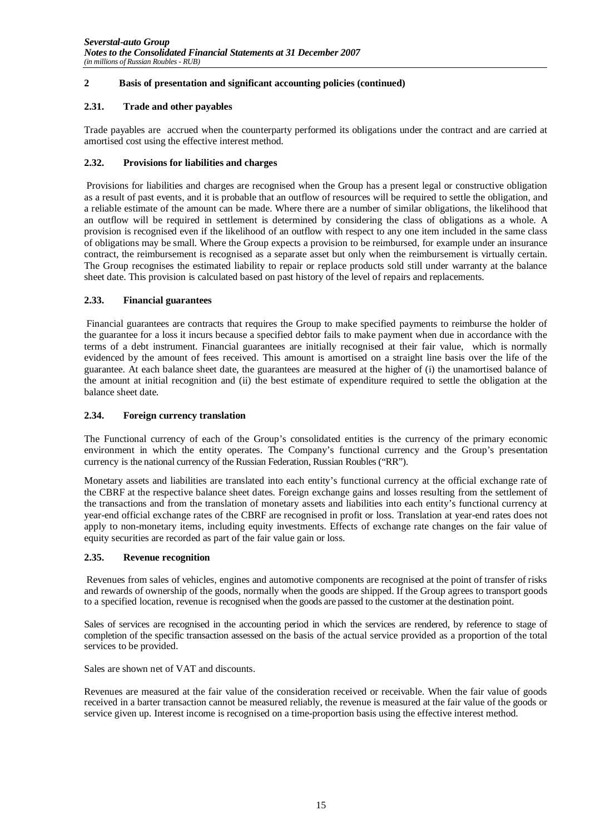#### **2.31. Trade and other payables**

Trade payables are accrued when the counterparty performed its obligations under the contract and are carried at amortised cost using the effective interest method.

#### **2.32. Provisions for liabilities and charges**

Provisions for liabilities and charges are recognised when the Group has a present legal or constructive obligation as a result of past events, and it is probable that an outflow of resources will be required to settle the obligation, and a reliable estimate of the amount can be made. Where there are a number of similar obligations, the likelihood that an outflow will be required in settlement is determined by considering the class of obligations as a whole. A provision is recognised even if the likelihood of an outflow with respect to any one item included in the same class of obligations may be small. Where the Group expects a provision to be reimbursed, for example under an insurance contract, the reimbursement is recognised as a separate asset but only when the reimbursement is virtually certain. The Group recognises the estimated liability to repair or replace products sold still under warranty at the balance sheet date. This provision is calculated based on past history of the level of repairs and replacements.

#### **2.33. Financial guarantees**

Financial guarantees are contracts that requires the Group to make specified payments to reimburse the holder of the guarantee for a loss it incurs because a specified debtor fails to make payment when due in accordance with the terms of a debt instrument. Financial guarantees are initially recognised at their fair value, which is normally evidenced by the amount of fees received. This amount is amortised on a straight line basis over the life of the guarantee. At each balance sheet date, the guarantees are measured at the higher of (i) the unamortised balance of the amount at initial recognition and (ii) the best estimate of expenditure required to settle the obligation at the balance sheet date.

#### **2.34. Foreign currency translation**

The Functional currency of each of the Group's consolidated entities is the currency of the primary economic environment in which the entity operates. The Company's functional currency and the Group's presentation currency is the national currency of the Russian Federation, Russian Roubles ("RR").

Monetary assets and liabilities are translated into each entity's functional currency at the official exchange rate of the CBRF at the respective balance sheet dates. Foreign exchange gains and losses resulting from the settlement of the transactions and from the translation of monetary assets and liabilities into each entity's functional currency at year-end official exchange rates of the CBRF are recognised in profit or loss. Translation at year-end rates does not apply to non-monetary items, including equity investments. Effects of exchange rate changes on the fair value of equity securities are recorded as part of the fair value gain or loss.

#### **2.35. Revenue recognition**

Revenues from sales of vehicles, engines and automotive components are recognised at the point of transfer of risks and rewards of ownership of the goods, normally when the goods are shipped. If the Group agrees to transport goods to a specified location, revenue is recognised when the goods are passed to the customer at the destination point.

Sales of services are recognised in the accounting period in which the services are rendered, by reference to stage of completion of the specific transaction assessed on the basis of the actual service provided as a proportion of the total services to be provided.

Sales are shown net of VAT and discounts.

Revenues are measured at the fair value of the consideration received or receivable. When the fair value of goods received in a barter transaction cannot be measured reliably, the revenue is measured at the fair value of the goods or service given up. Interest income is recognised on a time-proportion basis using the effective interest method.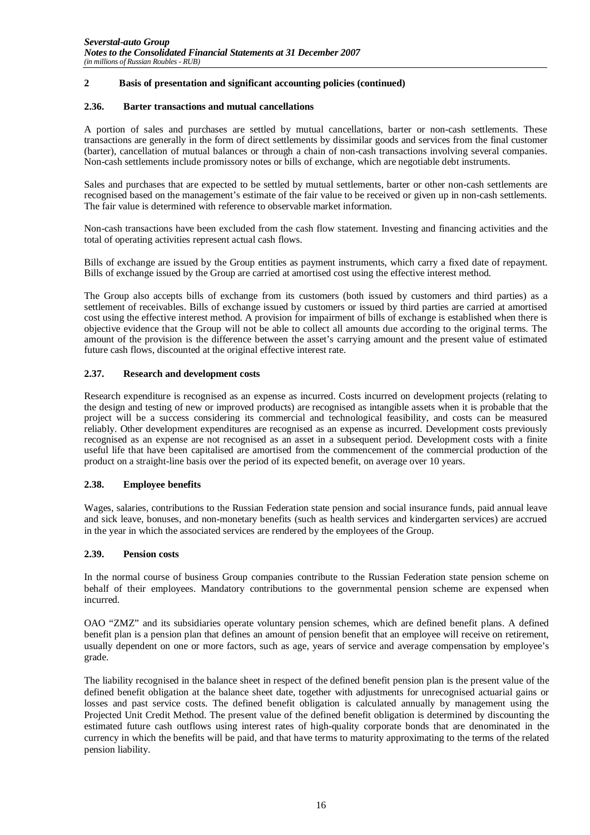#### **2.36. Barter transactions and mutual cancellations**

A portion of sales and purchases are settled by mutual cancellations, barter or non-cash settlements. These transactions are generally in the form of direct settlements by dissimilar goods and services from the final customer (barter), cancellation of mutual balances or through a chain of non-cash transactions involving several companies. Non-cash settlements include promissory notes or bills of exchange, which are negotiable debt instruments.

Sales and purchases that are expected to be settled by mutual settlements, barter or other non-cash settlements are recognised based on the management's estimate of the fair value to be received or given up in non-cash settlements. The fair value is determined with reference to observable market information.

Non-cash transactions have been excluded from the cash flow statement. Investing and financing activities and the total of operating activities represent actual cash flows.

Bills of exchange are issued by the Group entities as payment instruments, which carry a fixed date of repayment. Bills of exchange issued by the Group are carried at amortised cost using the effective interest method.

The Group also accepts bills of exchange from its customers (both issued by customers and third parties) as a settlement of receivables. Bills of exchange issued by customers or issued by third parties are carried at amortised cost using the effective interest method. A provision for impairment of bills of exchange is established when there is objective evidence that the Group will not be able to collect all amounts due according to the original terms. The amount of the provision is the difference between the asset's carrying amount and the present value of estimated future cash flows, discounted at the original effective interest rate.

#### **2.37. Research and development costs**

Research expenditure is recognised as an expense as incurred. Costs incurred on development projects (relating to the design and testing of new or improved products) are recognised as intangible assets when it is probable that the project will be a success considering its commercial and technological feasibility, and costs can be measured reliably. Other development expenditures are recognised as an expense as incurred. Development costs previously recognised as an expense are not recognised as an asset in a subsequent period. Development costs with a finite useful life that have been capitalised are amortised from the commencement of the commercial production of the product on a straight-line basis over the period of its expected benefit, on average over 10 years.

#### **2.38. Employee benefits**

Wages, salaries, contributions to the Russian Federation state pension and social insurance funds, paid annual leave and sick leave, bonuses, and non-monetary benefits (such as health services and kindergarten services) are accrued in the year in which the associated services are rendered by the employees of the Group.

#### **2.39. Pension costs**

In the normal course of business Group companies contribute to the Russian Federation state pension scheme on behalf of their employees. Mandatory contributions to the governmental pension scheme are expensed when incurred.

OAO "ZMZ" and its subsidiaries operate voluntary pension schemes, which are defined benefit plans. A defined benefit plan is a pension plan that defines an amount of pension benefit that an employee will receive on retirement, usually dependent on one or more factors, such as age, years of service and average compensation by employee's grade.

The liability recognised in the balance sheet in respect of the defined benefit pension plan is the present value of the defined benefit obligation at the balance sheet date, together with adjustments for unrecognised actuarial gains or losses and past service costs. The defined benefit obligation is calculated annually by management using the Projected Unit Credit Method. The present value of the defined benefit obligation is determined by discounting the estimated future cash outflows using interest rates of high-quality corporate bonds that are denominated in the currency in which the benefits will be paid, and that have terms to maturity approximating to the terms of the related pension liability.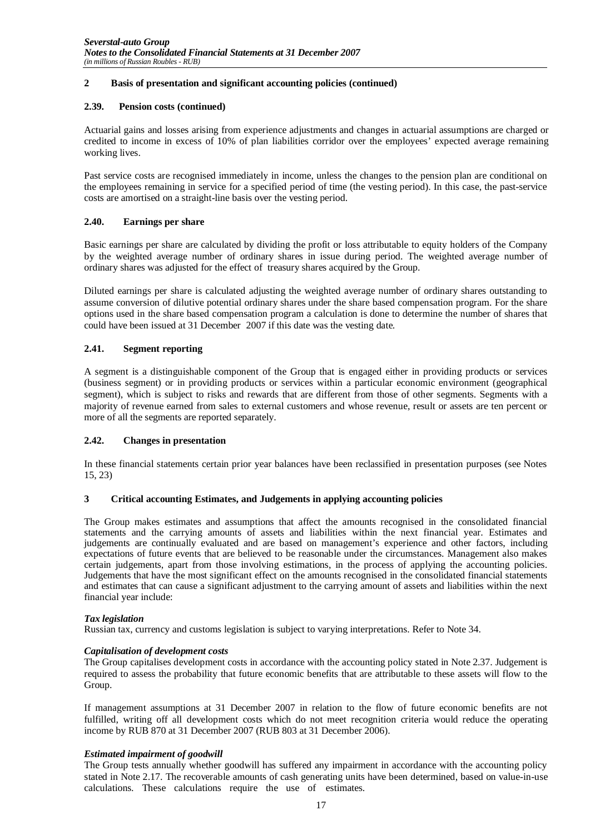#### **2.39. Pension costs (continued)**

Actuarial gains and losses arising from experience adjustments and changes in actuarial assumptions are charged or credited to income in excess of 10% of plan liabilities corridor over the employees' expected average remaining working lives.

Past service costs are recognised immediately in income, unless the changes to the pension plan are conditional on the employees remaining in service for a specified period of time (the vesting period). In this case, the past-service costs are amortised on a straight-line basis over the vesting period.

#### **2.40. Earnings per share**

Basic earnings per share are calculated by dividing the profit or loss attributable to equity holders of the Company by the weighted average number of ordinary shares in issue during period. The weighted average number of ordinary shares was adjusted for the effect of treasury shares acquired by the Group.

Diluted earnings per share is calculated adjusting the weighted average number of ordinary shares outstanding to assume conversion of dilutive potential ordinary shares under the share based compensation program. For the share options used in the share based compensation program a calculation is done to determine the number of shares that could have been issued at 31 December 2007 if this date was the vesting date.

#### **2.41. Segment reporting**

A segment is a distinguishable component of the Group that is engaged either in providing products or services (business segment) or in providing products or services within a particular economic environment (geographical segment), which is subject to risks and rewards that are different from those of other segments. Segments with a majority of revenue earned from sales to external customers and whose revenue, result or assets are ten percent or more of all the segments are reported separately.

#### **2.42. Changes in presentation**

In these financial statements certain prior year balances have been reclassified in presentation purposes (see Notes 15, 23)

#### **3 Critical accounting Estimates, and Judgements in applying accounting policies**

The Group makes estimates and assumptions that affect the amounts recognised in the consolidated financial statements and the carrying amounts of assets and liabilities within the next financial year. Estimates and judgements are continually evaluated and are based on management's experience and other factors, including expectations of future events that are believed to be reasonable under the circumstances. Management also makes certain judgements, apart from those involving estimations, in the process of applying the accounting policies. Judgements that have the most significant effect on the amounts recognised in the consolidated financial statements and estimates that can cause a significant adjustment to the carrying amount of assets and liabilities within the next financial year include:

#### *Tax legislation*

Russian tax, currency and customs legislation is subject to varying interpretations. Refer to Note 34.

#### *Capitalisation of development costs*

The Group capitalises development costs in accordance with the accounting policy stated in Note 2.37. Judgement is required to assess the probability that future economic benefits that are attributable to these assets will flow to the Group.

If management assumptions at 31 December 2007 in relation to the flow of future economic benefits are not fulfilled, writing off all development costs which do not meet recognition criteria would reduce the operating income by RUB 870 at 31 December 2007 (RUB 803 at 31 December 2006).

#### *Estimated impairment of goodwill*

The Group tests annually whether goodwill has suffered any impairment in accordance with the accounting policy stated in Note 2.17. The recoverable amounts of cash generating units have been determined, based on value-in-use calculations. These calculations require the use of estimates.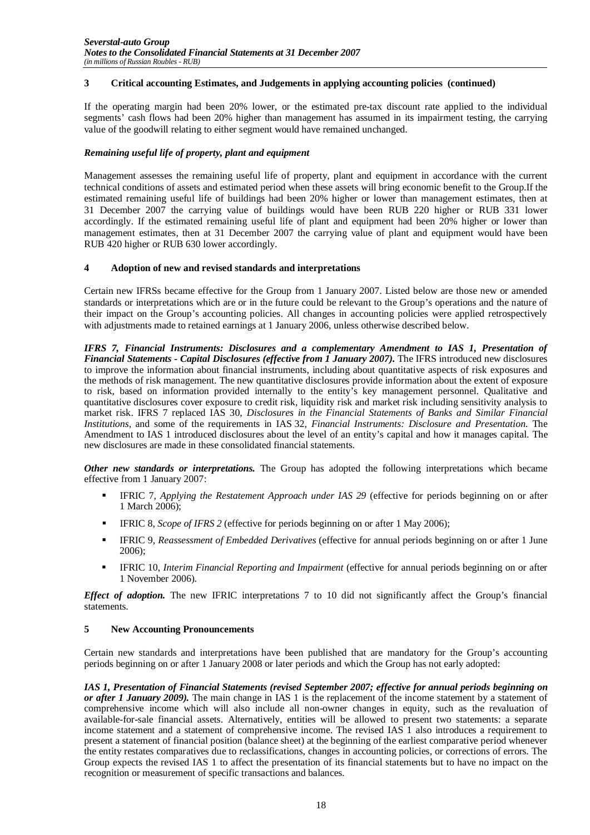#### **3 Critical accounting Estimates, and Judgements in applying accounting policies (continued)**

If the operating margin had been 20% lower, or the estimated pre-tax discount rate applied to the individual segments' cash flows had been 20% higher than management has assumed in its impairment testing, the carrying value of the goodwill relating to either segment would have remained unchanged.

#### *Remaining useful life of property, plant and equipment*

Management assesses the remaining useful life of property, plant and equipment in accordance with the current technical conditions of assets and estimated period when these assets will bring economic benefit to the Group.If the estimated remaining useful life of buildings had been 20% higher or lower than management estimates, then at 31 December 2007 the carrying value of buildings would have been RUB 220 higher or RUB 331 lower accordingly. If the estimated remaining useful life of plant and equipment had been 20% higher or lower than management estimates, then at 31 December 2007 the carrying value of plant and equipment would have been RUB 420 higher or RUB 630 lower accordingly.

#### **4 Adoption of new and revised standards and interpretations**

Certain new IFRSs became effective for the Group from 1 January 2007. Listed below are those new or amended standards or interpretations which are or in the future could be relevant to the Group's operations and the nature of their impact on the Group's accounting policies. All changes in accounting policies were applied retrospectively with adjustments made to retained earnings at 1 January 2006, unless otherwise described below.

*IFRS 7, Financial Instruments: Disclosures and a complementary Amendment to IAS 1, Presentation of Financial Statements - Capital Disclosures (effective from 1 January 2007).* The IFRS introduced new disclosures to improve the information about financial instruments, including about quantitative aspects of risk exposures and the methods of risk management. The new quantitative disclosures provide information about the extent of exposure to risk, based on information provided internally to the entity's key management personnel. Qualitative and quantitative disclosures cover exposure to credit risk, liquidity risk and market risk including sensitivity analysis to market risk. IFRS 7 replaced IAS 30, *Disclosures in the Financial Statements of Banks and Similar Financial Institutions*, and some of the requirements in IAS 32, *Financial Instruments: Disclosure and Presentation*. The Amendment to IAS 1 introduced disclosures about the level of an entity's capital and how it manages capital. The new disclosures are made in these consolidated financial statements.

*Other new standards or interpretations.* The Group has adopted the following interpretations which became effective from 1 January 2007:

- IFRIC 7, *Applying the Restatement Approach under IAS 29* (effective for periods beginning on or after 1 March 2006);
- IFRIC 8, *Scope of IFRS 2* (effective for periods beginning on or after 1 May 2006);
- IFRIC 9, *Reassessment of Embedded Derivatives* (effective for annual periods beginning on or after 1 June 2006);
- IFRIC 10, *Interim Financial Reporting and Impairment* (effective for annual periods beginning on or after 1 November 2006).

*Effect of adoption.* The new IFRIC interpretations 7 to 10 did not significantly affect the Group's financial statements.

#### **5 New Accounting Pronouncements**

Certain new standards and interpretations have been published that are mandatory for the Group's accounting periods beginning on or after 1 January 2008 or later periods and which the Group has not early adopted:

*IAS 1, Presentation of Financial Statements (revised September 2007; effective for annual periods beginning on or after 1 January 2009).* The main change in IAS 1 is the replacement of the income statement by a statement of comprehensive income which will also include all non-owner changes in equity, such as the revaluation of available-for-sale financial assets. Alternatively, entities will be allowed to present two statements: a separate income statement and a statement of comprehensive income. The revised IAS 1 also introduces a requirement to present a statement of financial position (balance sheet) at the beginning of the earliest comparative period whenever the entity restates comparatives due to reclassifications, changes in accounting policies, or corrections of errors. The Group expects the revised IAS 1 to affect the presentation of its financial statements but to have no impact on the recognition or measurement of specific transactions and balances.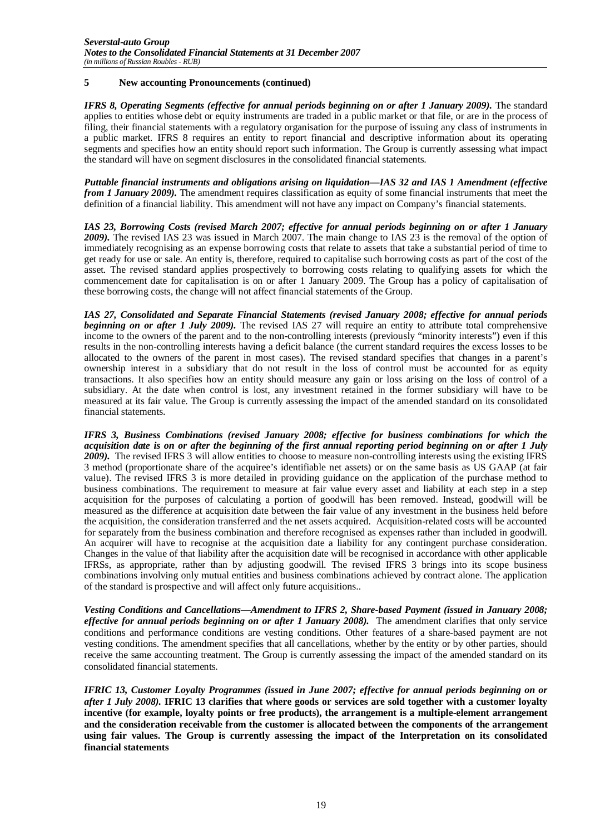#### **5 New accounting Pronouncements (continued)**

*IFRS 8, Operating Segments (effective for annual periods beginning on or after 1 January 2009).* The standard applies to entities whose debt or equity instruments are traded in a public market or that file, or are in the process of filing, their financial statements with a regulatory organisation for the purpose of issuing any class of instruments in a public market. IFRS 8 requires an entity to report financial and descriptive information about its operating segments and specifies how an entity should report such information. The Group is currently assessing what impact the standard will have on segment disclosures in the consolidated financial statements.

*Puttable financial instruments and obligations arising on liquidation—IAS 32 and IAS 1 Amendment (effective from 1 January 2009).* The amendment requires classification as equity of some financial instruments that meet the definition of a financial liability. This amendment will not have any impact on Company's financial statements.

*IAS 23, Borrowing Costs (revised March 2007; effective for annual periods beginning on or after 1 January 2009).* The revised IAS 23 was issued in March 2007. The main change to IAS 23 is the removal of the option of immediately recognising as an expense borrowing costs that relate to assets that take a substantial period of time to get ready for use or sale. An entity is, therefore, required to capitalise such borrowing costs as part of the cost of the asset. The revised standard applies prospectively to borrowing costs relating to qualifying assets for which the commencement date for capitalisation is on or after 1 January 2009. The Group has a policy of capitalisation of these borrowing costs, the change will not affect financial statements of the Group.

*IAS 27, Consolidated and Separate Financial Statements (revised January 2008; effective for annual periods beginning on or after 1 July 2009).* The revised IAS 27 will require an entity to attribute total comprehensive income to the owners of the parent and to the non-controlling interests (previously "minority interests") even if this results in the non-controlling interests having a deficit balance (the current standard requires the excess losses to be allocated to the owners of the parent in most cases). The revised standard specifies that changes in a parent's ownership interest in a subsidiary that do not result in the loss of control must be accounted for as equity transactions. It also specifies how an entity should measure any gain or loss arising on the loss of control of a subsidiary. At the date when control is lost, any investment retained in the former subsidiary will have to be measured at its fair value. The Group is currently assessing the impact of the amended standard on its consolidated financial statements.

*IFRS 3, Business Combinations (revised January 2008; effective for business combinations for which the acquisition date is on or after the beginning of the first annual reporting period beginning on or after 1 July 2009).* The revised IFRS 3 will allow entities to choose to measure non-controlling interests using the existing IFRS 3 method (proportionate share of the acquiree's identifiable net assets) or on the same basis as US GAAP (at fair value). The revised IFRS 3 is more detailed in providing guidance on the application of the purchase method to business combinations. The requirement to measure at fair value every asset and liability at each step in a step acquisition for the purposes of calculating a portion of goodwill has been removed. Instead, goodwill will be measured as the difference at acquisition date between the fair value of any investment in the business held before the acquisition, the consideration transferred and the net assets acquired. Acquisition-related costs will be accounted for separately from the business combination and therefore recognised as expenses rather than included in goodwill. An acquirer will have to recognise at the acquisition date a liability for any contingent purchase consideration. Changes in the value of that liability after the acquisition date will be recognised in accordance with other applicable IFRSs, as appropriate, rather than by adjusting goodwill. The revised IFRS 3 brings into its scope business combinations involving only mutual entities and business combinations achieved by contract alone. The application of the standard is prospective and will affect only future acquisitions..

*Vesting Conditions and Cancellations—Amendment to IFRS 2, Share-based Payment (issued in January 2008; effective for annual periods beginning on or after 1 January 2008).* The amendment clarifies that only service conditions and performance conditions are vesting conditions. Other features of a share-based payment are not vesting conditions. The amendment specifies that all cancellations, whether by the entity or by other parties, should receive the same accounting treatment. The Group is currently assessing the impact of the amended standard on its consolidated financial statements.

*IFRIC 13, Customer Loyalty Programmes (issued in June 2007; effective for annual periods beginning on or after 1 July 2008).* **IFRIC 13 clarifies that where goods or services are sold together with a customer loyalty incentive (for example, loyalty points or free products), the arrangement is a multiple-element arrangement and the consideration receivable from the customer is allocated between the components of the arrangement using fair values. The Group is currently assessing the impact of the Interpretation on its consolidated financial statements**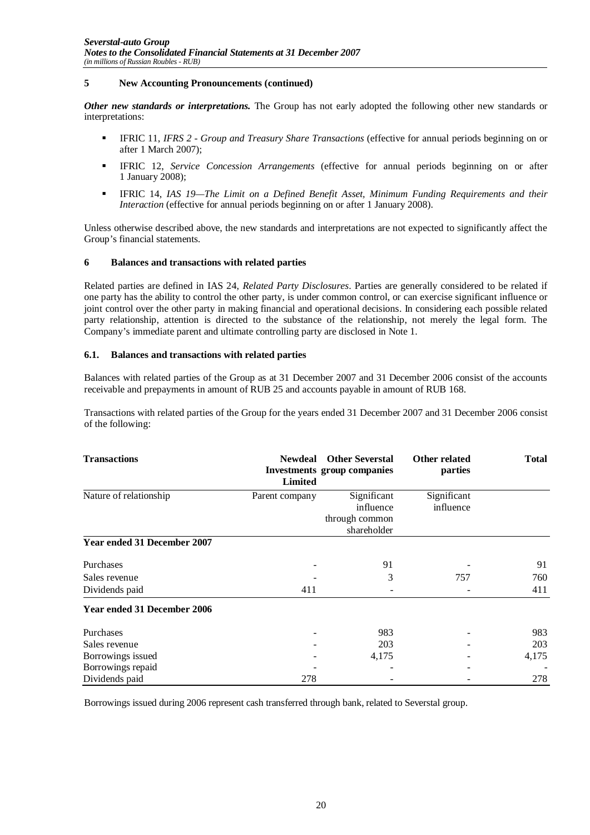#### **5 New Accounting Pronouncements (continued)**

*Other new standards or interpretations.* The Group has not early adopted the following other new standards or interpretations:

- IFRIC 11, *IFRS 2 Group and Treasury Share Transactions* (effective for annual periods beginning on or after 1 March 2007);
- IFRIC 12, *Service Concession Arrangements* (effective for annual periods beginning on or after 1 January 2008);
- IFRIC 14, *IAS 19—The Limit on a Defined Benefit Asset, Minimum Funding Requirements and their Interaction* (effective for annual periods beginning on or after 1 January 2008).

Unless otherwise described above, the new standards and interpretations are not expected to significantly affect the Group's financial statements.

#### **6 Balances and transactions with related parties**

Related parties are defined in IAS 24, *Related Party Disclosures*. Parties are generally considered to be related if one party has the ability to control the other party, is under common control, or can exercise significant influence or joint control over the other party in making financial and operational decisions. In considering each possible related party relationship, attention is directed to the substance of the relationship, not merely the legal form. The Company's immediate parent and ultimate controlling party are disclosed in Note 1.

#### **6.1. Balances and transactions with related parties**

Balances with related parties of the Group as at 31 December 2007 and 31 December 2006 consist of the accounts receivable and prepayments in amount of RUB 25 and accounts payable in amount of RUB 168.

Transactions with related parties of the Group for the years ended 31 December 2007 and 31 December 2006 consist of the following:

| <b>Transactions</b>                | <b>Newdeal</b><br><b>Limited</b> | <b>Other Severstal</b><br><b>Investments group companies</b> | Other related<br>parties | <b>Total</b> |
|------------------------------------|----------------------------------|--------------------------------------------------------------|--------------------------|--------------|
| Nature of relationship             | Parent company                   | Significant                                                  | Significant              |              |
|                                    |                                  | influence                                                    | influence                |              |
|                                    |                                  | through common<br>shareholder                                |                          |              |
| <b>Year ended 31 December 2007</b> |                                  |                                                              |                          |              |
| Purchases                          |                                  | 91                                                           |                          | 91           |
| Sales revenue                      |                                  | 3                                                            | 757                      | 760          |
| Dividends paid                     | 411                              |                                                              |                          | 411          |
| <b>Year ended 31 December 2006</b> |                                  |                                                              |                          |              |
| Purchases                          |                                  | 983                                                          |                          | 983          |
| Sales revenue                      |                                  | 203                                                          |                          | 203          |
| Borrowings issued                  |                                  | 4,175                                                        |                          | 4,175        |
| Borrowings repaid                  |                                  |                                                              |                          |              |
| Dividends paid                     | 278                              |                                                              |                          | 278          |

Borrowings issued during 2006 represent cash transferred through bank, related to Severstal group.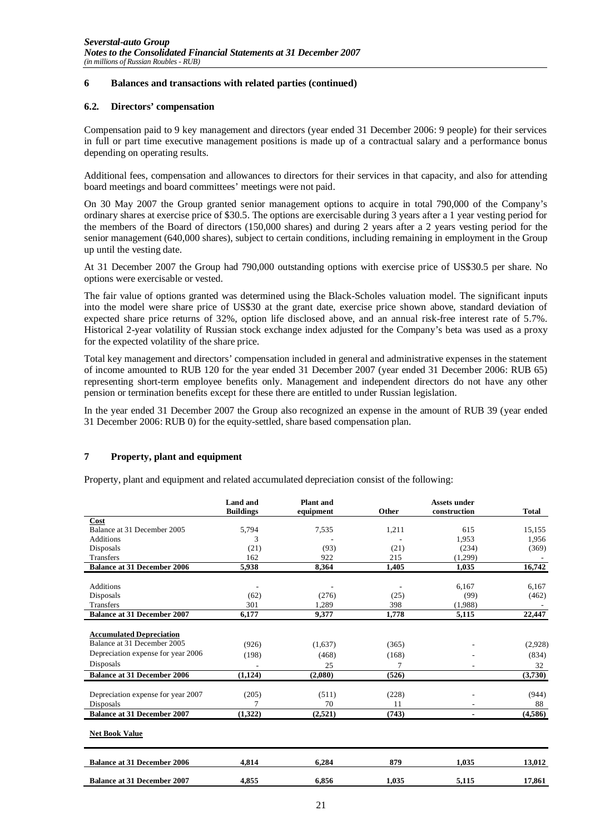#### **6 Balances and transactions with related parties (continued)**

#### **6.2. Directors' compensation**

Compensation paid to 9 key management and directors (year ended 31 December 2006: 9 people) for their services in full or part time executive management positions is made up of a contractual salary and a performance bonus depending on operating results.

Additional fees, compensation and allowances to directors for their services in that capacity, and also for attending board meetings and board committees' meetings were not paid.

On 30 May 2007 the Group granted senior management options to acquire in total 790,000 of the Company's ordinary shares at exercise price of \$30.5. The options are exercisable during 3 years after a 1 year vesting period for the members of the Board of directors (150,000 shares) and during 2 years after a 2 years vesting period for the senior management (640,000 shares), subject to certain conditions, including remaining in employment in the Group up until the vesting date.

At 31 December 2007 the Group had 790,000 outstanding options with exercise price of US\$30.5 per share. No options were exercisable or vested.

The fair value of options granted was determined using the Black-Scholes valuation model. The significant inputs into the model were share price of US\$30 at the grant date, exercise price shown above, standard deviation of expected share price returns of 32%, option life disclosed above, and an annual risk-free interest rate of 5.7%. Historical 2-year volatility of Russian stock exchange index adjusted for the Company's beta was used as a proxy for the expected volatility of the share price.

Total key management and directors' compensation included in general and administrative expenses in the statement of income amounted to RUB 120 for the year ended 31 December 2007 (year ended 31 December 2006: RUB 65) representing short-term employee benefits only. Management and independent directors do not have any other pension or termination benefits except for these there are entitled to under Russian legislation.

In the year ended 31 December 2007 the Group also recognized an expense in the amount of RUB 39 (year ended 31 December 2006: RUB 0) for the equity-settled, share based compensation plan.

#### **7 Property, plant and equipment**

Property, plant and equipment and related accumulated depreciation consist of the following:

|                                    | <b>Land</b> and<br><b>Buildings</b> | <b>Plant</b> and<br>equipment | Other | <b>Assets under</b><br>construction | <b>Total</b> |
|------------------------------------|-------------------------------------|-------------------------------|-------|-------------------------------------|--------------|
| Cost                               |                                     |                               |       |                                     |              |
| Balance at 31 December 2005        | 5,794                               | 7,535                         | 1,211 | 615                                 | 15,155       |
| Additions                          | 3                                   |                               |       | 1,953                               | 1,956        |
| Disposals                          | (21)                                | (93)                          | (21)  | (234)                               | (369)        |
| <b>Transfers</b>                   | 162                                 | 922                           | 215   | (1,299)                             |              |
| <b>Balance at 31 December 2006</b> | 5,938                               | 8,364                         | 1,405 | 1,035                               | 16,742       |
|                                    |                                     |                               |       |                                     |              |
| <b>Additions</b>                   |                                     |                               |       | 6,167                               | 6,167        |
| Disposals                          | (62)                                | (276)                         | (25)  | (99)                                | (462)        |
| <b>Transfers</b>                   | 301                                 | 1,289                         | 398   | (1,988)                             |              |
| <b>Balance at 31 December 2007</b> | 6.177                               | 9.377                         | 1.778 | 5,115                               | 22,447       |
|                                    |                                     |                               |       |                                     |              |
| <b>Accumulated Depreciation</b>    |                                     |                               |       |                                     |              |
| Balance at 31 December 2005        | (926)                               | (1,637)                       | (365) |                                     | (2,928)      |
| Depreciation expense for year 2006 | (198)                               | (468)                         | (168) |                                     | (834)        |
| Disposals                          |                                     | 25                            |       |                                     | 32           |
| <b>Balance at 31 December 2006</b> | (1, 124)                            | (2,080)                       | (526) |                                     | (3,730)      |
|                                    |                                     |                               |       |                                     |              |
| Depreciation expense for year 2007 | (205)                               | (511)                         | (228) |                                     | (944)        |
| Disposals                          |                                     | 70                            | 11    |                                     | 88           |
| <b>Balance at 31 December 2007</b> | (1,322)                             | (2,521)                       | (743) |                                     | (4,586)      |
| <b>Net Book Value</b>              |                                     |                               |       |                                     |              |
| <b>Balance at 31 December 2006</b> | 4.814                               | 6.284                         | 879   | 1.035                               | 13,012       |
| <b>Balance at 31 December 2007</b> | 4,855                               | 6.856                         | 1,035 | 5,115                               | 17,861       |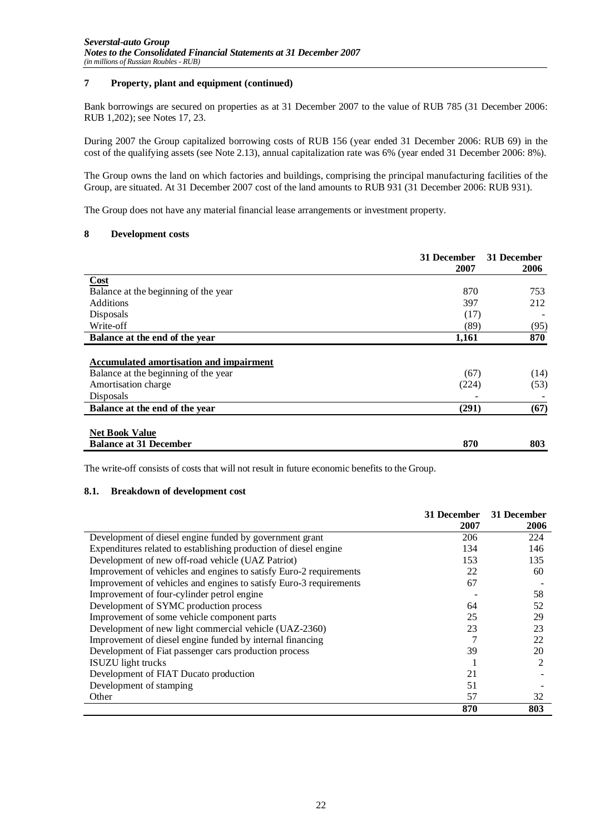#### **7 Property, plant and equipment (continued)**

Bank borrowings are secured on properties as at 31 December 2007 to the value of RUB 785 (31 December 2006: RUB 1,202); see Notes 17, 23.

During 2007 the Group capitalized borrowing costs of RUB 156 (year ended 31 December 2006: RUB 69) in the cost of the qualifying assets (see Note 2.13), annual capitalization rate was 6% (year ended 31 December 2006: 8%).

The Group owns the land on which factories and buildings, comprising the principal manufacturing facilities of the Group, are situated. At 31 December 2007 cost of the land amounts to RUB 931 (31 December 2006: RUB 931).

The Group does not have any material financial lease arrangements or investment property.

#### **8 Development costs**

|                                                | 31 December<br>2007 | 31 December<br>2006 |
|------------------------------------------------|---------------------|---------------------|
| <b>Cost</b>                                    |                     |                     |
| Balance at the beginning of the year           | 870                 | 753                 |
| <b>Additions</b>                               | 397                 | 212                 |
| Disposals                                      | (17)                |                     |
| Write-off                                      | (89)                | (95)                |
| Balance at the end of the year                 | 1,161               | 870                 |
| <b>Accumulated amortisation and impairment</b> |                     |                     |
| Balance at the beginning of the year           | (67)                | (14)                |
| Amortisation charge                            | (224)               | (53)                |
| Disposals                                      |                     |                     |
| Balance at the end of the year                 | (291)               | (67)                |
|                                                |                     |                     |
| <b>Net Book Value</b>                          |                     |                     |
| <b>Balance at 31 December</b>                  | 870                 | 803                 |

The write-off consists of costs that will not result in future economic benefits to the Group.

#### **8.1. Breakdown of development cost**

|                                                                    | 31 December | 31 December    |
|--------------------------------------------------------------------|-------------|----------------|
|                                                                    | 2007        | 2006           |
| Development of diesel engine funded by government grant            | 206         | 224            |
| Expenditures related to establishing production of diesel engine   | 134         | 146            |
| Development of new off-road vehicle (UAZ Patriot)                  | 153         | 135            |
| Improvement of vehicles and engines to satisfy Euro-2 requirements | 22          | 60             |
| Improvement of vehicles and engines to satisfy Euro-3 requirements | 67          |                |
| Improvement of four-cylinder petrol engine                         |             | 58             |
| Development of SYMC production process                             | 64          | 52             |
| Improvement of some vehicle component parts                        | 25          | 29             |
| Development of new light commercial vehicle (UAZ-2360)             | 23          | 23             |
| Improvement of diesel engine funded by internal financing          |             | 22             |
| Development of Fiat passenger cars production process              | 39          | 20             |
| <b>ISUZU</b> light trucks                                          |             | $\mathfrak{D}$ |
| Development of FIAT Ducato production                              | 21          |                |
| Development of stamping                                            | 51          |                |
| Other                                                              | 57          | 32             |
|                                                                    | 870         | 803            |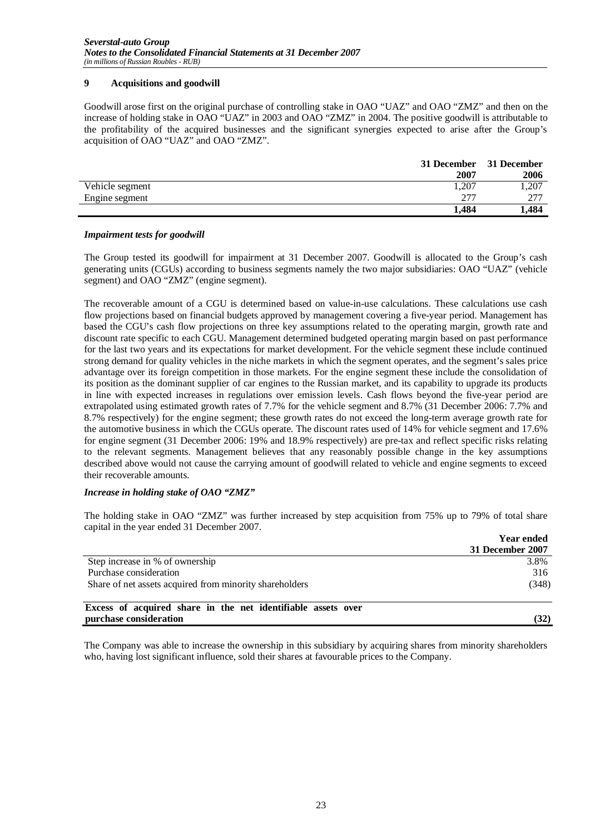#### **9 Acquisitions and goodwill**

Goodwill arose first on the original purchase of controlling stake in OAO "UAZ" and OAO "ZMZ" and then on the increase of holding stake in OAO "UAZ" in 2003 and OAO "ZMZ" in 2004. The positive goodwill is attributable to the profitability of the acquired businesses and the significant synergies expected to arise after the Group's acquisition of OAO "UAZ" and OAO "ZMZ".

|                 | 31 December | 31 December |
|-----------------|-------------|-------------|
|                 | 2007        | 2006        |
| Vehicle segment | 1,207       | .,207       |
| Engine segment  | 277         | - 277       |
|                 | 1.484       | 1,484       |

#### *Impairment tests for goodwill*

The Group tested its goodwill for impairment at 31 December 2007. Goodwill is allocated to the Group's cash generating units (CGUs) according to business segments namely the two major subsidiaries: OAO "UAZ" (vehicle segment) and OAO "ZMZ" (engine segment).

The recoverable amount of a CGU is determined based on value-in-use calculations. These calculations use cash flow projections based on financial budgets approved by management covering a five-year period. Management has based the CGU's cash flow projections on three key assumptions related to the operating margin, growth rate and discount rate specific to each CGU. Management determined budgeted operating margin based on past performance for the last two years and its expectations for market development. For the vehicle segment these include continued strong demand for quality vehicles in the niche markets in which the segment operates, and the segment's sales price advantage over its foreign competition in those markets. For the engine segment these include the consolidation of its position as the dominant supplier of car engines to the Russian market, and its capability to upgrade its products in line with expected increases in regulations over emission levels. Cash flows beyond the five-year period are extrapolated using estimated growth rates of 7.7% for the vehicle segment and 8.7% (31 December 2006: 7.7% and 8.7% respectively) for the engine segment; these growth rates do not exceed the long-term average growth rate for the automotive business in which the CGUs operate. The discount rates used of 14% for vehicle segment and 17.6% for engine segment (31 December 2006: 19% and 18.9% respectively) are pre-tax and reflect specific risks relating to the relevant segments. Management believes that any reasonably possible change in the key assumptions described above would not cause the carrying amount of goodwill related to vehicle and engine segments to exceed their recoverable amounts.

#### *Increase in holding stake of OAO "ZMZ"*

The holding stake in OAO "ZMZ" was further increased by step acquisition from 75% up to 79% of total share capital in the year ended 31 December 2007.

|                                                              | <b>Year ended</b> |
|--------------------------------------------------------------|-------------------|
|                                                              | 31 December 2007  |
| Step increase in % of ownership                              | 3.8%              |
| Purchase consideration                                       | 316               |
| Share of net assets acquired from minority shareholders      | (348)             |
| Excess of acquired share in the net identifiable assets over |                   |
| purchase consideration                                       | (32)              |

The Company was able to increase the ownership in this subsidiary by acquiring shares from minority shareholders who, having lost significant influence, sold their shares at favourable prices to the Company.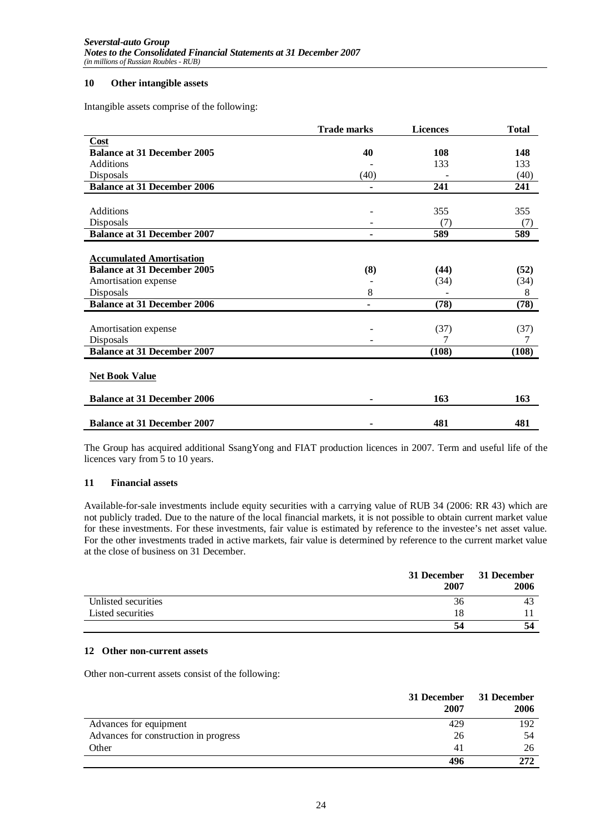#### **10 Other intangible assets**

Intangible assets comprise of the following:

|                                    | <b>Trade marks</b>       | <b>Licences</b> | <b>Total</b> |
|------------------------------------|--------------------------|-----------------|--------------|
| Cost                               |                          |                 |              |
| <b>Balance at 31 December 2005</b> | 40                       | 108             | 148          |
| <b>Additions</b>                   |                          | 133             | 133          |
| Disposals                          | (40)                     |                 | (40)         |
| <b>Balance at 31 December 2006</b> | ٠                        | 241             | 241          |
|                                    |                          |                 |              |
| Additions                          |                          | 355             | 355          |
| Disposals                          | $\overline{\phantom{a}}$ | (7)             | (7)          |
| <b>Balance at 31 December 2007</b> | ۰                        | 589             | 589          |
|                                    |                          |                 |              |
| <b>Accumulated Amortisation</b>    |                          |                 |              |
| <b>Balance at 31 December 2005</b> | (8)                      | (44)            | (52)         |
| Amortisation expense               |                          | (34)            | (34)         |
| Disposals                          | 8                        |                 | 8            |
| <b>Balance at 31 December 2006</b> |                          | (78)            | (78)         |
|                                    |                          |                 |              |
| Amortisation expense               |                          | (37)            | (37)         |
| Disposals                          |                          |                 |              |
| <b>Balance at 31 December 2007</b> |                          | (108)           | (108)        |
|                                    |                          |                 |              |
| <b>Net Book Value</b>              |                          |                 |              |
| <b>Balance at 31 December 2006</b> |                          | 163             | 163          |
|                                    | ۰                        |                 |              |
|                                    |                          |                 |              |
| <b>Balance at 31 December 2007</b> | ۰                        | 481             | 481          |

The Group has acquired additional SsangYong and FIAT production licences in 2007. Term and useful life of the licences vary from 5 to 10 years.

#### **11 Financial assets**

Available-for-sale investments include equity securities with a carrying value of RUB 34 (2006: RR 43) which are not publicly traded. Due to the nature of the local financial markets, it is not possible to obtain current market value for these investments. For these investments, fair value is estimated by reference to the investee's net asset value. For the other investments traded in active markets, fair value is determined by reference to the current market value at the close of business on 31 December.

|                     | 31 December<br>2007 | 31 December<br>2006 |
|---------------------|---------------------|---------------------|
| Unlisted securities | 36                  |                     |
| Listed securities   | 18                  |                     |
|                     | 54                  | 54                  |

#### **12 Other non-current assets**

Other non-current assets consist of the following:

|                                       | 31 December<br>2007 | 31 December<br>2006 |
|---------------------------------------|---------------------|---------------------|
| Advances for equipment                | 429                 | 192                 |
| Advances for construction in progress | 26                  | 54                  |
| Other                                 | 41                  | 26                  |
|                                       | 496                 | 272                 |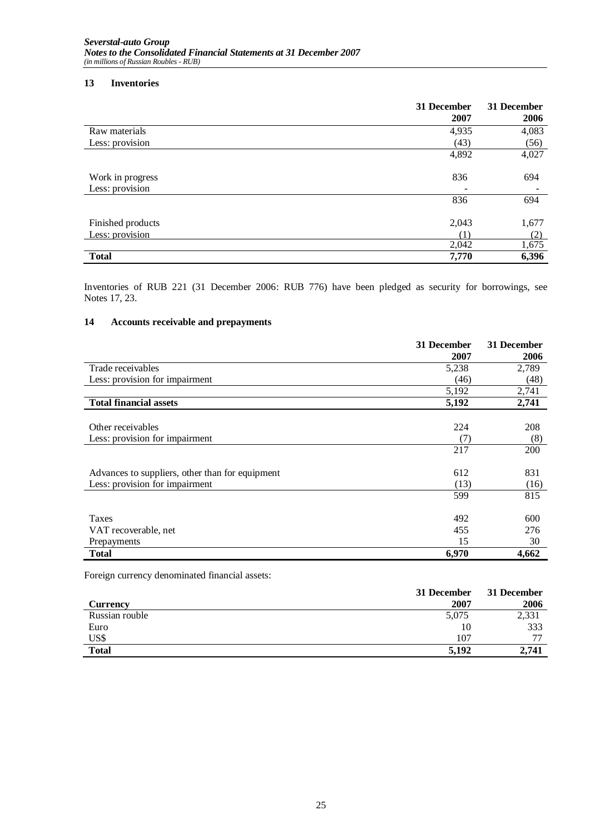#### **13 Inventories**

|                   | 31 December<br>2007       | 31 December<br>2006 |
|-------------------|---------------------------|---------------------|
| Raw materials     | 4,935                     | 4,083               |
| Less: provision   | (43)                      | (56)                |
|                   | 4,892                     | 4,027               |
| Work in progress  | 836                       | 694                 |
| Less: provision   | ۰                         |                     |
|                   | 836                       | 694                 |
| Finished products | 2,043                     | 1,677               |
| Less: provision   | $^{\prime}$ 1 $^{\prime}$ | (2)                 |
|                   | 2,042                     | 1,675               |
| <b>Total</b>      | 7,770                     | 6,396               |

Inventories of RUB 221 (31 December 2006: RUB 776) have been pledged as security for borrowings, see Notes 17, 23.

#### **14 Accounts receivable and prepayments**

|                                                 | 31 December | 31 December |
|-------------------------------------------------|-------------|-------------|
|                                                 | 2007        | 2006        |
| Trade receivables                               | 5,238       | 2,789       |
| Less: provision for impairment                  | (46)        | (48)        |
|                                                 | 5,192       | 2,741       |
| <b>Total financial assets</b>                   | 5,192       | 2,741       |
|                                                 |             |             |
| Other receivables                               | 224         | 208         |
| Less: provision for impairment                  | (7)         | (8)         |
|                                                 | 217         | 200         |
| Advances to suppliers, other than for equipment | 612         | 831         |
| Less: provision for impairment                  | (13)        | (16)        |
|                                                 | 599         | 815         |
| <b>Taxes</b>                                    | 492         | 600         |
| VAT recoverable, net                            | 455         | 276         |
| Prepayments                                     | 15          | 30          |
| <b>Total</b>                                    | 6,970       | 4,662       |

Foreign currency denominated financial assets:

|                 | 31 December | 31 December |
|-----------------|-------------|-------------|
| <b>Currency</b> | 2007        | 2006        |
| Russian rouble  | 5,075       | 2,331       |
| Euro            | 10          | 333         |
| US\$            | 107         | 77          |
| <b>Total</b>    | 5.192       | 2,741       |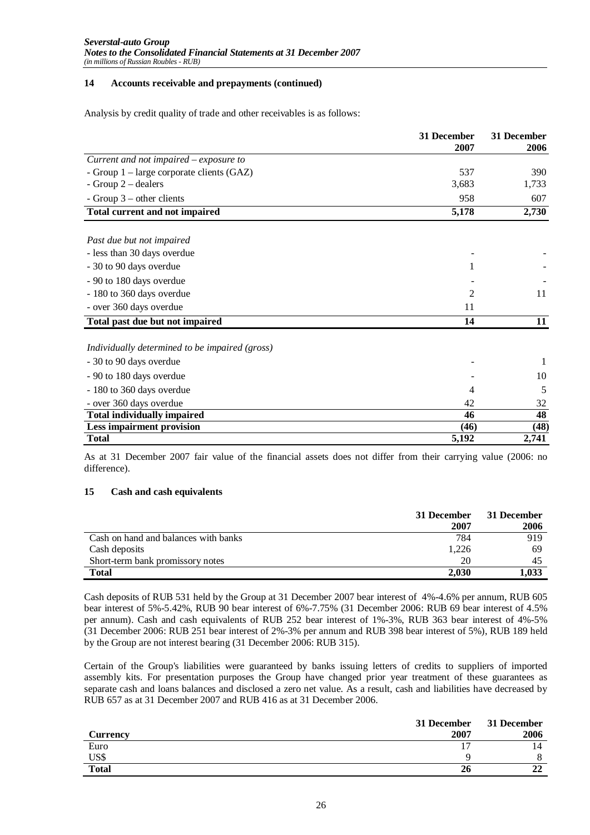#### **14 Accounts receivable and prepayments (continued)**

Analysis by credit quality of trade and other receivables is as follows:

|                                                       | 31 December<br>2007 | 31 December<br>2006 |
|-------------------------------------------------------|---------------------|---------------------|
| $\overline{Current}$ and not impaired $-$ exposure to |                     |                     |
| - Group $1$ – large corporate clients (GAZ)           | 537                 | 390                 |
| - Group $2$ – dealers                                 | 3,683               | 1,733               |
| - Group $3$ – other clients                           | 958                 | 607                 |
| <b>Total current and not impaired</b>                 | 5,178               | 2,730               |
| Past due but not impaired                             |                     |                     |
| - less than 30 days overdue                           |                     |                     |
| - 30 to 90 days overdue                               | 1                   |                     |
| - 90 to 180 days overdue                              |                     |                     |
| - 180 to 360 days overdue                             | 2                   | 11                  |
| - over 360 days overdue                               | 11                  |                     |
| Total past due but not impaired                       | 14                  | 11                  |
| Individually determined to be impaired (gross)        |                     |                     |
| - 30 to 90 days overdue                               |                     |                     |
| - 90 to 180 days overdue                              |                     | 10                  |
| - 180 to 360 days overdue                             | 4                   | 5                   |
| - over 360 days overdue                               | 42                  | 32                  |
| <b>Total individually impaired</b>                    | 46                  | 48                  |
| <b>Less impairment provision</b>                      | (46)                | (48)                |
| <b>Total</b>                                          | 5,192               | 2,741               |

As at 31 December 2007 fair value of the financial assets does not differ from their carrying value (2006: no difference).

#### **15 Cash and cash equivalents**

|                                      | 31 December | 31 December |
|--------------------------------------|-------------|-------------|
|                                      | 2007        | 2006        |
| Cash on hand and balances with banks | 784         | 919         |
| Cash deposits                        | 1,226       | 69          |
| Short-term bank promissory notes     | 20          |             |
| <b>Total</b>                         | 2.030       | 1.033       |

Cash deposits of RUB 531 held by the Group at 31 December 2007 bear interest of 4%-4.6% per annum, RUB 605 bear interest of 5%-5.42%, RUB 90 bear interest of 6%-7.75% (31 December 2006: RUB 69 bear interest of 4.5% per annum). Cash and cash equivalents of RUB 252 bear interest of 1%-3%, RUB 363 bear interest of 4%-5% (31 December 2006: RUB 251 bear interest of 2%-3% per annum and RUB 398 bear interest of 5%), RUB 189 held by the Group are not interest bearing (31 December 2006: RUB 315).

Certain of the Group's liabilities were guaranteed by banks issuing letters of credits to suppliers of imported assembly kits. For presentation purposes the Group have changed prior year treatment of these guarantees as separate cash and loans balances and disclosed a zero net value. As a result, cash and liabilities have decreased by RUB 657 as at 31 December 2007 and RUB 416 as at 31 December 2006.

|              | 31 December | 31 December |
|--------------|-------------|-------------|
| Currency     | 2007        | 2006        |
| Euro         |             |             |
| US\$         |             |             |
| <b>Total</b> | 26          | $\sim$      |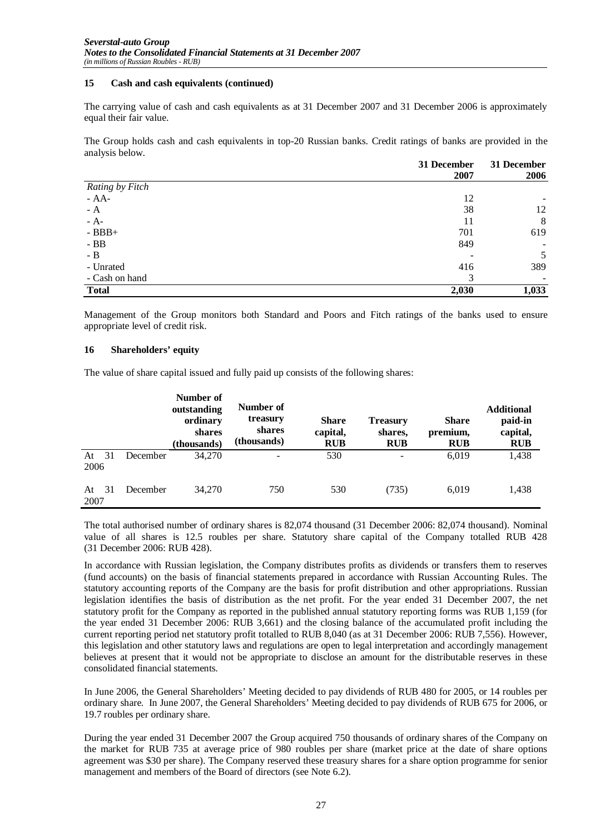#### **15 Cash and cash equivalents (continued)**

The carrying value of cash and cash equivalents as at 31 December 2007 and 31 December 2006 is approximately equal their fair value.

The Group holds cash and cash equivalents in top-20 Russian banks. Credit ratings of banks are provided in the analysis below.

|                 | 31 December<br>2007 | 31 December |
|-----------------|---------------------|-------------|
|                 |                     | 2006        |
| Rating by Fitch |                     |             |
| - $AA-$         | 12                  |             |
| $- A$           | 38                  | 12          |
| $- A-$          | 11                  | 8           |
| $-BBB+$         | 701                 | 619         |
| $-BB$           | 849                 |             |
| $- B$           |                     | 5           |
| - Unrated       | 416                 | 389         |
| - Cash on hand  | 3                   |             |
| <b>Total</b>    | 2,030               | 1,033       |

Management of the Group monitors both Standard and Poors and Fitch ratings of the banks used to ensure appropriate level of credit risk.

#### **16 Shareholders' equity**

The value of share capital issued and fully paid up consists of the following shares:

|            |    |          | Number of<br>outstanding<br>ordinary<br>shares<br>(thousands) | Number of<br>treasury<br>shares<br>(thousands) | <b>Share</b><br>capital,<br><b>RUB</b> | <b>Treasury</b><br>shares,<br><b>RUB</b> | <b>Share</b><br>premium,<br><b>RUB</b> | <b>Additional</b><br>paid-in<br>capital,<br><b>RUB</b> |
|------------|----|----------|---------------------------------------------------------------|------------------------------------------------|----------------------------------------|------------------------------------------|----------------------------------------|--------------------------------------------------------|
| At<br>2006 | 31 | December | 34,270                                                        |                                                | 530                                    | $\overline{\phantom{a}}$                 | 6,019                                  | 1,438                                                  |
| At<br>2007 | 31 | December | 34,270                                                        | 750                                            | 530                                    | (735)                                    | 6,019                                  | 1,438                                                  |

The total authorised number of ordinary shares is 82,074 thousand (31 December 2006: 82,074 thousand). Nominal value of all shares is 12.5 roubles per share. Statutory share capital of the Company totalled RUB 428 (31 December 2006: RUB 428).

In accordance with Russian legislation, the Company distributes profits as dividends or transfers them to reserves (fund accounts) on the basis of financial statements prepared in accordance with Russian Accounting Rules. The statutory accounting reports of the Company are the basis for profit distribution and other appropriations. Russian legislation identifies the basis of distribution as the net profit. For the year ended 31 December 2007, the net statutory profit for the Company as reported in the published annual statutory reporting forms was RUB 1,159 (for the year ended 31 December 2006: RUB 3,661) and the closing balance of the accumulated profit including the current reporting period net statutory profit totalled to RUB 8,040 (as at 31 December 2006: RUB 7,556). However, this legislation and other statutory laws and regulations are open to legal interpretation and accordingly management believes at present that it would not be appropriate to disclose an amount for the distributable reserves in these consolidated financial statements.

In June 2006, the General Shareholders' Meeting decided to pay dividends of RUB 480 for 2005, or 14 roubles per ordinary share. In June 2007, the General Shareholders' Meeting decided to pay dividends of RUB 675 for 2006, or 19.7 roubles per ordinary share.

During the year ended 31 December 2007 the Group acquired 750 thousands of ordinary shares of the Company on the market for RUB 735 at average price of 980 roubles per share (market price at the date of share options agreement was \$30 per share). The Company reserved these treasury shares for a share option programme for senior management and members of the Board of directors (see Note 6.2).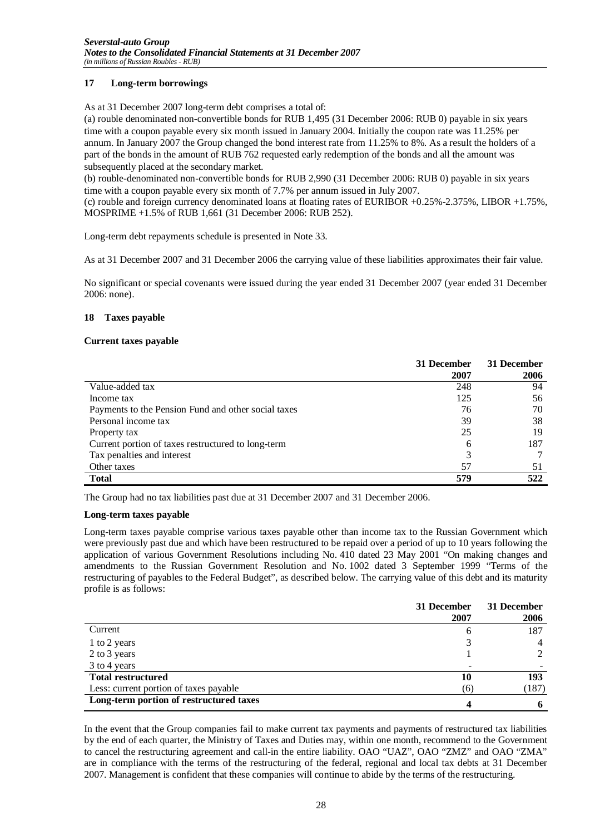#### **17 Long-term borrowings**

As at 31 December 2007 long-term debt comprises a total of:

(a) rouble denominated non-convertible bonds for RUB 1,495 (31 December 2006: RUB 0) payable in six years time with a coupon payable every six month issued in January 2004. Initially the coupon rate was 11.25% per annum. In January 2007 the Group changed the bond interest rate from 11.25% to 8%. As a result the holders of a part of the bonds in the amount of RUB 762 requested early redemption of the bonds and all the amount was subsequently placed at the secondary market.

(b) rouble-denominated non-convertible bonds for RUB 2,990 (31 December 2006: RUB 0) payable in six years time with a coupon payable every six month of 7.7% per annum issued in July 2007.

(c) rouble and foreign currency denominated loans at floating rates of EURIBOR +0.25%-2.375%, LIBOR +1.75%, MOSPRIME +1.5% of RUB 1,661 (31 December 2006: RUB 252).

Long-term debt repayments schedule is presented in Note 33.

As at 31 December 2007 and 31 December 2006 the carrying value of these liabilities approximates their fair value.

No significant or special covenants were issued during the year ended 31 December 2007 (year ended 31 December 2006: none).

#### **18 Taxes payable**

#### **Current taxes payable**

|                                                     | 31 December | 31 December |
|-----------------------------------------------------|-------------|-------------|
|                                                     | 2007        | 2006        |
| Value-added tax                                     | 248         | 94          |
| Income tax                                          | 125         | 56          |
| Payments to the Pension Fund and other social taxes | 76          | 70          |
| Personal income tax                                 | 39          | 38          |
| Property tax                                        | 25          | 19          |
| Current portion of taxes restructured to long-term  | 6           | 187         |
| Tax penalties and interest                          | 3           |             |
| Other taxes                                         | 57          | 51          |
| <b>Total</b>                                        | 579         | 522         |

The Group had no tax liabilities past due at 31 December 2007 and 31 December 2006.

#### **Long-term taxes payable**

Long-term taxes payable comprise various taxes payable other than income tax to the Russian Government which were previously past due and which have been restructured to be repaid over a period of up to 10 years following the application of various Government Resolutions including No. 410 dated 23 May 2001 "On making changes and amendments to the Russian Government Resolution and No. 1002 dated 3 September 1999 "Terms of the restructuring of payables to the Federal Budget", as described below. The carrying value of this debt and its maturity profile is as follows:

|                                         | 31 December<br>2007 | 31 December<br>2006 |
|-----------------------------------------|---------------------|---------------------|
| Current                                 | h                   | 187                 |
| 1 to 2 years                            |                     |                     |
| 2 to 3 years                            |                     |                     |
| 3 to 4 years                            |                     |                     |
| <b>Total restructured</b>               | 10                  | 193                 |
| Less: current portion of taxes payable  | (6)                 | (187)               |
| Long-term portion of restructured taxes |                     |                     |

In the event that the Group companies fail to make current tax payments and payments of restructured tax liabilities by the end of each quarter, the Ministry of Taxes and Duties may, within one month, recommend to the Government to cancel the restructuring agreement and call-in the entire liability. OAO "UAZ", OAO "ZMZ" and OAO "ZMA" are in compliance with the terms of the restructuring of the federal, regional and local tax debts at 31 December 2007. Management is confident that these companies will continue to abide by the terms of the restructuring.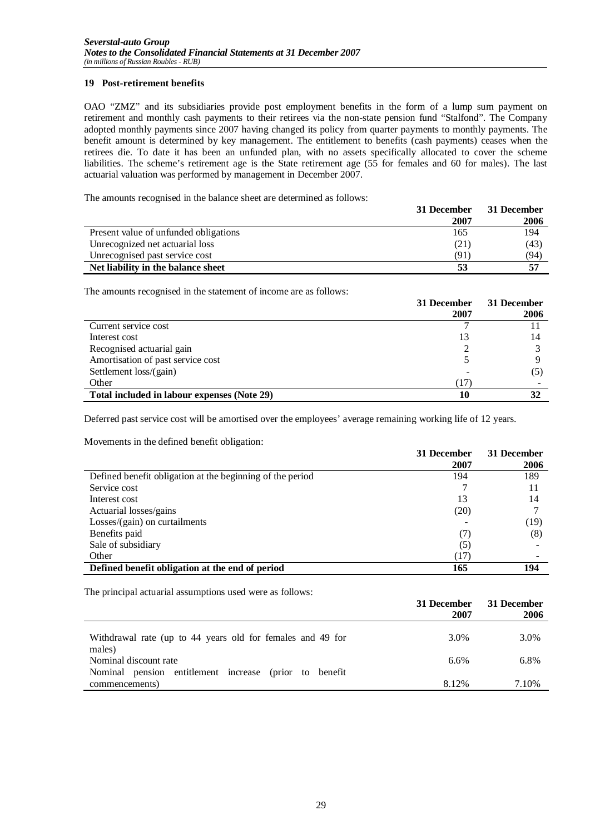#### **19 Post-retirement benefits**

OAO "ZMZ" and its subsidiaries provide post employment benefits in the form of a lump sum payment on retirement and monthly cash payments to their retirees via the non-state pension fund "Stalfond". The Company adopted monthly payments since 2007 having changed its policy from quarter payments to monthly payments. The benefit amount is determined by key management. The entitlement to benefits (cash payments) ceases when the retirees die. To date it has been an unfunded plan, with no assets specifically allocated to cover the scheme liabilities. The scheme's retirement age is the State retirement age (55 for females and 60 for males). The last actuarial valuation was performed by management in December 2007.

The amounts recognised in the balance sheet are determined as follows:

|                                       | 31 December | 31 December |
|---------------------------------------|-------------|-------------|
|                                       | 2007        | 2006        |
| Present value of unfunded obligations | 165         | 194         |
| Unrecognized net actuarial loss       | (21)        | (43)        |
| Unrecognised past service cost        | (91)        | (94)        |
| Net liability in the balance sheet    |             | 57          |

The amounts recognised in the statement of income are as follows:

|                                             | 31 December | 31 December |
|---------------------------------------------|-------------|-------------|
|                                             | 2007        | 2006        |
| Current service cost                        |             |             |
| Interest cost                               |             | 14          |
| Recognised actuarial gain                   |             |             |
| Amortisation of past service cost           |             |             |
| Settlement loss/(gain)                      |             | (5)         |
| Other                                       | T 7         |             |
| Total included in labour expenses (Note 29) |             | 32          |

Deferred past service cost will be amortised over the employees' average remaining working life of 12 years.

Movements in the defined benefit obligation:

|                                                           | 31 December | 31 December |
|-----------------------------------------------------------|-------------|-------------|
|                                                           | 2007        | 2006        |
| Defined benefit obligation at the beginning of the period | 194         | 189         |
| Service cost                                              |             | 11          |
| Interest cost                                             | 13          | 14          |
| Actuarial losses/gains                                    | (20)        |             |
| Losses/(gain) on curtailments                             |             | (19)        |
| Benefits paid                                             | (7)         | (8)         |
| Sale of subsidiary                                        | (5)         |             |
| Other                                                     | (17)        |             |
| Defined benefit obligation at the end of period           | 165         | 194         |

The principal actuarial assumptions used were as follows:

|                                                                          | 31 December<br>2007 | 31 December<br>2006 |
|--------------------------------------------------------------------------|---------------------|---------------------|
| Withdrawal rate (up to 44 years old for females and 49 for               | 3.0%                | 3.0%                |
| males)<br>Nominal discount rate                                          | 6.6%                | 6.8%                |
| Nominal pension entitlement increase (prior to benefit<br>commencements) | 8.12%               | 7.10%               |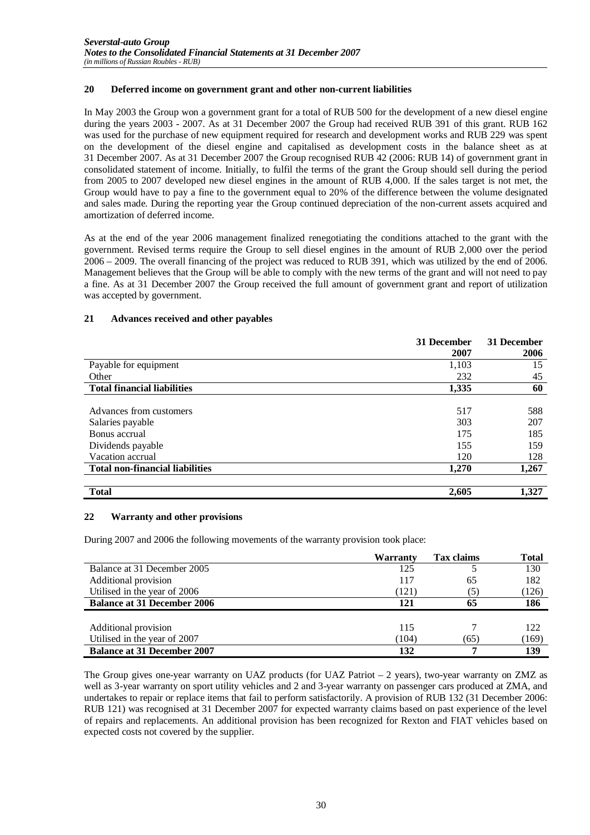#### **20 Deferred income on government grant and other non-current liabilities**

In May 2003 the Group won a government grant for a total of RUB 500 for the development of a new diesel engine during the years 2003 - 2007. As at 31 December 2007 the Group had received RUB 391 of this grant. RUB 162 was used for the purchase of new equipment required for research and development works and RUB 229 was spent on the development of the diesel engine and capitalised as development costs in the balance sheet as at 31 December 2007. As at 31 December 2007 the Group recognised RUB 42 (2006: RUB 14) of government grant in consolidated statement of income. Initially, to fulfil the terms of the grant the Group should sell during the period from 2005 to 2007 developed new diesel engines in the amount of RUB 4,000. If the sales target is not met, the Group would have to pay a fine to the government equal to 20% of the difference between the volume designated and sales made. During the reporting year the Group continued depreciation of the non-current assets acquired and amortization of deferred income.

As at the end of the year 2006 management finalized renegotiating the conditions attached to the grant with the government. Revised terms require the Group to sell diesel engines in the amount of RUB 2,000 over the period 2006 – 2009. The overall financing of the project was reduced to RUB 391, which was utilized by the end of 2006. Management believes that the Group will be able to comply with the new terms of the grant and will not need to pay a fine. As at 31 December 2007 the Group received the full amount of government grant and report of utilization was accepted by government.

#### **21 Advances received and other payables**

|                                        | 31 December | 31 December |
|----------------------------------------|-------------|-------------|
|                                        | 2007        | 2006        |
| Payable for equipment                  | 1,103       | 15          |
| Other                                  | 232         | 45          |
| <b>Total financial liabilities</b>     | 1,335       | 60          |
|                                        |             |             |
| Advances from customers                | 517         | 588         |
| Salaries payable                       | 303         | 207         |
| Bonus accrual                          | 175         | 185         |
| Dividends payable                      | 155         | 159         |
| Vacation accrual                       | 120         | 128         |
| <b>Total non-financial liabilities</b> | 1,270       | 1,267       |
| <b>Total</b>                           | 2,605       | 1,327       |

#### **22 Warranty and other provisions**

During 2007 and 2006 the following movements of the warranty provision took place:

|                                    | Warranty | <b>Tax claims</b> | Total |
|------------------------------------|----------|-------------------|-------|
| Balance at 31 December 2005        | 125      |                   | 130   |
| Additional provision               | 117      | 65                | 182   |
| Utilised in the year of 2006       | (121)    | (5)               | (126) |
| <b>Balance at 31 December 2006</b> | 121      | 65                | 186   |
|                                    |          |                   |       |
| Additional provision               | 115      |                   | 122   |
| Utilised in the year of 2007       | (104)    | (65)              | (169) |
| <b>Balance at 31 December 2007</b> | 132      |                   | 139   |

The Group gives one-year warranty on UAZ products (for UAZ Patriot – 2 years), two-year warranty on ZMZ as well as 3-year warranty on sport utility vehicles and 2 and 3-year warranty on passenger cars produced at ZMA, and undertakes to repair or replace items that fail to perform satisfactorily. A provision of RUB 132 (31 December 2006: RUB 121) was recognised at 31 December 2007 for expected warranty claims based on past experience of the level of repairs and replacements. An additional provision has been recognized for Rexton and FIAT vehicles based on expected costs not covered by the supplier.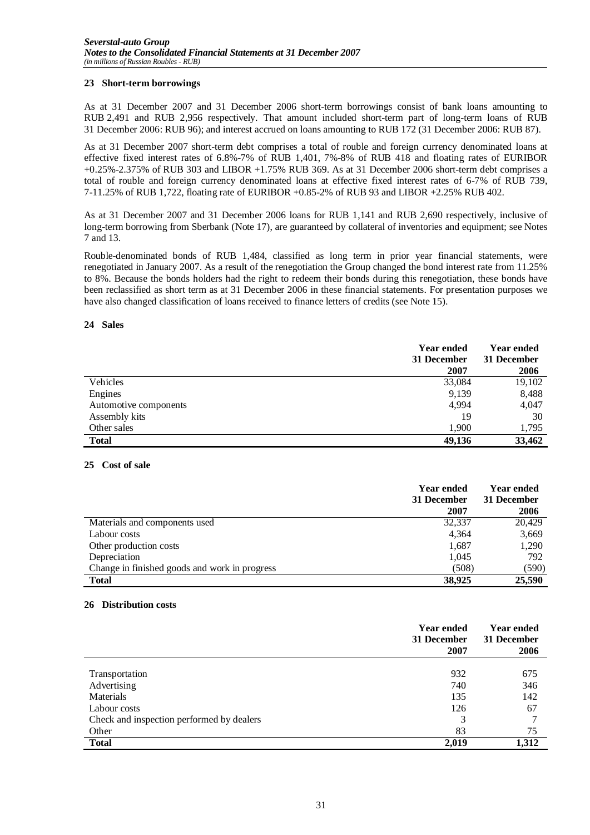#### **23 Short-term borrowings**

As at 31 December 2007 and 31 December 2006 short-term borrowings consist of bank loans amounting to RUB 2,491 and RUB 2,956 respectively. That amount included short-term part of long-term loans of RUB 31 December 2006: RUB 96); and interest accrued on loans amounting to RUB 172 (31 December 2006: RUB 87).

As at 31 December 2007 short-term debt comprises a total of rouble and foreign currency denominated loans at effective fixed interest rates of 6.8%-7% of RUB 1,401, 7%-8% of RUB 418 and floating rates of EURIBOR +0.25%-2.375% of RUB 303 and LIBOR +1.75% RUB 369. As at 31 December 2006 short-term debt comprises a total of rouble and foreign currency denominated loans at effective fixed interest rates of 6-7% of RUB 739, 7-11.25% of RUB 1,722, floating rate of EURIBOR +0.85-2% of RUB 93 and LIBOR +2.25% RUB 402.

As at 31 December 2007 and 31 December 2006 loans for RUB 1,141 and RUB 2,690 respectively, inclusive of long-term borrowing from Sberbank (Note 17), are guaranteed by collateral of inventories and equipment; see Notes 7 and 13.

Rouble-denominated bonds of RUB 1,484, classified as long term in prior year financial statements, were renegotiated in January 2007. As a result of the renegotiation the Group changed the bond interest rate from 11.25% to 8%. Because the bonds holders had the right to redeem their bonds during this renegotiation, these bonds have been reclassified as short term as at 31 December 2006 in these financial statements. For presentation purposes we have also changed classification of loans received to finance letters of credits (see Note 15).

#### **24 Sales**

|                       | <b>Year ended</b><br>31 December<br>2007 | <b>Year ended</b><br>31 December<br>2006 |
|-----------------------|------------------------------------------|------------------------------------------|
| Vehicles              | 33,084                                   | 19,102                                   |
| Engines               | 9,139                                    | 8,488                                    |
| Automotive components | 4,994                                    | 4,047                                    |
| Assembly kits         | 19                                       | 30                                       |
| Other sales           | 1.900                                    | 1,795                                    |
| <b>Total</b>          | 49,136                                   | 33,462                                   |

#### **25 Cost of sale**

|                                               | <b>Year ended</b><br>31 December | <b>Year ended</b><br>31 December |
|-----------------------------------------------|----------------------------------|----------------------------------|
|                                               | 2007                             | 2006                             |
| Materials and components used                 | 32,337                           | 20,429                           |
| Labour costs                                  | 4.364                            | 3,669                            |
| Other production costs                        | 1,687                            | 1,290                            |
| Depreciation                                  | 1,045                            | 792                              |
| Change in finished goods and work in progress | (508)                            | (590)                            |
| <b>Total</b>                                  | 38,925                           | 25,590                           |

#### **26 Distribution costs**

|                                           | <b>Year ended</b><br>31 December<br>2007 | <b>Year ended</b><br>31 December<br>2006 |
|-------------------------------------------|------------------------------------------|------------------------------------------|
|                                           |                                          |                                          |
| Transportation                            | 932                                      | 675                                      |
| Advertising                               | 740                                      | 346                                      |
| Materials                                 | 135                                      | 142                                      |
| Labour costs                              | 126                                      | 67                                       |
| Check and inspection performed by dealers | 3                                        | 7                                        |
| Other                                     | 83                                       | 75                                       |
| <b>Total</b>                              | 2,019                                    | 1,312                                    |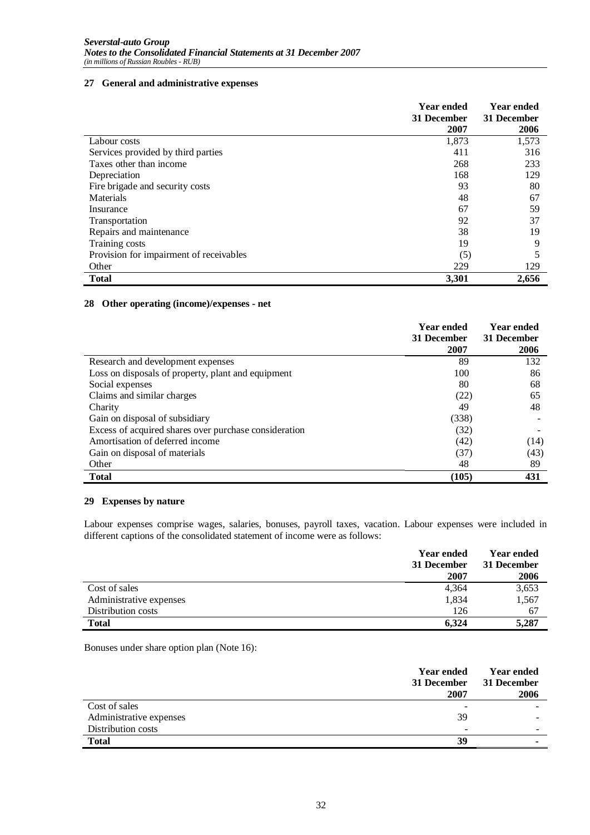#### **27 General and administrative expenses**

|                                         | <b>Year ended</b><br>31 December<br>2007 | <b>Year ended</b><br>31 December<br>2006 |
|-----------------------------------------|------------------------------------------|------------------------------------------|
| Labour costs                            | 1,873                                    | 1,573                                    |
| Services provided by third parties      | 411                                      | 316                                      |
| Taxes other than income                 | 268                                      | 233                                      |
| Depreciation                            | 168                                      | 129                                      |
| Fire brigade and security costs         | 93                                       | 80                                       |
| <b>Materials</b>                        | 48                                       | 67                                       |
| Insurance                               | 67                                       | 59                                       |
| Transportation                          | 92                                       | 37                                       |
| Repairs and maintenance                 | 38                                       | 19                                       |
| Training costs                          | 19                                       | 9                                        |
| Provision for impairment of receivables | (5)                                      |                                          |
| Other                                   | 229                                      | 129                                      |
| <b>Total</b>                            | 3,301                                    | 2.656                                    |

#### **28 Other operating (income)/expenses - net**

|                                                       | <b>Year ended</b><br>31 December<br>2007 | <b>Year ended</b><br>31 December<br>2006 |
|-------------------------------------------------------|------------------------------------------|------------------------------------------|
| Research and development expenses                     | 89                                       | 132                                      |
| Loss on disposals of property, plant and equipment    | 100                                      | 86                                       |
| Social expenses                                       | 80                                       | 68                                       |
| Claims and similar charges                            | (22)                                     | 65                                       |
| Charity                                               | 49                                       | 48                                       |
| Gain on disposal of subsidiary                        | (338)                                    |                                          |
| Excess of acquired shares over purchase consideration | (32)                                     |                                          |
| Amortisation of deferred income                       | (42)                                     | (14)                                     |
| Gain on disposal of materials                         | (37)                                     | (43)                                     |
| Other                                                 | 48                                       | 89                                       |
| <b>Total</b>                                          | (105)                                    | 431                                      |

#### **29 Expenses by nature**

Labour expenses comprise wages, salaries, bonuses, payroll taxes, vacation. Labour expenses were included in different captions of the consolidated statement of income were as follows:

|                         | <b>Year ended</b><br>31 December | <b>Year ended</b><br>31 December |
|-------------------------|----------------------------------|----------------------------------|
|                         | 2007                             | 2006                             |
| Cost of sales           | 4,364                            | 3,653                            |
| Administrative expenses | 1,834                            | 1,567                            |
| Distribution costs      | 126                              | 67                               |
| <b>Total</b>            | 6.324                            | 5,287                            |

Bonuses under share option plan (Note 16):

|                         | <b>Year ended</b><br>31 December<br>2007 | <b>Year ended</b><br>31 December<br>2006 |
|-------------------------|------------------------------------------|------------------------------------------|
| Cost of sales           | $\overline{\phantom{0}}$                 |                                          |
| Administrative expenses | 39                                       |                                          |
| Distribution costs      | -                                        |                                          |
| <b>Total</b>            | 39                                       |                                          |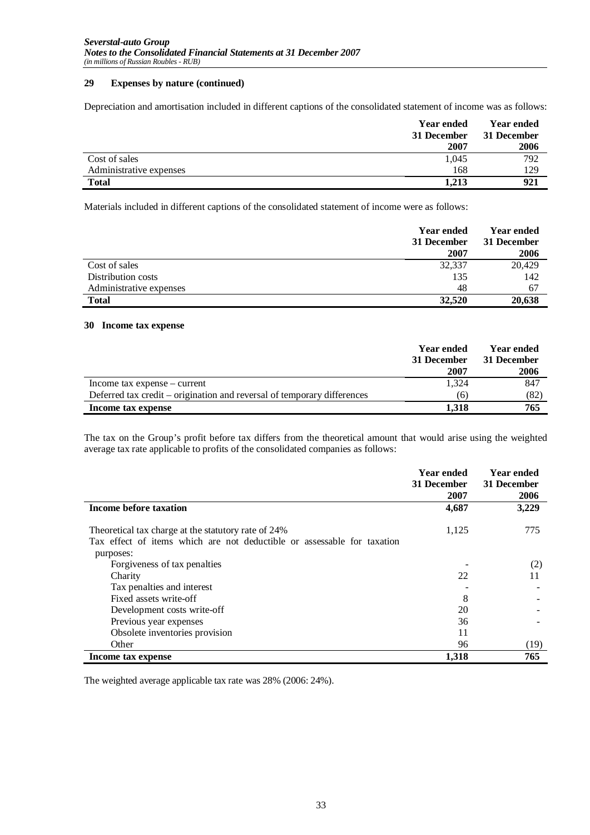#### **29 Expenses by nature (continued)**

Depreciation and amortisation included in different captions of the consolidated statement of income was as follows:

|                         | <b>Year ended</b><br>31 December<br>2007 | <b>Year ended</b><br>31 December<br>2006 |
|-------------------------|------------------------------------------|------------------------------------------|
| Cost of sales           | 1,045                                    | 792                                      |
| Administrative expenses | 168                                      | 129                                      |
| <b>Total</b>            | 1.213                                    | 921                                      |

Materials included in different captions of the consolidated statement of income were as follows:

|                         | <b>Year ended</b><br>31 December<br>2007 | <b>Year ended</b><br>31 December<br>2006 |
|-------------------------|------------------------------------------|------------------------------------------|
| Cost of sales           | 32,337                                   | 20,429                                   |
| Distribution costs      | 135                                      | 142                                      |
| Administrative expenses | 48                                       | 67                                       |
| <b>Total</b>            | 32,520                                   | 20,638                                   |

#### **30 Income tax expense**

|                                                                         | Year ended<br>31 December<br>2007 | Year ended<br>31 December<br>2006 |
|-------------------------------------------------------------------------|-----------------------------------|-----------------------------------|
| Income tax expense – current                                            | 1.324                             | 847                               |
| Deferred tax credit – origination and reversal of temporary differences | (6)                               | (82)                              |
| Income tax expense                                                      | 1.318                             | 765                               |

The tax on the Group's profit before tax differs from the theoretical amount that would arise using the weighted average tax rate applicable to profits of the consolidated companies as follows:

|                                                                                                                                | <b>Year ended</b><br>31 December<br>2007 | <b>Year ended</b><br>31 December<br>2006 |
|--------------------------------------------------------------------------------------------------------------------------------|------------------------------------------|------------------------------------------|
| Income before taxation                                                                                                         | 4,687                                    | 3,229                                    |
| Theoretical tax charge at the statutory rate of 24%<br>Tax effect of items which are not deductible or assessable for taxation | 1,125                                    | 775                                      |
| purposes:<br>Forgiveness of tax penalties                                                                                      | 22                                       | (2)<br>11                                |
| Charity<br>Tax penalties and interest                                                                                          |                                          |                                          |
| Fixed assets write-off<br>Development costs write-off                                                                          | 8<br>20                                  |                                          |
| Previous year expenses<br>Obsolete inventories provision                                                                       | 36<br>11                                 |                                          |
| Other                                                                                                                          | 96                                       | (19)                                     |
| Income tax expense                                                                                                             | 1,318                                    | 765                                      |

The weighted average applicable tax rate was 28% (2006: 24%).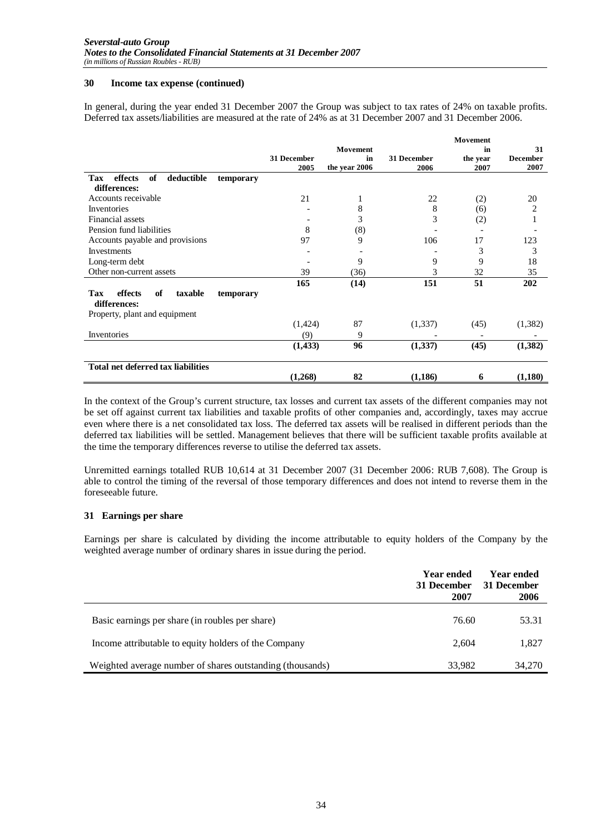#### **30 Income tax expense (continued)**

In general, during the year ended 31 December 2007 the Group was subject to tax rates of 24% on taxable profits. Deferred tax assets/liabilities are measured at the rate of 24% as at 31 December 2007 and 31 December 2006.

|                                                              |             |                 |             | <b>Movement</b> |                 |
|--------------------------------------------------------------|-------------|-----------------|-------------|-----------------|-----------------|
|                                                              |             | <b>Movement</b> |             | in              | 31              |
|                                                              | 31 December | in              | 31 December | the year        | <b>December</b> |
|                                                              | 2005        | the year 2006   | 2006        | 2007            | 2007            |
| effects<br>deductible<br><b>Tax</b><br>of<br>temporary       |             |                 |             |                 |                 |
| differences:                                                 |             |                 |             |                 |                 |
| Accounts receivable                                          | 21          | 1               | 22          | (2)             | 20              |
| Inventories                                                  |             | 8               | 8           | (6)             | 2               |
| Financial assets                                             |             | 3               | 3           | (2)             |                 |
| Pension fund liabilities                                     | 8           | (8)             |             |                 |                 |
| Accounts payable and provisions                              | 97          | 9               | 106         | 17              | 123             |
| <b>Investments</b>                                           |             |                 |             | 3               | 3               |
| Long-term debt                                               |             | 9               | 9           | 9               | 18              |
| Other non-current assets                                     | 39          | (36)            | 3           | 32              | 35              |
|                                                              | 165         | (14)            | 151         | 51              | 202             |
| effects<br>of<br>taxable<br>Tax<br>temporary<br>differences: |             |                 |             |                 |                 |
| Property, plant and equipment                                |             |                 |             |                 |                 |
|                                                              | (1,424)     | 87              | (1,337)     | (45)            | (1, 382)        |
| Inventories                                                  | (9)         | 9               |             |                 |                 |
|                                                              | (1,433)     | 96              | (1,337)     | (45)            | (1,382)         |
| <b>Total net deferred tax liabilities</b>                    |             |                 |             |                 |                 |
|                                                              | (1,268)     | 82              | (1, 186)    | 6               | (1,180)         |

In the context of the Group's current structure, tax losses and current tax assets of the different companies may not be set off against current tax liabilities and taxable profits of other companies and, accordingly, taxes may accrue even where there is a net consolidated tax loss. The deferred tax assets will be realised in different periods than the deferred tax liabilities will be settled. Management believes that there will be sufficient taxable profits available at the time the temporary differences reverse to utilise the deferred tax assets.

Unremitted earnings totalled RUB 10,614 at 31 December 2007 (31 December 2006: RUB 7,608). The Group is able to control the timing of the reversal of those temporary differences and does not intend to reverse them in the foreseeable future.

#### **31 Earnings per share**

Earnings per share is calculated by dividing the income attributable to equity holders of the Company by the weighted average number of ordinary shares in issue during the period.

|                                                           | <b>Year ended</b><br>31 December<br>2007 | Year ended<br>31 December<br>2006 |
|-----------------------------------------------------------|------------------------------------------|-----------------------------------|
| Basic earnings per share (in roubles per share)           | 76.60                                    | 53.31                             |
| Income attributable to equity holders of the Company      | 2.604                                    | 1,827                             |
| Weighted average number of shares outstanding (thousands) | 33,982                                   | 34,270                            |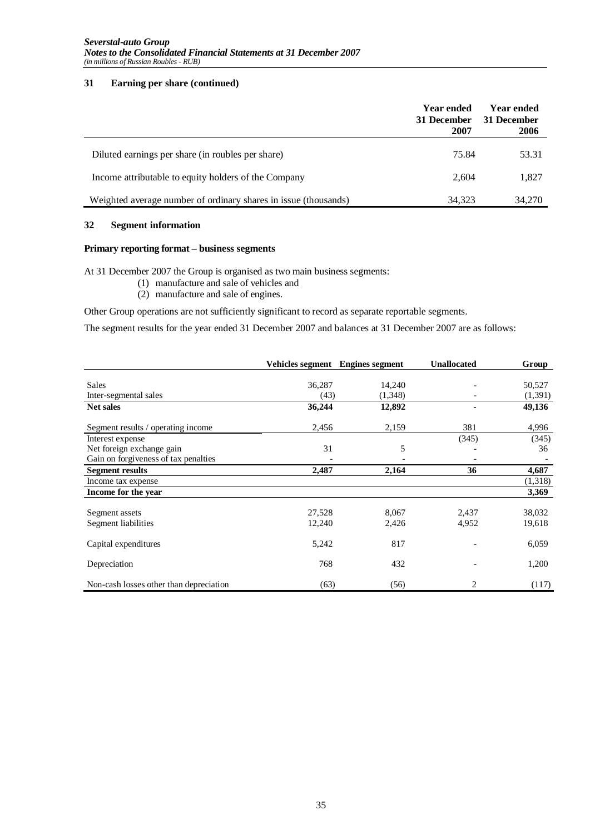#### **31 Earning per share (continued)**

|                                                                 | <b>Year ended</b><br>31 December<br>2007 | <b>Year ended</b><br>31 December<br>2006 |
|-----------------------------------------------------------------|------------------------------------------|------------------------------------------|
| Diluted earnings per share (in roubles per share)               | 75.84                                    | 53.31                                    |
| Income attributable to equity holders of the Company            | 2.604                                    | 1,827                                    |
| Weighted average number of ordinary shares in issue (thousands) | 34,323                                   | 34,270                                   |

#### **32 Segment information**

#### **Primary reporting format – business segments**

At 31 December 2007 the Group is organised as two main business segments:

- (1) manufacture and sale of vehicles and
- (2) manufacture and sale of engines.

Other Group operations are not sufficiently significant to record as separate reportable segments.

The segment results for the year ended 31 December 2007 and balances at 31 December 2007 are as follows:

|                                         |        | Vehicles segment Engines segment | <b>Unallocated</b> | Group   |
|-----------------------------------------|--------|----------------------------------|--------------------|---------|
|                                         |        |                                  |                    |         |
| <b>Sales</b>                            | 36,287 | 14,240                           |                    | 50,527  |
| Inter-segmental sales                   | (43)   | (1,348)                          |                    | (1,391) |
| <b>Net sales</b>                        | 36,244 | 12,892                           |                    | 49,136  |
| Segment results / operating income      | 2,456  | 2,159                            | 381                | 4,996   |
| Interest expense                        |        |                                  | (345)              | (345)   |
| Net foreign exchange gain               | 31     | 5                                |                    | 36      |
| Gain on forgiveness of tax penalties    |        |                                  | $\qquad \qquad$    |         |
| <b>Segment results</b>                  | 2,487  | 2,164                            | 36                 | 4,687   |
| Income tax expense                      |        |                                  |                    | (1,318) |
| Income for the year                     |        |                                  |                    | 3,369   |
|                                         |        |                                  |                    |         |
| Segment assets                          | 27,528 | 8,067                            | 2,437              | 38,032  |
| Segment liabilities                     | 12,240 | 2,426                            | 4,952              | 19,618  |
| Capital expenditures                    | 5,242  | 817                              |                    | 6,059   |
| Depreciation                            | 768    | 432                              |                    | 1,200   |
| Non-cash losses other than depreciation | (63)   | (56)                             | 2                  | (117)   |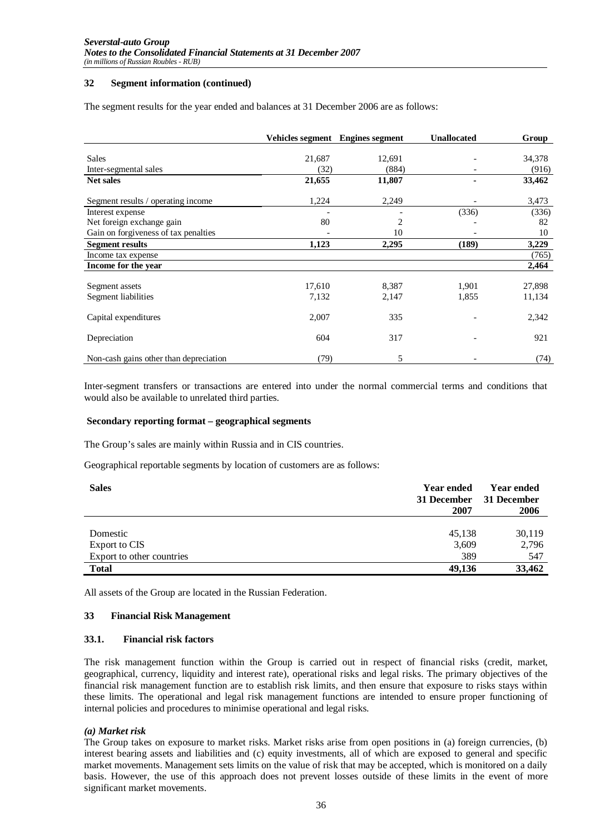#### **32 Segment information (continued)**

The segment results for the year ended and balances at 31 December 2006 are as follows:

|                                        |        | Vehicles segment Engines segment | <b>Unallocated</b> | Group  |
|----------------------------------------|--------|----------------------------------|--------------------|--------|
|                                        |        |                                  |                    |        |
| <b>Sales</b>                           | 21,687 | 12,691                           |                    | 34,378 |
| Inter-segmental sales                  | (32)   | (884)                            |                    | (916)  |
| <b>Net sales</b>                       | 21,655 | 11,807                           |                    | 33,462 |
| Segment results / operating income     | 1,224  | 2,249                            |                    | 3,473  |
| Interest expense                       |        |                                  | (336)              | (336)  |
| Net foreign exchange gain              | 80     | 2                                |                    | 82     |
| Gain on forgiveness of tax penalties   |        | 10                               |                    | 10     |
| <b>Segment results</b>                 | 1,123  | 2,295                            | (189)              | 3,229  |
| Income tax expense                     |        |                                  |                    | (765)  |
| Income for the year                    |        |                                  |                    | 2,464  |
|                                        |        |                                  |                    |        |
| Segment assets                         | 17,610 | 8,387                            | 1,901              | 27,898 |
| Segment liabilities                    | 7,132  | 2,147                            | 1,855              | 11,134 |
| Capital expenditures                   | 2,007  | 335                              |                    | 2,342  |
| Depreciation                           | 604    | 317                              |                    | 921    |
| Non-cash gains other than depreciation | (79)   | 5                                |                    | (74)   |

Inter-segment transfers or transactions are entered into under the normal commercial terms and conditions that would also be available to unrelated third parties.

#### **Secondary reporting format – geographical segments**

The Group's sales are mainly within Russia and in CIS countries.

Geographical reportable segments by location of customers are as follows:

| <b>Sales</b>                               | <b>Year ended</b><br>31 December<br>2007 | <b>Year ended</b><br>31 December<br>2006 |
|--------------------------------------------|------------------------------------------|------------------------------------------|
| Domestic                                   | 45,138                                   | 30,119                                   |
| Export to CIS<br>Export to other countries | 3,609<br>389                             | 2,796<br>547                             |
| <b>Total</b>                               | 49.136                                   | 33,462                                   |

All assets of the Group are located in the Russian Federation.

#### **33 Financial Risk Management**

#### **33.1. Financial risk factors**

The risk management function within the Group is carried out in respect of financial risks (credit, market, geographical, currency, liquidity and interest rate), operational risks and legal risks. The primary objectives of the financial risk management function are to establish risk limits, and then ensure that exposure to risks stays within these limits. The operational and legal risk management functions are intended to ensure proper functioning of internal policies and procedures to minimise operational and legal risks.

#### *(a) Market risk*

The Group takes on exposure to market risks. Market risks arise from open positions in (a) foreign currencies, (b) interest bearing assets and liabilities and (c) equity investments, all of which are exposed to general and specific market movements. Management sets limits on the value of risk that may be accepted, which is monitored on a daily basis. However, the use of this approach does not prevent losses outside of these limits in the event of more significant market movements.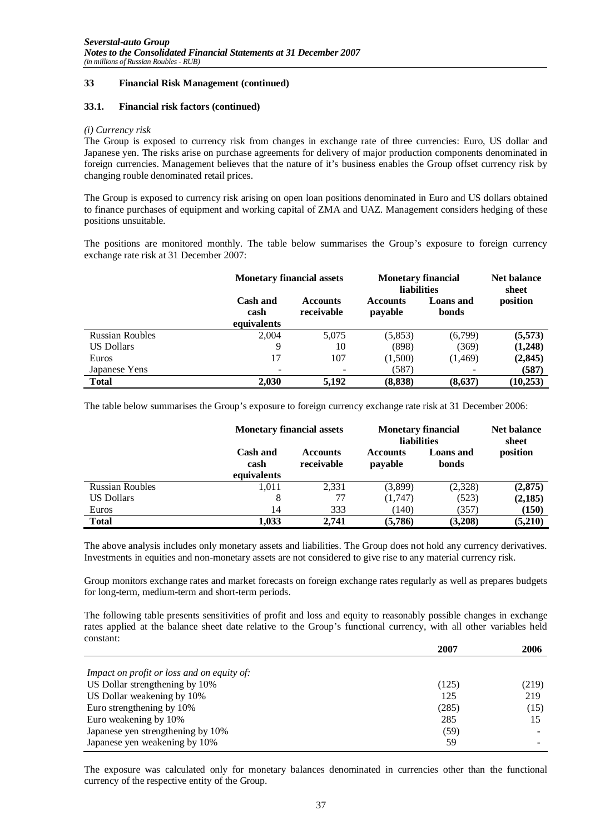#### **33.1. Financial risk factors (continued)**

#### *(i) Currency risk*

The Group is exposed to currency risk from changes in exchange rate of three currencies: Euro, US dollar and Japanese yen. The risks arise on purchase agreements for delivery of major production components denominated in foreign currencies. Management believes that the nature of it's business enables the Group offset currency risk by changing rouble denominated retail prices.

The Group is exposed to currency risk arising on open loan positions denominated in Euro and US dollars obtained to finance purchases of equipment and working capital of ZMA and UAZ. Management considers hedging of these positions unsuitable.

The positions are monitored monthly. The table below summarises the Group's exposure to foreign currency exchange rate risk at 31 December 2007:

|                        | <b>Monetary financial assets</b> |                               | <b>Monetary financial</b><br><b>liabilities</b> | <b>Net balance</b><br>sheet |           |
|------------------------|----------------------------------|-------------------------------|-------------------------------------------------|-----------------------------|-----------|
|                        | Cash and<br>cash<br>equivalents  | <b>Accounts</b><br>receivable | <b>Accounts</b><br>payable                      | <b>Loans</b> and<br>bonds   | position  |
| <b>Russian Roubles</b> | 2,004                            | 5,075                         | (5,853)                                         | (6,799)                     | (5,573)   |
| <b>US Dollars</b>      | 9                                | 10                            | (898)                                           | (369)                       | (1,248)   |
| Euros                  | 17                               | 107                           | (1,500)                                         | (1, 469)                    | (2, 845)  |
| Japanese Yens          | ۰                                |                               | (587)                                           |                             | (587)     |
| <b>Total</b>           | 2,030                            | 5.192                         | (8, 838)                                        | (8,637)                     | (10, 253) |

The table below summarises the Group's exposure to foreign currency exchange rate risk at 31 December 2006:

|                        | <b>Monetary financial assets</b>       | <b>Monetary financial</b><br>liabilities | <b>Net balance</b><br>sheet |                           |          |
|------------------------|----------------------------------------|------------------------------------------|-----------------------------|---------------------------|----------|
|                        | <b>Cash and</b><br>cash<br>equivalents | <b>Accounts</b><br>receivable            | <b>Accounts</b><br>payable  | <b>Loans</b> and<br>bonds | position |
| <b>Russian Roubles</b> | 1,011                                  | 2,331                                    | (3,899)                     | (2,328)                   | (2,875)  |
| <b>US Dollars</b>      | 8                                      | 77                                       | (1,747)                     | (523)                     | (2,185)  |
| Euros                  | 14                                     | 333                                      | (140)                       | (357)                     | (150)    |
| <b>Total</b>           | 1,033                                  | 2,741                                    | (5,786)                     | (3,208)                   | (5,210)  |

The above analysis includes only monetary assets and liabilities. The Group does not hold any currency derivatives. Investments in equities and non-monetary assets are not considered to give rise to any material currency risk.

Group monitors exchange rates and market forecasts on foreign exchange rates regularly as well as prepares budgets for long-term, medium-term and short-term periods.

The following table presents sensitivities of profit and loss and equity to reasonably possible changes in exchange rates applied at the balance sheet date relative to the Group's functional currency, with all other variables held constant:

|                                                   | 2007  | 2006  |
|---------------------------------------------------|-------|-------|
|                                                   |       |       |
| <i>Impact on profit or loss and on equity of:</i> |       |       |
| US Dollar strengthening by 10%                    | (125) | (219) |
| US Dollar weakening by 10%                        | 125   | 219   |
| Euro strengthening by 10%                         | (285) | (15)  |
| Euro weakening by 10%                             | 285   | 15    |
| Japanese yen strengthening by 10%                 | (59)  |       |
| Japanese yen weakening by 10%                     | 59    |       |

The exposure was calculated only for monetary balances denominated in currencies other than the functional currency of the respective entity of the Group.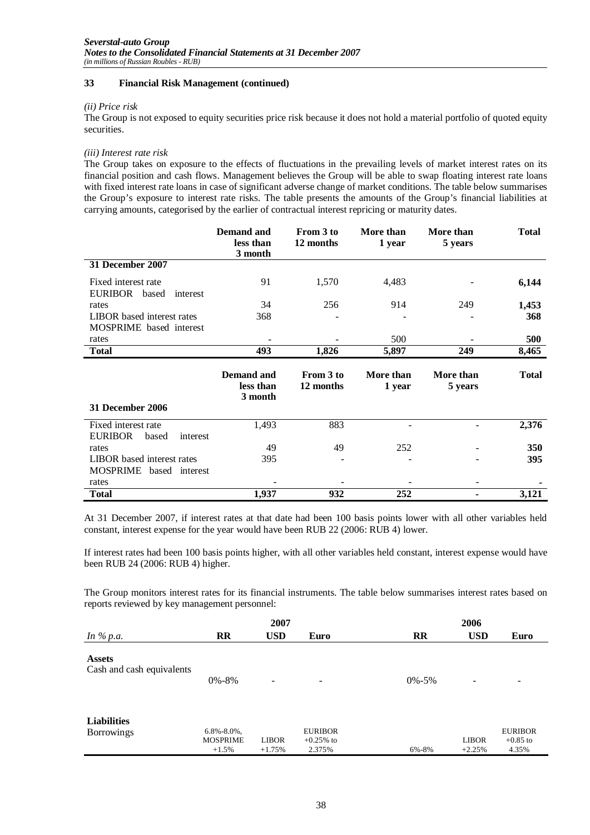#### *(ii) Price risk*

The Group is not exposed to equity securities price risk because it does not hold a material portfolio of quoted equity securities.

#### *(iii) Interest rate risk*

The Group takes on exposure to the effects of fluctuations in the prevailing levels of market interest rates on its financial position and cash flows. Management believes the Group will be able to swap floating interest rate loans with fixed interest rate loans in case of significant adverse change of market conditions. The table below summarises the Group's exposure to interest rate risks. The table presents the amounts of the Group's financial liabilities at carrying amounts, categorised by the earlier of contractual interest repricing or maturity dates.

|                                                              | <b>Demand and</b><br>less than<br>3 month | From 3 to<br>12 months | More than<br>1 year | More than<br>5 years | <b>Total</b> |
|--------------------------------------------------------------|-------------------------------------------|------------------------|---------------------|----------------------|--------------|
| 31 December 2007                                             |                                           |                        |                     |                      |              |
| Fixed interest rate<br>EURIBOR based<br>interest             | 91                                        | 1,570                  | 4,483               |                      | 6,144        |
| rates                                                        | 34                                        | 256                    | 914                 | 249                  | 1,453        |
| LIBOR based interest rates                                   | 368                                       |                        |                     |                      | 368          |
| MOSPRIME based interest                                      |                                           |                        |                     |                      |              |
| rates                                                        |                                           |                        | 500                 |                      | 500          |
| <b>Total</b>                                                 | 493                                       | 1,826                  | 5,897               | 249                  | 8,465        |
| 31 December 2006                                             | <b>Demand</b> and<br>less than<br>3 month | From 3 to<br>12 months | More than<br>1 year | More than<br>5 years | <b>Total</b> |
| Fixed interest rate<br><b>EURIBOR</b><br>based<br>interest   | 1,493                                     | 883                    |                     |                      | 2,376        |
| rates                                                        | 49                                        | 49                     | 252                 |                      | <b>350</b>   |
| <b>LIBOR</b> based interest rates<br>MOSPRIME based interest | 395                                       |                        |                     |                      | 395          |
| rates                                                        |                                           |                        |                     |                      |              |
| <b>Total</b>                                                 | 1,937                                     | 932                    | 252                 |                      | 3,121        |

At 31 December 2007, if interest rates at that date had been 100 basis points lower with all other variables held constant, interest expense for the year would have been RUB 22 (2006: RUB 4) lower.

If interest rates had been 100 basis points higher, with all other variables held constant, interest expense would have been RUB 24 (2006: RUB 4) higher.

The Group monitors interest rates for its financial instruments. The table below summarises interest rates based on reports reviewed by key management personnel:

|                                            |                                                 | 2007                     |                                          |             | 2006                     |                                       |
|--------------------------------------------|-------------------------------------------------|--------------------------|------------------------------------------|-------------|--------------------------|---------------------------------------|
| In $\%$ p.a.                               | <b>RR</b>                                       | <b>USD</b>               | Euro                                     | <b>RR</b>   | <b>USD</b>               | Euro                                  |
| <b>Assets</b><br>Cash and cash equivalents | $0\% - 8\%$                                     | $\overline{\phantom{a}}$ | -                                        | $0\% - 5\%$ | $\overline{\phantom{a}}$ | $\overline{\phantom{a}}$              |
| <b>Liabilities</b><br><b>Borrowings</b>    | $6.8\% - 8.0\%$ ,<br><b>MOSPRIME</b><br>$+1.5%$ | <b>LIBOR</b><br>$+1.75%$ | <b>EURIBOR</b><br>$+0.25\%$ to<br>2.375% | 6%-8%       | <b>LIBOR</b><br>$+2.25%$ | <b>EURIBOR</b><br>$+0.85$ to<br>4.35% |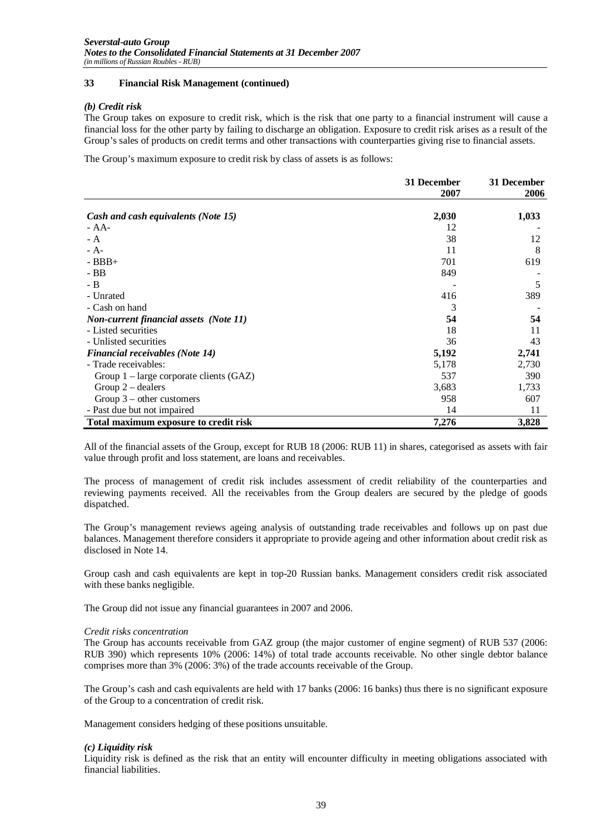#### *(b) Credit risk*

The Group takes on exposure to credit risk, which is the risk that one party to a financial instrument will cause a financial loss for the other party by failing to discharge an obligation. Exposure to credit risk arises as a result of the Group's sales of products on credit terms and other transactions with counterparties giving rise to financial assets.

The Group's maximum exposure to credit risk by class of assets is as follows:

|                                               | 31 December | 31 December |
|-----------------------------------------------|-------------|-------------|
|                                               | 2007        | 2006        |
| Cash and cash equivalents (Note 15)           | 2,030       | 1,033       |
| $- AA-$                                       | 12          |             |
| $- A$                                         | 38          | 12          |
| $- A -$                                       | 11          | 8           |
| $-BBB+$                                       | 701         | 619         |
| $-BB$                                         | 849         |             |
| $-B$                                          |             | 5           |
| - Unrated                                     | 416         | 389         |
| - Cash on hand                                | 3           |             |
| <b>Non-current financial assets (Note 11)</b> | 54          | 54          |
| - Listed securities                           | 18          | 11          |
| - Unlisted securities                         | 36          | 43          |
| <b>Financial receivables (Note 14)</b>        | 5,192       | 2,741       |
| - Trade receivables:                          | 5,178       | 2,730       |
| Group $1$ – large corporate clients (GAZ)     | 537         | 390         |
| Group $2$ – dealers                           | 3,683       | 1,733       |
| Group $3$ – other customers                   | 958         | 607         |
| - Past due but not impaired                   | 14          | 11          |
| Total maximum exposure to credit risk         | 7,276       | 3,828       |

All of the financial assets of the Group, except for RUB 18 (2006: RUB 11) in shares, categorised as assets with fair value through profit and loss statement, are loans and receivables.

The process of management of credit risk includes assessment of credit reliability of the counterparties and reviewing payments received. All the receivables from the Group dealers are secured by the pledge of goods dispatched.

The Group's management reviews ageing analysis of outstanding trade receivables and follows up on past due balances. Management therefore considers it appropriate to provide ageing and other information about credit risk as disclosed in Note 14.

Group cash and cash equivalents are kept in top-20 Russian banks. Management considers credit risk associated with these banks negligible.

The Group did not issue any financial guarantees in 2007 and 2006.

#### *Credit risks concentration*

The Group has accounts receivable from GAZ group (the major customer of engine segment) of RUB 537 (2006: RUB 390) which represents 10% (2006: 14%) of total trade accounts receivable. No other single debtor balance comprises more than 3% (2006: 3%) of the trade accounts receivable of the Group.

The Group's cash and cash equivalents are held with 17 banks (2006: 16 banks) thus there is no significant exposure of the Group to a concentration of credit risk.

Management considers hedging of these positions unsuitable.

#### *(c) Liquidity risk*

Liquidity risk is defined as the risk that an entity will encounter difficulty in meeting obligations associated with financial liabilities.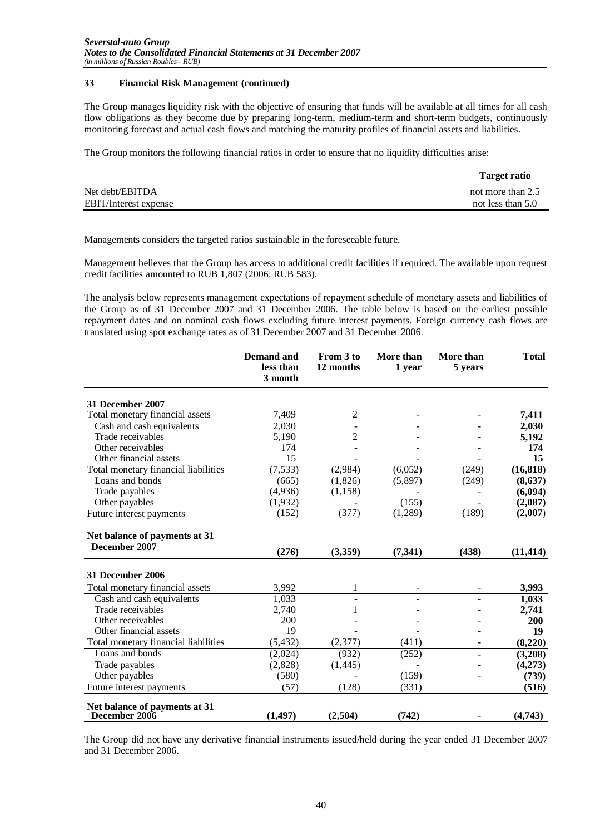The Group manages liquidity risk with the objective of ensuring that funds will be available at all times for all cash flow obligations as they become due by preparing long-term, medium-term and short-term budgets, continuously monitoring forecast and actual cash flows and matching the maturity profiles of financial assets and liabilities.

The Group monitors the following financial ratios in order to ensure that no liquidity difficulties arise:

|                              | <b>Target ratio</b> |
|------------------------------|---------------------|
| Net debt/EBITDA              | not more than 2.5   |
| <b>EBIT/Interest expense</b> | not less than 5.0   |

Managements considers the targeted ratios sustainable in the foreseeable future.

Management believes that the Group has access to additional credit facilities if required. The available upon request credit facilities amounted to RUB 1,807 (2006: RUB 583).

The analysis below represents management expectations of repayment schedule of monetary assets and liabilities of the Group as of 31 December 2007 and 31 December 2006. The table below is based on the earliest possible repayment dates and on nominal cash flows excluding future interest payments. Foreign currency cash flows are translated using spot exchange rates as of 31 December 2007 and 31 December 2006.

|                                                | <b>Demand and</b><br>less than<br>3 month | From 3 to<br>12 months | More than<br>1 year | More than<br>5 years | <b>Total</b> |
|------------------------------------------------|-------------------------------------------|------------------------|---------------------|----------------------|--------------|
| 31 December 2007                               |                                           |                        |                     |                      |              |
| Total monetary financial assets                | 7,409                                     | $\overline{c}$         |                     |                      | 7,411        |
| Cash and cash equivalents                      | 2,030                                     | $\blacksquare$         |                     |                      | 2,030        |
| Trade receivables                              | 5,190                                     | 2                      |                     |                      | 5,192        |
| Other receivables                              | 174                                       |                        |                     |                      | 174          |
| Other financial assets                         | 15                                        |                        |                     |                      | 15           |
| Total monetary financial liabilities           | (7,533)                                   | (2,984)                | (6,052)             | (249)                | (16, 818)    |
| Loans and bonds                                | (665)                                     | (1,826)                | (5,897)             | (249)                | (8, 637)     |
| Trade payables                                 | (4,936)                                   | (1, 158)               |                     |                      | (6,094)      |
| Other payables                                 | (1,932)                                   |                        | (155)               |                      | (2,087)      |
| Future interest payments                       | (152)                                     | (377)                  | (1,289)             | (189)                | (2,007)      |
| Net balance of payments at 31<br>December 2007 | (276)                                     | (3,359)                | (7, 341)            | (438)                | (11, 414)    |
| 31 December 2006                               |                                           |                        |                     |                      |              |
| Total monetary financial assets                | 3,992                                     | 1                      |                     |                      | 3,993        |
| Cash and cash equivalents                      | 1,033                                     |                        |                     |                      | 1,033        |
| Trade receivables                              | 2,740                                     | 1                      |                     |                      | 2,741        |
| Other receivables                              | 200                                       |                        |                     |                      | 200          |
| Other financial assets                         | 19                                        |                        |                     |                      | 19           |
| Total monetary financial liabilities           | (5, 432)                                  | (2,377)                | (411)               |                      | (8,220)      |
| Loans and bonds                                | (2,024)                                   | (932)                  | (252)               |                      | (3,208)      |
| Trade payables                                 | (2,828)                                   | (1,445)                |                     |                      | (4,273)      |
| Other payables                                 | (580)                                     |                        | (159)               |                      | (739)        |
| Future interest payments                       | (57)                                      | (128)                  | (331)               |                      | (516)        |
| Net balance of payments at 31<br>December 2006 | (1, 497)                                  | (2,504)                | (742)               |                      | (4,743)      |

The Group did not have any derivative financial instruments issued/held during the year ended 31 December 2007 and 31 December 2006.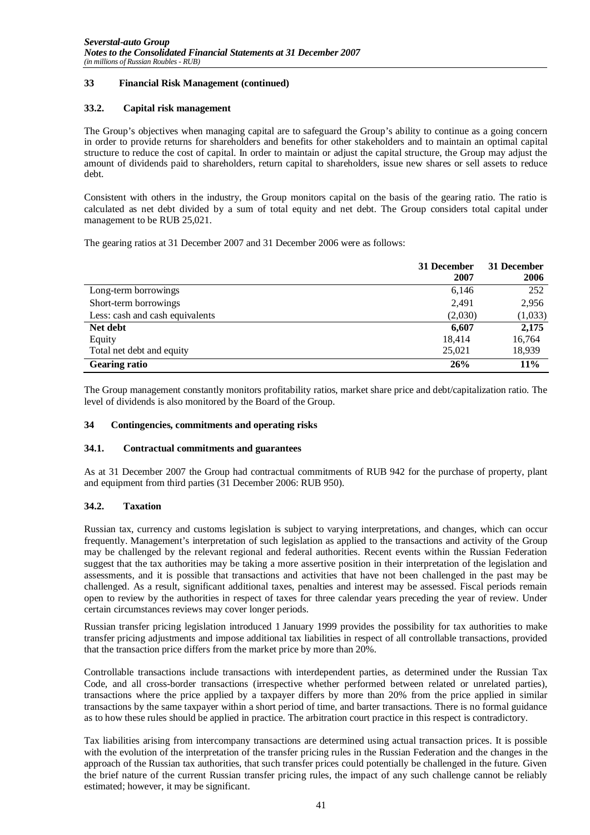#### **33.2. Capital risk management**

The Group's objectives when managing capital are to safeguard the Group's ability to continue as a going concern in order to provide returns for shareholders and benefits for other stakeholders and to maintain an optimal capital structure to reduce the cost of capital. In order to maintain or adjust the capital structure, the Group may adjust the amount of dividends paid to shareholders, return capital to shareholders, issue new shares or sell assets to reduce debt.

Consistent with others in the industry, the Group monitors capital on the basis of the gearing ratio. The ratio is calculated as net debt divided by a sum of total equity and net debt. The Group considers total capital under management to be RUB 25,021.

The gearing ratios at 31 December 2007 and 31 December 2006 were as follows:

|                                 | 31 December<br>2007 | 31 December<br>2006 |
|---------------------------------|---------------------|---------------------|
| Long-term borrowings            | 6,146               | 252                 |
| Short-term borrowings           | 2,491               | 2,956               |
| Less: cash and cash equivalents | (2,030)             | (1,033)             |
| Net debt                        | 6,607               | 2,175               |
| Equity                          | 18.414              | 16,764              |
| Total net debt and equity       | 25,021              | 18,939              |
| <b>Gearing ratio</b>            | 26%                 | 11%                 |

The Group management constantly monitors profitability ratios, market share price and debt/capitalization ratio. The level of dividends is also monitored by the Board of the Group.

#### **34 Contingencies, commitments and operating risks**

#### **34.1. Contractual commitments and guarantees**

As at 31 December 2007 the Group had contractual commitments of RUB 942 for the purchase of property, plant and equipment from third parties (31 December 2006: RUB 950).

#### **34.2. Taxation**

Russian tax, currency and customs legislation is subject to varying interpretations, and changes, which can occur frequently. Management's interpretation of such legislation as applied to the transactions and activity of the Group may be challenged by the relevant regional and federal authorities. Recent events within the Russian Federation suggest that the tax authorities may be taking a more assertive position in their interpretation of the legislation and assessments, and it is possible that transactions and activities that have not been challenged in the past may be challenged. As a result, significant additional taxes, penalties and interest may be assessed. Fiscal periods remain open to review by the authorities in respect of taxes for three calendar years preceding the year of review. Under certain circumstances reviews may cover longer periods.

Russian transfer pricing legislation introduced 1 January 1999 provides the possibility for tax authorities to make transfer pricing adjustments and impose additional tax liabilities in respect of all controllable transactions, provided that the transaction price differs from the market price by more than 20%.

Controllable transactions include transactions with interdependent parties, as determined under the Russian Tax Code, and all cross-border transactions (irrespective whether performed between related or unrelated parties), transactions where the price applied by a taxpayer differs by more than 20% from the price applied in similar transactions by the same taxpayer within a short period of time, and barter transactions. There is no formal guidance as to how these rules should be applied in practice. The arbitration court practice in this respect is contradictory.

Tax liabilities arising from intercompany transactions are determined using actual transaction prices. It is possible with the evolution of the interpretation of the transfer pricing rules in the Russian Federation and the changes in the approach of the Russian tax authorities, that such transfer prices could potentially be challenged in the future. Given the brief nature of the current Russian transfer pricing rules, the impact of any such challenge cannot be reliably estimated; however, it may be significant.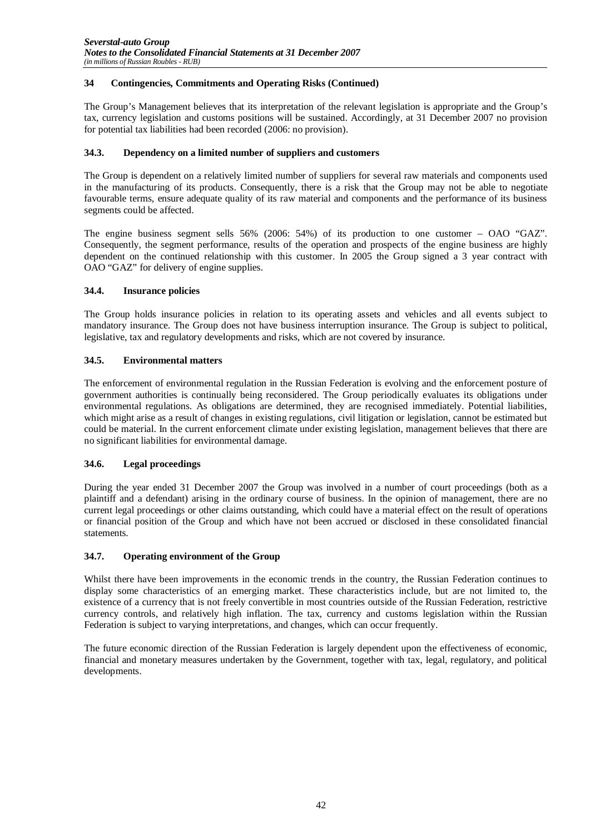#### **34 Contingencies, Commitments and Operating Risks (Continued)**

The Group's Management believes that its interpretation of the relevant legislation is appropriate and the Group's tax, currency legislation and customs positions will be sustained. Accordingly, at 31 December 2007 no provision for potential tax liabilities had been recorded (2006: no provision).

#### **34.3. Dependency on a limited number of suppliers and customers**

The Group is dependent on a relatively limited number of suppliers for several raw materials and components used in the manufacturing of its products. Consequently, there is a risk that the Group may not be able to negotiate favourable terms, ensure adequate quality of its raw material and components and the performance of its business segments could be affected.

The engine business segment sells 56% (2006: 54%) of its production to one customer – OAO "GAZ". Consequently, the segment performance, results of the operation and prospects of the engine business are highly dependent on the continued relationship with this customer. In 2005 the Group signed a 3 year contract with OAO "GAZ" for delivery of engine supplies.

#### **34.4. Insurance policies**

The Group holds insurance policies in relation to its operating assets and vehicles and all events subject to mandatory insurance. The Group does not have business interruption insurance. The Group is subject to political, legislative, tax and regulatory developments and risks, which are not covered by insurance.

#### **34.5. Environmental matters**

The enforcement of environmental regulation in the Russian Federation is evolving and the enforcement posture of government authorities is continually being reconsidered. The Group periodically evaluates its obligations under environmental regulations. As obligations are determined, they are recognised immediately. Potential liabilities, which might arise as a result of changes in existing regulations, civil litigation or legislation, cannot be estimated but could be material. In the current enforcement climate under existing legislation, management believes that there are no significant liabilities for environmental damage.

#### **34.6. Legal proceedings**

During the year ended 31 December 2007 the Group was involved in a number of court proceedings (both as a plaintiff and a defendant) arising in the ordinary course of business. In the opinion of management, there are no current legal proceedings or other claims outstanding, which could have a material effect on the result of operations or financial position of the Group and which have not been accrued or disclosed in these consolidated financial statements.

#### **34.7. Operating environment of the Group**

Whilst there have been improvements in the economic trends in the country, the Russian Federation continues to display some characteristics of an emerging market. These characteristics include, but are not limited to, the existence of a currency that is not freely convertible in most countries outside of the Russian Federation, restrictive currency controls, and relatively high inflation. The tax, currency and customs legislation within the Russian Federation is subject to varying interpretations, and changes, which can occur frequently.

The future economic direction of the Russian Federation is largely dependent upon the effectiveness of economic, financial and monetary measures undertaken by the Government, together with tax, legal, regulatory, and political developments.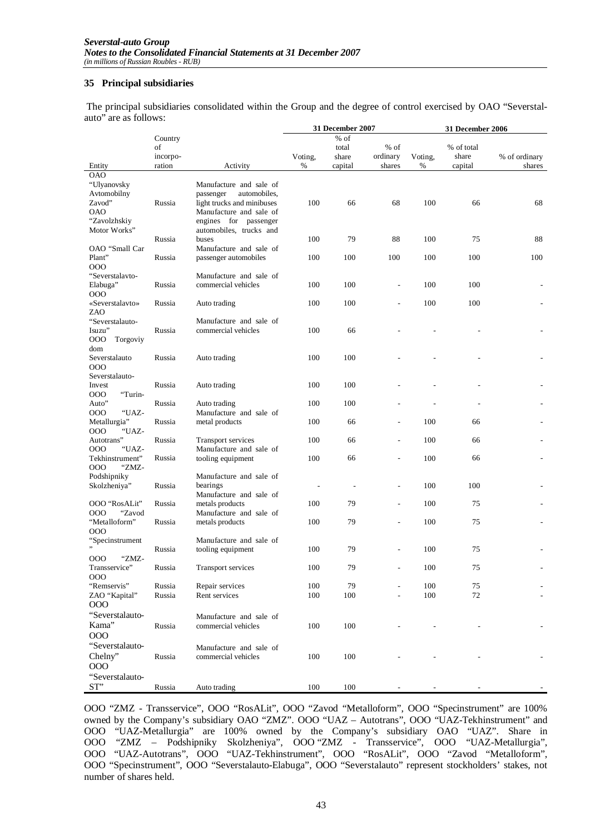#### **35 Principal subsidiaries**

 The principal subsidiaries consolidated within the Group and the degree of control exercised by OAO "Severstalauto" are as follows:

|                      |          |                            |                          | 31 December 2007         |                |         | <b>31 December 2006</b> |               |
|----------------------|----------|----------------------------|--------------------------|--------------------------|----------------|---------|-------------------------|---------------|
|                      | Country  |                            |                          | % of                     |                |         |                         |               |
|                      | of       |                            |                          | total                    | % of           |         | % of total              |               |
|                      | incorpo- |                            | Voting,                  | share                    | ordinary       | Voting, | share                   | % of ordinary |
| Entity               | ration   | Activity                   | %                        | capital                  | shares         | %       | capital                 | shares        |
| <b>OAO</b>           |          |                            |                          |                          |                |         |                         |               |
| "Ulyanovsky          |          | Manufacture and sale of    |                          |                          |                |         |                         |               |
| Avtomobilny          |          | passenger<br>automobiles,  |                          |                          |                |         |                         |               |
| Zavod"               | Russia   | light trucks and minibuses | 100                      | 66                       | 68             | 100     | 66                      | 68            |
| <b>OAO</b>           |          | Manufacture and sale of    |                          |                          |                |         |                         |               |
| "Zavolzhskiy         |          | engines for passenger      |                          |                          |                |         |                         |               |
| Motor Works"         |          | automobiles, trucks and    |                          |                          |                |         |                         |               |
|                      | Russia   | buses                      | 100                      | 79                       | 88             | 100     | 75                      | 88            |
| OAO "Small Car       |          | Manufacture and sale of    |                          |                          |                |         |                         |               |
| Plant"               | Russia   | passenger automobiles      | 100                      | 100                      | 100            | 100     | 100                     | 100           |
| 000                  |          |                            |                          |                          |                |         |                         |               |
| "Severstalavto-      |          | Manufacture and sale of    |                          |                          |                |         |                         |               |
| Elabuga"             | Russia   | commercial vehicles        | 100                      | 100                      |                | 100     | 100                     |               |
| 000                  |          |                            |                          |                          |                |         |                         |               |
| «Severstalavto»      | Russia   | Auto trading               | 100                      | 100                      |                | 100     | 100                     |               |
| ZAO                  |          |                            |                          |                          |                |         |                         |               |
| "Severstalauto-      |          | Manufacture and sale of    |                          |                          |                |         |                         |               |
| Isuzu"               | Russia   | commercial vehicles        | 100                      | 66                       |                |         |                         |               |
| 000<br>Torgoviy      |          |                            |                          |                          |                |         |                         |               |
| dom                  |          |                            |                          |                          |                |         |                         |               |
| Severstalauto<br>000 | Russia   | Auto trading               | 100                      | 100                      |                |         |                         |               |
| Severstalauto-       |          |                            |                          |                          |                |         |                         |               |
| Invest               | Russia   |                            | 100                      | 100                      |                |         |                         |               |
| 000<br>"Turin-       |          | Auto trading               |                          |                          |                |         |                         |               |
| Auto"                | Russia   | Auto trading               | 100                      | 100                      |                |         |                         |               |
| 000<br>"UAZ-         |          | Manufacture and sale of    |                          |                          |                |         |                         |               |
| Metallurgia"         | Russia   | metal products             | 100                      | 66                       |                | 100     | 66                      |               |
| 000<br>"UAZ-         |          |                            |                          |                          |                |         |                         |               |
| Autotrans"           | Russia   | <b>Transport services</b>  | 100                      | 66                       |                | 100     | 66                      |               |
| 000<br>"UAZ-         |          | Manufacture and sale of    |                          |                          |                |         |                         |               |
| Tekhinstrument"      | Russia   | tooling equipment          | 100                      | 66                       |                | 100     | 66                      |               |
| 000<br>"ZMZ-         |          |                            |                          |                          |                |         |                         |               |
| Podshipniky          |          | Manufacture and sale of    |                          |                          |                |         |                         |               |
| Skolzheniya"         | Russia   | bearings                   | $\overline{\phantom{a}}$ | $\overline{\phantom{a}}$ | $\overline{a}$ | 100     | 100                     |               |
|                      |          | Manufacture and sale of    |                          |                          |                |         |                         |               |
| OOO "RosALit"        | Russia   | metals products            | 100                      | 79                       |                | 100     | 75                      |               |
| "Zavod<br>000        |          | Manufacture and sale of    |                          |                          |                |         |                         |               |
| "Metalloform"        | Russia   | metals products            | 100                      | 79                       |                | 100     | 75                      |               |
| 000                  |          |                            |                          |                          |                |         |                         |               |
| "Specinstrument      |          | Manufacture and sale of    |                          |                          |                |         |                         |               |
|                      | Russia   | tooling equipment          | 100                      | 79                       |                | 100     | 75                      |               |
| "ZMZ-<br>000         |          |                            |                          |                          |                |         |                         |               |
| Transservice"        | Russia   | Transport services         | 100                      | 79                       |                | 100     | 75                      |               |
| 000                  |          |                            |                          |                          |                |         |                         |               |
| "Remservis"          | Russia   | Repair services            | 100                      | 79                       |                | 100     | 75                      |               |
| ZAO "Kapital"        | Russia   | Rent services              | 100                      | 100                      |                | 100     | 72                      |               |
| 000                  |          |                            |                          |                          |                |         |                         |               |
| "Severstalauto-      |          | Manufacture and sale of    |                          |                          |                |         |                         |               |
| Kama"                | Russia   | commercial vehicles        | 100                      | 100                      |                |         |                         |               |
| 000                  |          |                            |                          |                          |                |         |                         |               |
| "Severstalauto-      |          | Manufacture and sale of    |                          |                          |                |         |                         |               |
| Chelny"              | Russia   | commercial vehicles        | 100                      | 100                      |                |         |                         |               |
| 000                  |          |                            |                          |                          |                |         |                         |               |
| "Severstalauto-      |          |                            |                          |                          |                |         |                         |               |
|                      |          |                            |                          |                          |                |         |                         |               |
| ST"                  | Russia   | Auto trading               | 100                      | 100                      |                |         |                         |               |

OOO "ZMZ - Transservice", OOO "RosALit", OOO "Zavod "Metalloform", OOO "Specinstrument" are 100% owned by the Company's subsidiary OAO "ZMZ". OOO "UAZ – Autotrans", OOO "UAZ-Tekhinstrument" and OOO "UAZ-Metallurgia" are 100% owned by the Company's subsidiary OAO "UAZ". Share in OOO "ZMZ – Podshipniky Skolzheniya", OOO "ZMZ - Transservice", OOO "UAZ-Metallurgia", OOO "UAZ-Autotrans", OOO "UAZ-Tekhinstrument", OOO "RosALit", OOO "Zavod "Metalloform", OOO "Specinstrument", OOO "Severstalauto-Elabuga", OOO "Severstalauto" represent stockholders' stakes, not number of shares held.